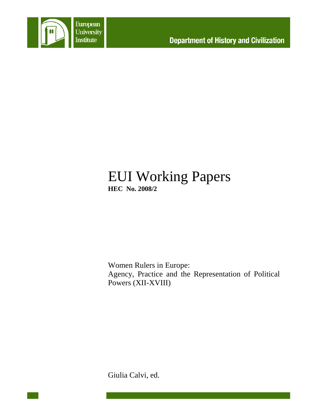

# EUI Working Papers **HEC No. 2008/2**

Women Rulers in Europe: Agency, Practice and the Representation of Political Powers (XII-XVIII)

Giulia Calvi, ed.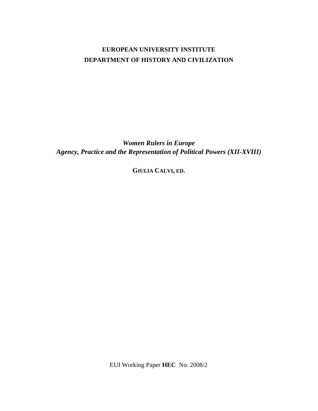## **EUROPEAN UNIVERSITY INSTITUTE DEPARTMENT OF HISTORY AND CIVILIZATION**

*Women Rulers in Europe Agency, Practice and the Representation of Political Powers (XII-XVIII)* 

**GIULIA CALVI, ED.** 

EUI Working Paper **HEC** No. 2008/2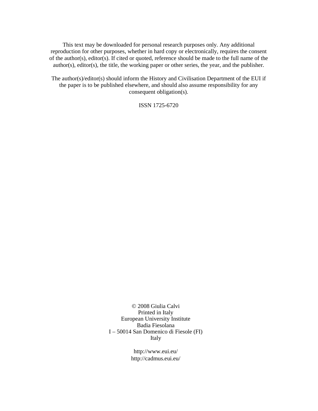This text may be downloaded for personal research purposes only. Any additional reproduction for other purposes, whether in hard copy or electronically, requires the consent of the author(s), editor(s). If cited or quoted, reference should be made to the full name of the author(s), editor(s), the title, the working paper or other series, the year, and the publisher.

The author(s)/editor(s) should inform the History and Civilisation Department of the EUI if the paper is to be published elsewhere, and should also assume responsibility for any consequent obligation(s).

ISSN 1725-6720

© 2008 Giulia Calvi Printed in Italy European University Institute Badia Fiesolana I – 50014 San Domenico di Fiesole (FI) Italy

> http://www.eui.eu/ http://cadmus.eui.eu/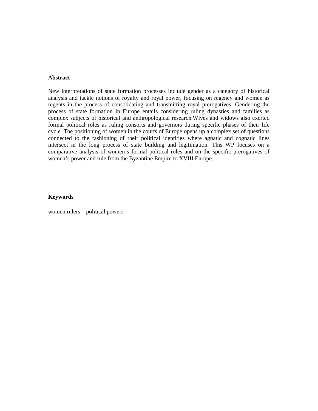#### **Abstract**

New interpretations of state formation processes include gender as a category of historical analysis and tackle notions of royalty and royal power, focusing on regency and women as regents in the process of consolidating and transmitting royal prerogatives. Gendering the process of state formation in Europe entails considering ruling dynasties and families as complex subjects of historical and anthropological research.Wives and widows also exerted formal political roles as ruling consorts and governors during specific phases of their life cycle. The positioning of women in the courts of Europe opens up a complex set of questions connected to the fashioning of their political identities where agnatic and cognatic lines intersect in the long process of state building and legitimation. This WP focuses on a comparative analysis of women's formal political roles and on the specific prerogatives of women's power and rule from the Byzantine Empire to XVIII Europe.

#### **Keywords**

women rulers – political powers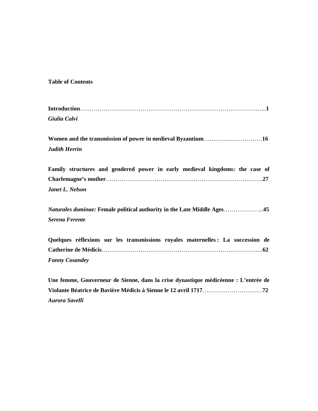## **Table of Contents**

| Giulia Calvi                                                                       |
|------------------------------------------------------------------------------------|
|                                                                                    |
|                                                                                    |
| <b>Judith Herrin</b>                                                               |
| Family structures and gendered power in early medieval kingdoms: the case of       |
|                                                                                    |
| Janet L. Nelson                                                                    |
| Naturales dominae: Female political authority in the Late Middle Ages45            |
| <b>Serena Ferente</b>                                                              |
| Quelques réflexions sur les transmissions royales maternelles : La succession de   |
|                                                                                    |
| <b>Fanny Cosandey</b>                                                              |
| Une femme, Gouverneur de Sienne, dans la crise dynastique médicéenne : L'entrée de |
|                                                                                    |

*Aurora Savelli*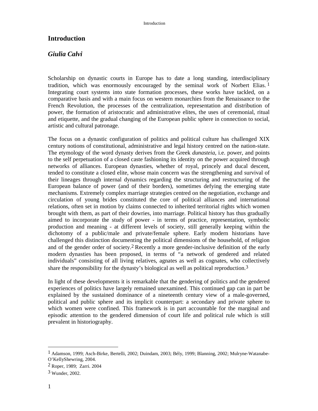## **Introduction**

### *Giulia Calvi*

Scholarship on dynastic courts in Europe has to date a long standing, interdisciplinary tradition, which was enormously encouraged by the seminal work of Norbert Elias. 1 Integrating court systems into state formation processes, these works have tackled, on a comparative basis and with a main focus on western monarchies from the Renaissance to the French Revolution, the processes of the centralization, representation and distribution of power, the formation of aristocratic and administrative elites, the uses of ceremonial, ritual and etiquette, and the gradual changing of the European public sphere in connection to social, artistic and cultural patronage.

The focus on a dynastic configuration of politics and political culture has challenged XIX century notions of constitutional, administrative and legal history centred on the nation-state. The etymology of the word dynasty derives from the Greek *dunasteia*, i.e. power, and points to the self perpetuation of a closed caste fashioning its identity on the power acquired through networks of alliances. European dynasties, whether of royal, princely and ducal descent, tended to constitute a closed elite, whose main concern was the strengthening and survival of their lineages through internal dynamics regarding the structuring and restructuring of the European balance of power (and of their borders), sometimes defying the emerging state mechanisms. Extremely complex marriage strategies centred on the negotiation, exchange and circulation of young brides constituted the core of political alliances and international relations, often set in motion by claims connected to inherited territorial rights which women brought with them, as part of their dowries, into marriage. Political history has thus gradually aimed to incorporate the study of power - in terms of practice, representation, symbolic production and meaning - at different levels of society, still generally keeping within the dichotomy of a public/male and private/female sphere. Early modern historians have challenged this distinction documenting the political dimensions of the household, of religion and of the gender order of society.2 Recently a more gender-inclusive definition of the early modern dynasties has been proposed, in terms of "a network of gendered and related individuals" consisting of all living relatives, agnates as well as cognates, who collectively share the responsibility for the dynasty's biological as well as political reproduction.3

In light of these developments it is remarkable that the gendering of politics and the gendered experiences of politics have largely remained unexamined. This continued gap can in part be explained by the sustained dominance of a nineteenth century view of a male-governed, political and public sphere and its implicit counterpart: a secondary and private sphere to which women were confined. This framework is in part accountable for the marginal and episodic attention to the gendered dimension of court life and political rule which is still prevalent in historiography.

<sup>1</sup> Adamson, 1999; Asch-Birke, Bertelli, 2002; Duindam, 2003; Bély, 1999; Blanning, 2002; Mulryne-Watanabe-O'KellyShewring, 2004.

<sup>2</sup> Roper, 1989; Zarri. 2004

<sup>3</sup> Wunder, 2002.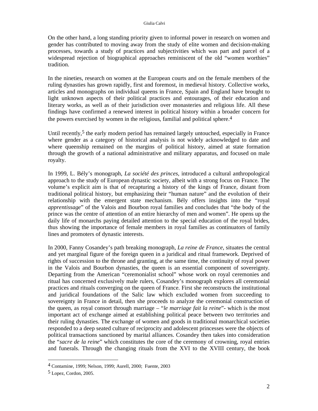On the other hand, a long standing priority given to informal power in research on women and gender has contributed to moving away from the study of elite women and decision-making processes, towards a study of practices and subjectivities which was part and parcel of a widespread rejection of biographical approaches reminiscent of the old "women worthies" tradition.

In the nineties, research on women at the European courts and on the female members of the ruling dynasties has grown rapidly, first and foremost, in medieval history. Collective works, articles and monographs on individual queens in France, Spain and England have brought to light unknown aspects of their political practices and entourages, of their education and literary works, as well as of their jurisdiction over monasteries and religious life. All these findings have confirmed a renewed interest in political history within a broader concern for the powers exercised by women in the religious, familial and political sphere.4

Until recently,<sup>5</sup> the early modern period has remained largely untouched, especially in France where gender as a category of historical analysis is not widely acknowledged to date and where queenship remained on the margins of political history, aimed at state formation through the growth of a national administrative and military apparatus, and focused on male royalty.

In 1999, L. Bély's monograph, *La société des princes,* introduced a cultural anthropological approach to the study of European dynastic society, albeit with a strong focus on France. The volume's explicit aim is that of recapturing a history of the kings of France, distant from traditional political history, but emphasizing their "human nature" and the evolution of their relationship with the emergent state mechanism. Bély offers insights into the "royal *apprentissage*" of the Valois and Bourbon royal families and concludes that "the body of the prince was the centre of attention of an entire hierarchy of men and women". He opens up the daily life of monarchs paying detailed attention to the special education of the royal brides, thus showing the importance of female members in royal families as continuators of family lines and promoters of dynastic interests.

In 2000, Fanny Cosandey's path breaking monograph, *La reine de France*, situates the central and yet marginal figure of the foreign queen in a juridical and ritual framework. Deprived of rights of succession to the throne and granting, at the same time, the continuity of royal power in the Valois and Bourbon dynasties, the queen is an essential component of sovereignty. Departing from the American "ceremonialist school" whose work on royal ceremonies and ritual has concerned exclusively male rulers, Cosandey's monograph explores all ceremonial practices and rituals converging on the queen of France. First she reconstructs the institutional and juridical foundations of the Salic law which excluded women from succeeding to sovereignty in France in detail, then she proceeds to analyze the ceremonial construction of the queen, as royal consort through marriage – "*le marriage fait la reine*"- which is the most important act of exchange aimed at establishing political peace between two territories and their ruling dynasties. The exchange of women and goods in traditional monarchical societies responded to a deep seated culture of reciprocity and adolescent princesses were the objects of political transactions sanctioned by marital alliances. Cosandey then takes into consideration the "*sacre de la reine*" which constitutes the core of the ceremony of crowning, royal entries and funerals. Through the changing rituals from the XVI to the XVIII century, the book

l

<sup>4</sup> Contamine, 1999; Nelson, 1999; Aurell, 2000; Fuente, 2003

<sup>5</sup> Lopez, Cordon, 2005.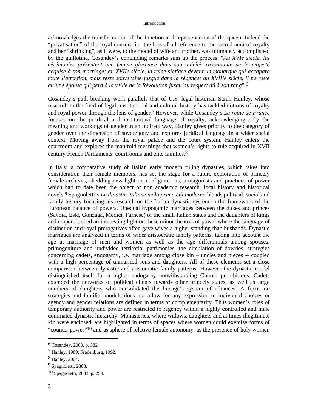acknowledges the transformation of the function and representation of the queen. Indeed the "privatisation" of the royal consort, i.e. the loss of all reference to the sacred aura of royalty and her "shrinking", as it were, to the model of wife and mother, was ultimately accomplished by the guillotine. Cosandey's concluding remarks sum up the process: "*Au XVIe siècle, les cérémonies présentent une femme glorieuse dans son unicité, rayonnante de la majesté acquise à son marriage; au XVIIe siècle, la reine s'efface devant un monarque qui accapare toute l'attention, mais reste souveraine jusque dans la régence; au XVIIIe siècle, il ne reste qu'une épouse qui perd à la veille de la Révolution jusqu'au respect dû à son rang*".6

Cosandey's path breaking work parallels that of U.S. legal historian Sarah Hanley, whose research in the field of legal, institutional and cultural history has tackled notions of royalty and royal power through the lens of gender.7 However, while Cosandey's *La reine de France* focuses on the juridical and institutional language of royalty, acknowledging only the meaning and workings of gender in an indirect way, Hanley gives priority to the category of gender over the dimension of sovereignty and explores juridical language in a wider social context. Moving away from the royal palace and the court system, Hanley enters the courtroom and explores the manifold meanings that women's rights to rule acquired in XVII century French Parliaments, courtrooms and elite families.8

In Italy, a comparative study of Italian early modern ruling dynasties, which takes into consideration their female members, has set the stage for a future exploration of princely female archives, shedding new light on configurations, protagonists and practices of power which had to date been the object of non academic research, local history and historical novels.9 Spagnoletti's *Le dinastie italiane nella prima età moderna* blends political, social and family history focusing his research on the Italian dynastic system in the framework of the European balance of powers. Unequal hypogamic marriages between the dukes and princes (Savoia, Este, Gonzaga, Medici, Farnese) of the small Italian states and the daughters of kings and emperors shed an interesting light on these minor theatres of power where the language of distinction and royal prerogatives often gave wives a higher standing than husbands. Dynastic marriages are analyzed in terms of wider aristocratic family patterns, taking into account the age at marriage of men and women as well as the age differentials among spouses, primogeniture and undivided territorial patrimonies, the circulation of dowries, strategies concerning cadets, endogamy, i.e. marriage among close kin – uncles and nieces -- coupled with a high percentage of unmarried sons and daughters. All of these elements set a close comparison between dynastic and aristocratic family patterns. However the dynastic model distinguished itself for a higher endogamy notwithstanding Church prohibitions. Cadets extended the networks of political clients towards other princely states, as well as large numbers of daughters who consolidated the lineage's system of alliances. A focus on strategies and familial models does not allow for any expression to individual choices or agency and gender relations are defined in terms of complementarity. Thus women's roles of temporary authority and power are restricted to regency within a highly controlled and male dominated dynastic hierarchy. Monasteries, where widows, daughters and at times illegitimate kin were enclosed, are highlighted in terms of spaces where women could exercise forms of "counter power"10 and as sphere of relative female autonomy, as the presence of holy women

<sup>6</sup> Cosandey, 2000, p. 382.

<sup>7</sup> Hanley, 1989; Fradenburg, 1992.

<sup>8</sup> Hanley, 2004.

<sup>9</sup> Spagnoletti, 2003.

<sup>10</sup> Spagnoletti, 2003, p. 259.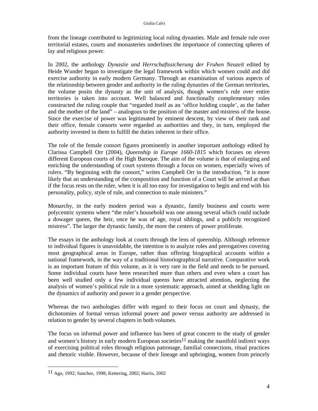from the lineage contributed to legitimizing local ruling dynasties. Male and female rule over territorial estates, courts and monasteries underlines the importance of connecting spheres of lay and religious power.

In 2002, the anthology *Dynastie und Herrschaftssicherung der Fruhen Neuzeit* edited by Heide Wunder began to investigate the legal framework within which women could and did exercise authority in early modern Germany. Through an examination of various aspects of the relationship between gender and authority in the ruling dynasties of the German territories, the volume posits the dynasty as the unit of analysis, though women's rule over entire territories is taken into account. Well balanced and functionally complementary roles constructed the ruling couple that "regarded itself as an 'office holding couple', as the father and the mother of the land" – analogous to the position of the master and mistress of the house. Since the exercise of power was legitimated by eminent descent, by view of their rank and their office, female consorts were regarded as authorities and they, in turn, employed the authority invested in them to fulfill the duties inherent in their office.

The role of the female consort figures prominently in another important anthology edited by Clarissa Campbell Orr (2004), *Queenship in Europe 1660-1815* which focuses on eleven different European courts of the High Baroque. The aim of the volume is that of enlarging and enriching the understanding of court systems through a focus on women, especially wives of rulers. "By beginning with the consort," writes Campbell Orr in the introduction, "it is more likely that an understanding of the composition and function of a Court will be arrived at than if the focus rests on the ruler, when it is all too easy for investigation to begin and end with his personality, policy, style of rule, and connection to male ministers."

Monarchy, in the early modern period was a dynastic, family business and courts were polycentric systems where "the ruler's household was one among several which could include a dowager queen, the heir, once he was of age, royal siblings, and a publicly recognized mistress". The larger the dynastic family, the more the centers of power proliferate.

The essays in the anthology look at courts through the lens of queenship. Although reference to individual figures is unavoidable, the intention is to analyze roles and prerogatives covering most geographical areas in Europe, rather than offering biographical accounts within a national framework, in the way of a traditional historiographical narrative. Comparative work is an important feature of this volume, as it is very rare in the field and needs to be pursued. Some individual courts have been researched more than others and even when a court has been well studied only a few individual queens have attracted attention, neglecting the analysis of women's political rule in a more systematic approach, aimed at shedding light on the dynamics of authority and power in a gender perspective.

Whereas the two anthologies differ with regard to their focus on court and dynasty, the dichotomies of formal versus informal power and power versus authority are addressed in relation to gender by several chapters in both volumes.

The focus on informal power and influence has been of great concern to the study of gender and women's history in early modern European societies<sup>11</sup> making the manifold indirect ways of exercising political roles through religious patronage, familial connections, ritual practices and rhetoric visible. However, because of their lineage and upbringing, women from princely

<sup>11</sup> Ago, 1992; Sanchez, 1998; Kettering, 2002; Harris, 2002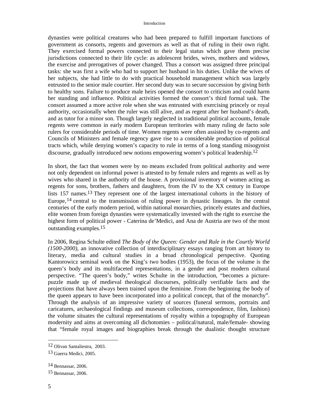dynasties were political creatures who had been prepared to fulfill important functions of government as consorts, regents and governors as well as that of ruling in their own right. They exercised formal powers connected to their legal status which gave them precise jurisdictions connected to their life cycle: as adolescent brides, wives, mothers and widows, the exercise and prerogatives of power changed. Thus a consort was assigned three principal tasks: she was first a wife who had to support her husband in his duties. Unlike the wives of her subjects, she had little to do with practical household management which was largely entrusted to the senior male courtier. Her second duty was to secure succession by giving birth to healthy sons. Failure to produce male heirs opened the consort to criticism and could harm her standing and influence. Political activities formed the consort's third formal task. The consort assumed a more active role when she was entrusted with exercising princely or royal authority, occasionally when the ruler was still alive, and as regent after her husband's death, and as tutor for a minor son. Though largely neglected in traditional political accounts, female regents were common in early modern European territories with many ruling de facto sole rulers for considerable periods of time. Women regents were often assisted by co-regents and Councils of Ministers and female regency gave rise to a considerable production of political tracts which, while denying women's capacity to rule in terms of a long standing misogynist discourse, gradually introduced new notions empowering women's political leadership.12

In short, the fact that women were by no means excluded from political authority and were not only dependent on informal power is attested to by female rulers and regents as well as by wives who shared in the authority of the house. A provisional inventory of women acting as regents for sons, brothers, fathers and daughters, from the IV to the XX century in Europe lists 157 names.13 They represent one of the largest international cohorts in the history of Europe,14 central to the transmission of ruling power in dynastic lineages. In the central centuries of the early modern period, within national monarchies, princely estates and duchies, elite women from foreign dynasties were systematically invested with the right to exercise the highest form of political power - Caterina de'Medici, and Ana de Austria are two of the most outstanding examples.15

In 2006, Regina Schulte edited *The Body of the Queen: Gender and Rule in the Courtly World (1500-2000)*, an innovative collection of interdisciplinary essays ranging from art history to literary, media and cultural studies in a broad chronological perspective. Quoting Kantorowicz seminal work on the King's two bodies (1953), the focus of the volume is the queen's body and its multifaceted representations, in a gender and post modern cultural perspective. "The queen's body," writes Schulte in the introduction, "becomes a picturepuzzle made up of medieval theological discourses, politically verifiable facts and the projections that have always been trained upon the feminine. From the beginning the body of the queen appears to have been incorporated into a political concept, that of the monarchy". Through the analysis of an impressive variety of sources (funeral sermons, portraits and caricatures, archaeological findings and museum collections, correspondence, film, fashion) the volume situates the cultural representations of royalty within a topography of European modernity and aims at overcoming all dichotomies – political/natural, male/female- showing that "female royal images and biographies break through the dualistic thought structure

<sup>12</sup> Olivan Santaliestra, 2003.

<sup>13</sup> Guerra Medici, 2005.

<sup>14</sup> Bennassar, 2006.

<sup>15</sup> Bennassar, 2006.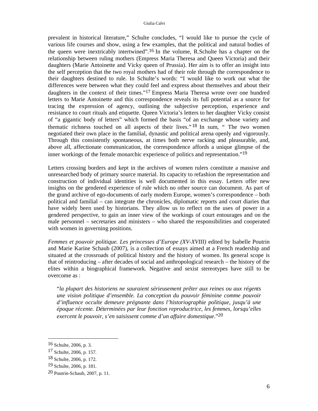prevalent in historical literature," Schulte concludes, "I would like to pursue the cycle of various life courses and show, using a few examples, that the political and natural bodies of the queen were inextricably intertwined".16 In the volume, R.Schulte has a chapter on the relationship between ruling mothers (Empress Maria Theresa and Queen Victoria) and their daughters (Marie Antoinette and Vicky queen of Prussia). Her aim is to offer an insight into the self perception that the two royal mothers had of their role through the correspondence to their daughters destined to rule. In Schulte's words: "I would like to work out what the differences were between what they could feel and express about themselves and about their daughters in the context of their times."17 Empress Maria Theresa wrote over one hundred letters to Marie Antoinette and this correspondence reveals its full potential as a source for tracing the expression of agency, outlining the subjective perception, experience and resistance to court rituals and etiquette. Queen Victoria's letters to her daughter Vicky consist of "a gigantic body of letters" which formed the basis "of an exchange whose variety and thematic richness touched on all aspects of their lives." 18 In sum, " The two women negotiated their own place in the familial, dynastic and political arena openly and vigorously. Through this consistently spontaneous, at times both nerve racking and pleasurable, and, above all, affectionate communication, the correspondence affords a unique glimpse of the inner workings of the female monarchic experience of politics and representation."19

Letters crossing borders and kept in the archives of women rulers constitute a massive and unresearched body of primary source material. Its capacity to refashion the representation and construction of individual identities is well documented in this essay. Letters offer new insights on the gendered experience of rule which no other source can document. As part of the grand archive of ego-documents of early modern Europe, women's correspondence – both political and familial – can integrate the chronicles, diplomatic reports and court diaries that have widely been used by historians. They allow us to reflect on the uses of power in a gendered perspective, to gain an inner view of the workings of court entourages and on the male personnel – secretaries and ministers – who shared the responsibilities and cooperated with women in governing positions.

*Femmes et pouvoir politique. Les princesses d'Europe (XV-XVIII)* edited by Isabelle Poutrin and Marie Karine Schaub (2007), is a collection of essays aimed at a French readership and situated at the crossroads of political history and the history of women. Its general scope is that of reintroducing – after decades of social and anthropological research – the history of the elites within a biographical framework. Negative and sexist stereotypes have still to be overcome as :

"*la plupart des historiens ne sauraient sérieusement prêter aux reines ou aux régents une vision politique d'ensemble. La conception du pouvoir féminine comme pouvoir d'influence occulte demeure prégnante dans l'historiographie politique, jusqu'à une époque récente. Déterminées par leur fonction reproductrice, les femmes, lorsqu'elles exercent le pouvoir, s'en saisissent comme d'un affaire domestique*."20

l

<sup>16</sup> Schulte, 2006, p. 3.

<sup>17</sup> Schulte, 2006, p. 157.

<sup>18</sup> Schulte, 2006, p. 172.

<sup>19</sup> Schulte, 2006, p. 181.

<sup>20</sup> Poutrin-Schaub, 2007, p. 11.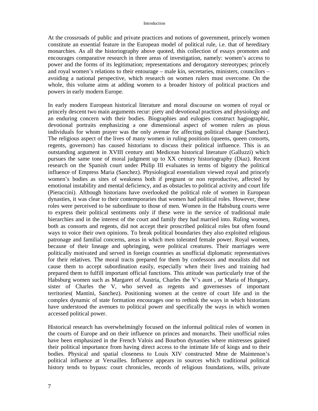At the crossroads of public and private practices and notions of government, princely women constitute an essential feature in the European model of political rule, i.e. that of hereditary monarchies. As all the historiography above quoted, this collection of essays promotes and encourages comparative research in three areas of investigation, namely: women's access to power and the forms of its legitimation; representations and derogatory stereotypes; princely and royal women's relations to their entourage – male kin, secretaries, ministers, councilors – avoiding a national perspective, which research on women rulers must overcome. On the whole, this volume aims at adding women to a broader history of political practices and powers in early modern Europe.

In early modern European historical literature and moral discourse on women of royal or princely descent two main arguments recur: piety and devotional practices and physiology and an enduring concern with their bodies. Biographies and eulogies construct hagiographic, devotional portraits emphasizing a one dimensional aspect of women rulers as pious individuals for whom prayer was the only avenue for affecting political change (Sanchez). The religious aspect of the lives of many women in ruling positions (queens, queen consorts, regents, governors) has caused historians to discuss their political influence. This is an outstanding argument in XVIII century anti Medicean historical literature (Galluzzi) which pursues the same tone of moral judgment up to XX century historiography (Diaz). Recent research on the Spanish court under Philip III evaluates in terms of bigotry the political influence of Empress Maria (Sanchez). Physiological essentialism viewed royal and princely women's bodies as sites of weakness both if pregnant or non reproductive, affected by emotional instability and mental deficiency, and as obstacles to political activity and court life (Pieraccini). Although historians have overlooked the political role of women in European dynasties, it was clear to their contemporaries that women had political roles. However, these roles were perceived to be subordinate to those of men. Women in the Habsburg courts were to express their political sentiments only if these were in the service of traditional male hierarchies and in the interest of the court and family they had married into. Ruling women, both as consorts and regents, did not accept their proscribed political roles but often found ways to voice their own opinions. To break political boundaries they also exploited religious patronage and familial concerns, areas in which men tolerated female power. Royal women, because of their lineage and upbringing, were political creatures. Their marriages were politically motivated and served in foreign countries as unofficial diplomatic representatives for their relatives. The moral tracts prepared for them by confessors and moralists did not cause them to accept subordination easily, especially when their lives and training had prepared them to fulfill important official functions. This attitude was particularly true of the Habsburg women such as Margaret of Austria, Charles the V's aunt , or Maria of Hungary, sister of Charles the V, who served as regents and governesses of important territories( Mantini, Sanchez). Positioning women at the centre of court life and in the complex dynamic of state formation encourages one to rethink the ways in which historians have understood the avenues to political power and specifically the ways in which women accessed political power.

Historical research has overwhelmingly focused on the informal political roles of women in the courts of Europe and on their influence on princes and monarchs. Their unofficial roles have been emphasized in the French Valois and Bourbon dynasties where mistresses gained their political importance from having direct access to the intimate life of kings and to their bodies. Physical and spatial closeness to Louis XIV constructed Mme de Maintenon's political influence at Versailles. Influence appears in sources which traditional political history tends to bypass: court chronicles, records of religious foundations, wills, private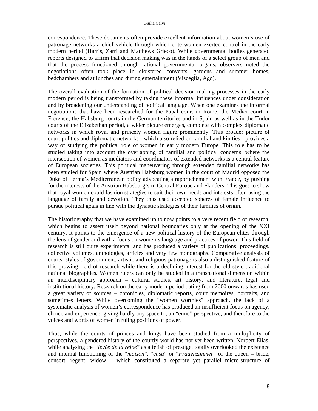correspondence. These documents often provide excellent information about women's use of patronage networks a chief vehicle through which elite women exerted control in the early modern period (Harris, Zarri and Matthews Grieco). While governmental bodies generated reports designed to affirm that decision making was in the hands of a select group of men and that the process functioned through rational governmental organs, observers noted the negotiations often took place in cloistered convents, gardens and summer homes, bedchambers and at lunches and during entertainment (Visceglia, Ago).

The overall evaluation of the formation of political decision making processes in the early modern period is being transformed by taking these informal influences under consideration and by broadening our understanding of political language. When one examines the informal negotiations that have been researched for the Papal court in Rome, the Medici court in Florence, the Habsburg courts in the German territories and in Spain as well as in the Tudor courts of the Elizabethan period, a wider picture emerges, complete with complex diplomatic networks in which royal and princely women figure prominently. This broader picture of court politics and diplomatic networks - which also relied on familial and kin ties - provides a way of studying the political role of women in early modern Europe. This role has to be studied taking into account the overlapping of familial and political concerns, where the intersection of women as mediators and coordinators of extended networks is a central feature of European societies. This political maneuvering through extended familial networks has been studied for Spain where Austrian Habsburg women in the court of Madrid opposed the Duke of Lerma's Mediterranean policy advocating a rapprochement with France, by pushing for the interests of the Austrian Habsburg's in Central Europe and Flanders. This goes to show that royal women could fashion strategies to suit their own needs and interests often using the language of family and devotion. They thus used accepted spheres of female influence to pursue political goals in line with the dynastic strategies of their families of origin.

The historiography that we have examined up to now points to a very recent field of research, which begins to assert itself beyond national boundaries only at the opening of the XXI century. It points to the emergence of a new political history of the European elites through the lens of gender and with a focus on women's language and practices of power. This field of research is still quite experimental and has produced a variety of publications: proceedings, collective volumes, anthologies, articles and very few monographs. Comparative analysis of courts, styles of government, artistic and religious patronage is also a distinguished feature of this growing field of research while there is a declining interest for the old style traditional national biographies. Women rulers can only be studied in a transnational dimension within an interdisciplinary approach – cultural studies, art history, and literature, legal and institutional history. Research on the early modern period dating from 2000 onwards has used a great variety of sources – chronicles, diplomatic reports, court memoires, portraits, and sometimes letters. While overcoming the "women worthies" approach, the lack of a systematic analysis of women's correspondence has produced an insufficient focus on agency, choice and experience, giving hardly any space to, an "emic" perspective, and therefore to the voices and words of women in ruling positions of power.

Thus, while the courts of princes and kings have been studied from a multiplicity of perspectives, a gendered history of the courtly world has not yet been written. Norbert Elias, while analysing the "*levée de la reine*" as a fetish of prestige, totally overlooked the existence and internal functioning of the "*maison*", "*casa*" or "*Frauenzimmer*" of the queen – bride, consort, regent, widow – which constituted a separate yet parallel micro-structure of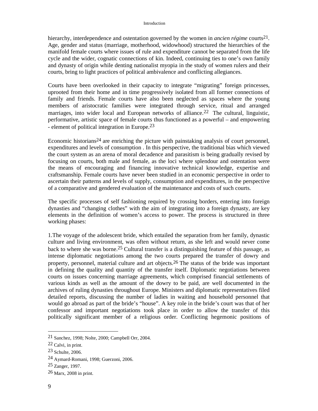hierarchy, interdependence and ostentation governed by the women in *ancien régime* courts<sup>21</sup>. Age, gender and status (marriage, motherhood, widowhood) structured the hierarchies of the manifold female courts where issues of rule and expenditure cannot be separated from the life cycle and the wider, cognatic connections of kin. Indeed, continuing ties to one's own family and dynasty of origin while denting nationalist myopia in the study of women rulers and their courts, bring to light practices of political ambivalence and conflicting allegiances.

Courts have been overlooked in their capacity to integrate "migrating" foreign princesses, uprooted from their home and in time progressively isolated from all former connections of family and friends. Female courts have also been neglected as spaces where the young members of aristocratic families were integrated through service, ritual and arranged marriages, into wider local and European networks of alliance.<sup>22</sup> The cultural, linguistic, performative, artistic space of female courts thus functioned as a powerful – and empowering - element of political integration in Europe.<sup>23</sup>

Economic historians<sup>24</sup> are enriching the picture with painstaking analysis of court personnel, expenditures and levels of consumption . In this perspective, the traditional bias which viewed the court system as an arena of moral decadence and parasitism is being gradually revised by focusing on courts, both male and female, as the loci where splendour and ostentation were the means of encouraging and financing innovative technical knowledge, expertise and craftsmanship. Female courts have never been studied in an economic perspective in order to ascertain their patterns and levels of supply, consumption and expenditures, in the perspective of a comparative and gendered evaluation of the maintenance and costs of such courts.

The specific processes of self fashioning required by crossing borders, entering into foreign dynasties and "changing clothes" with the aim of integrating into a foreign dynasty, are key elements in the definition of women's access to power. The process is structured in three working phases:

1.The voyage of the adolescent bride, which entailed the separation from her family, dynastic culture and living environment, was often without return, as she left and would never come back to where she was borne.25 Cultural transfer is a distinguishing feature of this passage, as intense diplomatic negotiations among the two courts prepared the transfer of dowry and property, personnel, material culture and art objects.26 The status of the bride was important in defining the quality and quantity of the transfer itself. Diplomatic negotiations between courts on issues concerning marriage agreements, which comprised financial settlements of various kinds as well as the amount of the dowry to be paid, are well documented in the archives of ruling dynasties throughout Europe. Ministers and diplomatic representatives filed detailed reports, discussing the number of ladies in waiting and household personnel that would go abroad as part of the bride's "house". A key role in the bride's court was that of her confessor and important negotiations took place in order to allow the transfer of this politically significant member of a religious order. Conflicting hegemonic positions of

<sup>21</sup> Sanchez, 1998; Nolte, 2000; Campbell Orr, 2004.

<sup>22</sup> Calvi, in print.

<sup>23</sup> Schulte, 2006.

<sup>24</sup> Aymard-Romani, 1998; Guerzoni, 2006.

<sup>25</sup> Zanger, 1997.

<sup>26</sup> Marx, 2008 in print.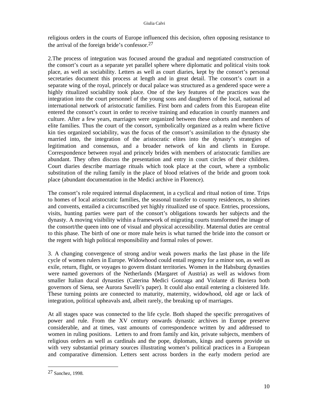religious orders in the courts of Europe influenced this decision, often opposing resistance to the arrival of the foreign bride's confessor.27

2.The process of integration was focused around the gradual and negotiated construction of the consort's court as a separate yet parallel sphere where diplomatic and political visits took place, as well as sociability. Letters as well as court diaries, kept by the consort's personal secretaries document this process at length and in great detail. The consort's court in a separate wing of the royal, princely or ducal palace was structured as a gendered space were a highly ritualized sociability took place. One of the key features of the practices was the integration into the court personnel of the young sons and daughters of the local, national ad international network of aristocratic families. First born and cadets from this European elite entered the consort's court in order to receive training and education in courtly manners and culture. After a few years, marriages were organized between these cohorts and members of elite families. Thus the court of the consort, symbolically organized as a realm where fictive kin ties organized sociability, was the focus of the consort's assimilation to the dynasty she married into, the integration of the aristocratic elites into the dynasty's strategies of legitimation and consensus, and a broader network of kin and clients in Europe. Correspondence between royal and princely brides with members of aristocratic families are abundant. They often discuss the presentation and entry in court circles of their children. Court diaries describe marriage rituals which took place at the court, where a symbolic substitution of the ruling family in the place of blood relatives of the bride and groom took place (abundant documentation in the Medici archive in Florence).

The consort's role required internal displacement, in a cyclical and ritual notion of time. Trips to homes of local aristocratic families, the seasonal transfer to country residences, to shrines and convents, entailed a circumscribed yet highly ritualized use of space. Entries, processions, visits, hunting parties were part of the consort's obligations towards her subjects and the dynasty. A moving visibility within a framework of migrating courts transformed the image of the consort/the queen into one of visual and physical accessibility. Maternal duties are central to this phase. The birth of one or more male heirs is what turned the bride into the consort or the regent with high political responsibility and formal roles of power.

3. A changing convergence of strong and/or weak powers marks the last phase in the life cycle of women rulers in Europe. Widowhood could entail regency for a minor son, as well as exile, return, flight, or voyages to govern distant territories. Women in the Habsburg dynasties were named governors of the Netherlands (Margaret of Austria) as well as widows from smaller Italian ducal dynasties (Caterina Medici Gonzaga and Violante di Baviera both governors of Siena, see Aurora Savelli's paper). It could also entail entering a cloistered life. These turning points are connected to maturity, maternity, widowhood, old age or lack of integration, political upheavals and, albeit rarely, the breaking up of marriages.

At all stages space was connected to the life cycle. Both shaped the specific prerogatives of power and rule. From the XV century onwards dynastic archives in Europe preserve considerable, and at times, vast amounts of correspondence written by and addressed to women in ruling positions. Letters to and from family and kin, private subjects, members of religious orders as well as cardinals and the pope, diplomats, kings and queens provide us with very substantial primary sources illustrating women's political practices in a European and comparative dimension. Letters sent across borders in the early modern period are

<sup>27</sup> Sanchez, 1998.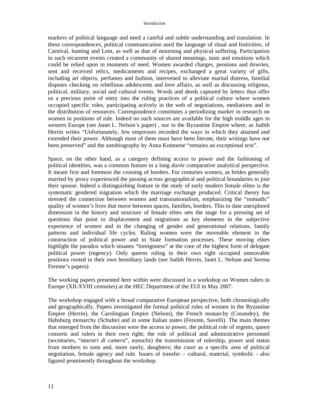markers of political language and need a careful and subtle understanding and translation. In these correspondences, political communication used the language of ritual and festivities, of Carnival, hunting and Lent, as well as that of mourning and physical suffering. Participation in such recurrent events created a community of shared meanings, taste and emotions which could be relied upon in moments of need. Women awarded charges, pensions and dowries, sent and received relics, medicaments and recipes, exchanged a great variety of gifts, including art objects, perfumes and fashion, intervened to alleviate marital distress, familial disputes checking on rebellious adolescents and love affairs, as well as discussing religious, political, military, social and cultural events. Words and deeds captured by letters thus offer us a precious point of entry into the ruling practices of a political culture where women occupied specific roles, participating actively in the web of negotiations, mediations and in the distribution of resources. Correspondence constitutes a periodizing marker in research on women in positions of rule. Indeed no such sources are available for the high middle ages in western Europe (see Janet L. Nelson's paper) , nor in the Byzantine Empire where, as Judith Herrin writes "Unfortunately, few empresses recorded the ways in which they attained and extended their power. Although most of them must have been literate, their writings have not been preserved" and the autobiography by Anna Komnene "remains an exceptional text".

Space, on the other hand, as a category defining access to power and the fashioning of political identities, was a common feature in a long *durée* comparative analytical perspective. It meant first and foremost the crossing of borders. For centuries women, as brides generally married by proxy experienced the passing across geographical and political boundaries to join their spouse. Indeed a distinguishing feature in the study of early modern female elites is the systematic gendered migration which the marriage exchange produced. Critical theory has stressed the connection between women and transnationalism, emphasizing the "nomadic" quality of women's lives that move between spaces, families, borders. This to date unexplored dimension in the history and structure of female elites sets the stage for a pressing set of questions that point to displacement and migrations as key elements in the subjective experience of women and in the changing of gender and generational relations, family patterns and individual life cycles. Ruling women were the moveable element in the construction of political power and in State formation processes. These moving elites highlight the paradox which situates "foreignness" at the core of the highest form of delegate political power (regency). Only queens ruling in their own right occupied unmovable positions rooted in their own hereditary lands (see Judith Herrin, Janet L. Nelson and Serena Ferente's papers)

The working papers presented here within were discussed in a workshop on Women rulers in Europe (XII-XVIII centuries) at the HEC Department of the EUI in May 2007.

The workshop engaged with a broad comparative European perspective, both chronologically and geographically. Papers investigated the formal political roles of women in the Byzantine Empire (Herrin), the Carolingian Empire (Nelson), the French monarchy (Cosandey), the Habsburg monarchy (Schulte) and in some Italian states (Ferente, Savelli). The main themes that emerged from the discussion were the access to power, the political role of regents, queen consorts and rulers in their own right; the role of political and administrative personnel (secretaries, "*maestri di camera*", eunuchs) the transmission of rulership, power and status from mothers to sons and, more rarely, daughters; the court as a specific area of political negotiation, female agency and rule. Issues of transfer – cultural, material, symbolic - also figured prominently throughout the workshop.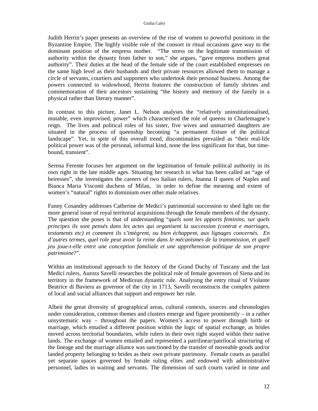Judith Herrin's paper presents an overview of the rise of women to powerful positions in the Byzantine Empire. The highly visible role of the consort in ritual occasions gave way to the dominant position of the empress mother. "The stress on the legitimate transmission of authority within the dynasty from father to son," she argues, "gave empress mothers great authority". Their duties at the head of the female side of the court established empresses on the same high level as their husbands and their private resources allowed them to manage a circle of servants, courtiers and supporters who undertook their personal business. Among the powers connected to widowhood, Herrin features the construction of family shrines and commemoration of their ancestors sustaining "the history and memory of the family in a physical rather than literary manner".

In contrast to this picture, Janet L. Nelson analyses the "relatively uninstitutionalised, mutable, even improvised, power" which characterised the role of queens in Charlemagne's reign. The lives and political roles of his sister, five wives and unmarried daughters are situated in the process of queenship becoming "a permanent fixture of the political landscape". Yet, in spite of this overall trend, discontinuities prevailed as "their real-life political power was of the personal, informal kind, none the less significant for that, but timebound, transient".

Serena Ferente focuses her argument on the legitimation of female political authority in its own right in the late middle ages. Situating her research in what has been called an "age of heiresses", she investigates the careers of two Italian rulers, Joanna II queen of Naples and Bianca Maria Visconti duchess of Milan, in order to define the meaning and extent of women's "natural" rights to dominium over other male relatives.

Fanny Cosandey addresses Catherine de Medici's patrimonial succession to shed light on the more general issue of royal territorial acquisitions through the female members of the dynasty. The question she poses is that of understanding "*quels sont les apports feminins, sur quels principes ils sont pensés dans les actes qui organisent la succession (contrat e marriages, testaments etc) et comment ils s'intègrent, ou bien échappent, aux lignages concernés. En d'autres termes, quel role peut avoir la reine dans le mécanismes de la transmission, et quell jeu joue-t-elle entre une conception familiale et une appréhension politique de son propre patrimoine*?".

Within an institutional approach to the history of the Grand Duchy of Tuscany and the last Medici rulers, Aurora Savelli researches the political role of female governors of Siena and its territory in the framework of Medicean dynastic rule. Analysing the entry ritual of Violante Beatrice di Baviera as governor of the city in 1713, Savelli reconstructs the complex pattern of local and social alliances that support and empower her rule.

Albeit the great diversity of geographical areas, cultural contexts, sources and chronologies under consideration, common themes and clusters emerge and figure prominently – in a rather unsystematic way – throughout the papers. Women's access to power through birth or marriage, which entailed a different position within the logic of spatial exchange, as brides moved across territorial boundaries, while rulers in their own right stayed within their native lands. The exchange of women entailed and represented a patrilinear/patrilocal structuring of the lineage and the marriage alliance was sanctioned by the transfer of moveable goods and/or landed property belonging to brides as their own private patrimony. Female courts as parallel yet separate spaces governed by female ruling elites and endowed with administrative personnel, ladies in waiting and servants. The dimension of such courts varied in time and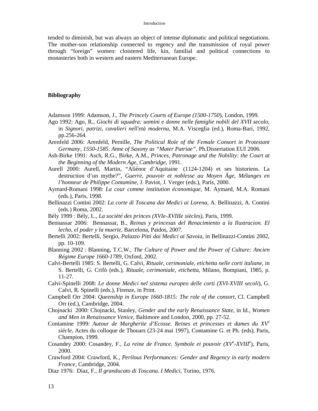tended to diminish, but was always an object of intense diplomatic and political negotiations. The mother-son relationship connected to regency and the transmission of royal power through "foreign" women: cloistered life, kin, familial and political connections to monasteries both in western and eastern Mediterranean Europe.

#### **Bibliography**

- Adamson 1999: Adamson, J., *The Princely Courts of Europe (1500-1750*), London, 1999.
- Ago 1992: Ago, R., *Giochi di squadra: uomini e donne nelle famiglie nobili del XVII secolo*, in *Signori, patrizi, cavalieri nell'età moderna*, M.A. Visceglia (ed.), Roma-Bari, 1992, pp.256-264.
- Arenfeld 2006: Arenfeld, Pernille, *The Political Role of the Female Consort in Protestant Germany, 1550-1585*. *Anne of Saxony as "Mater Patriae"*. Ph.Dissertation EUI 2006.
- Ash-Birke 1991: Asch, R.G., Birke, A.M., *Princes, Patronage and the Nobility: the Court at the Beginning of the Modern Age, Cambridge*, 1991.
- Aurell 2000: Aurell, Martin, "Aliénor d'Aquitaine (1124-1204) et ses historiens. La destruction d'un mythe?", *Guerre, pouvoir et noblesse au Moyen Âge, Mélanges en l'honneur de Philippe Contamine*, J. Paviot, J. Verger (eds.), Paris, 2000.
- Aymard-Romani 1998: *La cour comme institution économique*, M. Aymard, M.A. Romani (eds.), Paris, 1998.
- Bellinazzi Contini 2002: *La corte di Toscana dai Medici ai Lorena*, A. Bellinazzi, A. Contini (eds.) Roma, 2002.
- Bély 1999 : Bély, L., *La société des princes (XVIe-XVIIIe siècles)*, Paris, 1999.
- Bennassar 2006: Bennassar, B., *Reinas y princesas del Renacimiento a la Ilustracion. El lecho, el poder y la muerte*, Barcelona, Paidos, 2007.
- Bertelli 2002: Bertelli, Sergio, *Palazzo Pitti dai Medici ai Savoia*, in Bellinazzi-Contini 2002, pp. 10-109.
- Blanning 2002 : Blanning, T.C.W., *The Culture of Power and the Power of Culture: Ancien Régime Europe 1660-1789*, Oxford, 2002.
- Calvi-Bertelli 1985: S. Bertelli, G. Calvi, *Rituale, cerimoniale, etichetta nelle corti italiane*, in S. Bertelli, G. Crifò (eds.), *Rituale, cerimoniale, etichetta*, Milano, Bompiani, 1985, p. 11-27.
- Calvi-Spinelli 2008: *Le donne Medici nel sistema europeo delle corti (XVI-XVIII secoli*), G. Calvi, R. Spinelli (eds.), Firenze, in Print.
- Campbell Orr 2004: *Queenship in Europe 1660-1815: The role of the consort*, Cl. Campbell Orr (ed.), Cambridge, 2004.
- Chojnacki 2000: Chojnacki, Stanley, *Gender and the early Renaissance State*, in Id., *Women and Men in Renaissance Venice*, Baltimore and London, 2000, pp. 27-52.
- Contamine 1999: *Autour de Margherite d'Ecosse. Reines et princesses et dames du XV<sup>e</sup> siècle*, Actes du colloque de Thouars (23-24 mai 1997), Contamine G. et Ph. (eds), Paris, Champion, 1999.
- Cosandey 2000: Cosandey, F., *La reine de France. Symbole et pouvoir (XV<sup>e</sup>-XVIII<sup>e</sup>), Paris,* 2000.
- Crawford 2004: Crawford, K., *Perilous Performances: Gender and Regency in early modern France*, Cambridge, 2004.
- Diaz 1976: Diaz, F., *Il granducato di Toscana. I Medici,* Torino, 1976.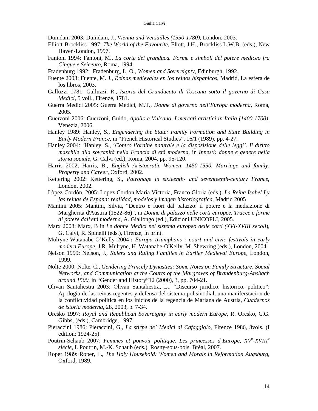Duindam 2003: Duindam, J., *Vienna and Versailles (1550-1780)*, London, 2003.

- Elliott-Brockliss 1997: *The World of the Favourite*, Eliott, J.H., Brockliss L.W.B. (eds.), New Haven-London, 1997.
- Fantoni 1994: Fantoni, M., *La corte del granduca. Forme e simboli del potere mediceo fra Cinque e Seicento*, Roma, 1994.
- Fradenburg 1992: Fradenburg, L. O., *Women and Sovereignty*, Edinburgh, 1992.
- Fuente 2003: Fuente, M. J., *Reinas medievales en los reinos hispanicos*, Madrid, La esfera de los libros, 2003.
- Galluzzi 1781: Galluzzi, R., *Istoria del Granducato di Toscana sotto il governo di Casa Medici*, 5 voll., Firenze, 1781.
- Guerra Medici 2005: Guerra Medici, M.T., *Donne di governo nell'Europa moderna*, Roma, 2005.
- Guerzoni 2006: Guerzoni, Guido, *Apollo e Vulcano. I mercati artistici in Italia (1400-1700)*, Venezia, 2006.
- Hanley 1989: Hanley, S., *Engendering the State: Family Formation and State Building in Early Modern France*, in "French Historical Studies", 16/1 (1989), pp. 4-27.
- Hanley 2004: Hanley, S., '*Contro l'ordine naturale e la disposizione delle leggi'. Il diritto maschile alla sovranità nella Francia di età moderna*, in *Innesti: donne e genere nella storia sociale*, G. Calvi (ed.), Roma, 2004, pp. 95-120.
- Harris 2002, Harris, B., *English Aristocratic Women, 1450-1550. Marriage and family, Property and Career*, Oxford, 2002.
- Kettering 2002: Kettering, S., *Patronage in sixteenth- and seventeenth-century France*, London, 2002.
- Lòpez-Cordòn, 2005: Lopez-Cordon Maria Victoria, Franco Gloria (eds.), *La Reina Isabel I y las reinas de Espana: realidad, modelos y imagen historiografica,* Madrid 2005
- Mantini 2005: Mantini, Silvia, "Dentro e fuori dal palazzo: il potere e la mediazione di Margherita d'Austria (1522-86)", in *Donne di palazzo nelle corti europee. Tracce e forme di potere dall'età moderna*, A. Giallongo (ed.), Edizioni UNICOPLI, 2005.
- Marx 2008: Marx, B in *Le donne Medici nel sistema europeo delle corti (XVI-XVIII secoli*), G. Calvi, R. Spinelli (eds.), Firenze, in print.
- Mulryne**-**Watanabe**-**O'Kelly 2004 **:** *Europa triumphans : court and civic festivals in early modern Europe*, J.R. Mulryne, H. Watanabe-O'Kelly, M. Shewring (eds.), London, 2004.
- Nelson 1999: Nelson, J., *Rulers and Ruling Families in Earlier Medieval Europe*, London, 1999.
- Nolte 2000: Nolte, C., *Gendering Princely Dynasties: Some Notes on Family Structure, Social Networks, and Communication at the Courts of the Margraves of Brandenburg-Ansbach around 1500*, in "Gender and History"12 (2000), 3, pp. 704-21.
- Olivan Santaliestra 2003: Olivan Santaliestra, L., "Discurso juridico, historico, politico": Apologia de las reinas regentes y defensa del sistema polisinodial, una maniferstacion de la conflictividad politica en los inicios de la regencia de Mariana de Austria, *Cuadernos de istoria moderna*, 28, 2003, p. 7-34.
- Oresko 1997: *Royal and Republican Sovereignty in early modern Europe*, R. Oresko, C.G. Gibbs, (eds.), Cambridge, 1997.
- Pieraccini 1986: Pieraccini, G., *La stirpe de' Medici di Cafaggiolo*, Firenze 1986, 3vols. (I edition: 1924-25)
- Poutrin-Schaub 2007: *Femmes et pouvoir politique. Les princesses d'Europe, XV<sup>e</sup> -XVIII<sup>e</sup> siècle*, I. Poutrin, M.-K. Schaub (eds.), Rosny-sous-bois, Bréal, 2007.
- Roper 1989: Roper, L., *The Holy Household: Women and Morals in Reformation Augsburg*, Oxford, 1989.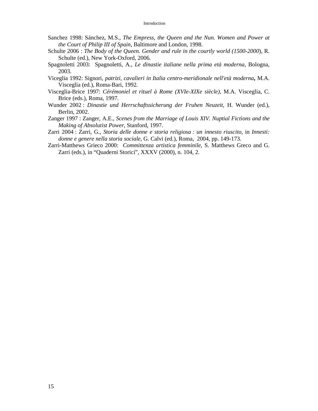- Sanchez 1998: Sánchez, M.S., *The Empress, the Queen and the Nun. Women and Power at the Court of Philip III of Spain*, Baltimore and London, 1998.
- Schulte 2006 : *The Body of the Queen. Gender and rule in the courtly world (1500-2000*), R. Schulte (ed.), New York-Oxford, 2006.
- Spagnoletti 2003: Spagnoletti, A., *Le dinastie italiane nella prima età moderna*, Bologna, 2003.
- Viceglia 1992: Signori*, patrizi, cavalieri in Italia centro-meridionale nell'età moderna***,** M.A. Visceglia (ed.), Roma-Bari, 1992.
- Visceglia-Brice 1997: *Cérémoniel et rituel à Rome (XVIe-XIXe siècle)*, M.A. Visceglia, C. Brice (eds.), Roma, 1997.
- Wunder 2002 : *Dinastie und Herrschaftssicherung der Fruhen Neuzeit*, H. Wunder (ed.), Berlin, 2002.
- Zanger 1997 : Zanger, A.E., *Scenes from the Marriage of Louis XIV. Nuptial Fictions and the Making of Absolutist Power*, Stanford, 1997.
- Zarri 2004 : Zarri, G., *Storia delle donne e storia religiosa : un innesto riuscito*, in *Innesti: donne e genere nella storia sociale*, G. Calvi (ed.), Roma, 2004, pp. 149-173.
- Zarri-Matthews Grieco 2000: *Committenza artistica femminile*, S. Matthews Greco and G. Zarri (eds.), in "Quaderni Storici", XXXV (2000), n. 104, 2.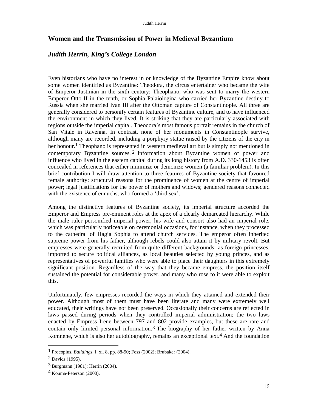## **Women and the Transmission of Power in Medieval Byzantium**

## *Judith Herrin, King's College London*

Even historians who have no interest in or knowledge of the Byzantine Empire know about some women identified as Byzantine: Theodora, the circus entertainer who became the wife of Emperor Justinian in the sixth century; Theophano, who was sent to marry the western Emperor Otto II in the tenth, or Sophia Palaiologina who carried her Byzantine destiny to Russia when she married Ivan III after the Ottoman capture of Constantinople. All three are generally considered to personify certain features of Byzantine culture, and to have influenced the environment in which they lived. It is striking that they are particularly associated with regions outside the imperial capital. Theodora's most famous portrait remains in the church of San Vitale in Ravenna. In contrast, none of her monuments in Constantinople survive, although many are recorded, including a porphyry statue raised by the citizens of the city in her honour.<sup>1</sup> Theophano is represented in western medieval art but is simply not mentioned in contemporary Byzantine sources. 2 Information about Byzantine women of power and influence who lived in the eastern capital during its long history from A.D. 330-1453 is often concealed in references that either minimize or demonize women (a familiar problem). In this brief contribution I will draw attention to three features of Byzantine society that favoured female authority: structural reasons for the prominence of women at the centre of imperial power; legal justifications for the power of mothers and widows; gendered reasons connected with the existence of eunuchs, who formed a 'third sex'.

Among the distinctive features of Byzantine society, its imperial structure accorded the Emperor and Empress pre-eminent roles at the apex of a clearly demarcated hierarchy. While the male ruler personified imperial power, his wife and consort also had an imperial role, which was particularly noticeable on ceremonial occasions, for instance, when they processed to the cathedral of Hagia Sophia to attend church services. The emperor often inherited supreme power from his father, although rebels could also attain it by military revolt. But empresses were generally recruited from quite different backgrounds: as foreign princesses, imported to secure political alliances, as local beauties selected by young princes, and as representatives of powerful families who were able to place their daughters in this extremely significant position. Regardless of the way that they became empress, the position itself sustained the potential for considerable power, and many who rose to it were able to exploit this.

Unfortunately, few empresses recorded the ways in which they attained and extended their power. Although most of them must have been literate and many were extremely well educated, their writings have not been preserved. Occasionally their concerns are reflected in laws passed during periods when they controlled imperial administration; the two laws enacted by Empress Irene between 797 and 802 provide examples, but these are rare and contain only limited personal information.3 The biography of her father written by Anna Komnene, which is also her autobiography, remains an exceptional text.<sup>4</sup> And the foundation

<sup>1</sup> Procopius, *Buildings*, I, xi. 8, pp. 88-90; Foss (2002); Brubaker (2004).

<sup>2</sup> Davids (1995).

<sup>3</sup> Burgmann (1981); Herrin (2004).

<sup>4</sup> Kouma-Peterson (2000).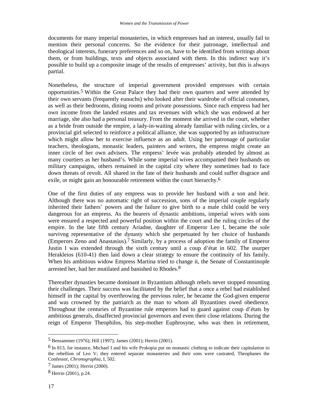documents for many imperial monasteries, in which empresses had an interest, usually fail to mention their personal concerns. So the evidence for their patronage, intellectual and theological interests, funerary preferences and so on, have to be identified from writings about them, or from buildings, texts and objects associated with them. In this indirect way it's possible to build up a composite image of the results of empresses' activity, but this is always partial.

Nonetheless, the structure of imperial government provided empresses with certain opportunities.5 Within the Great Palace they had their own quarters and were attended by their own servants (frequently eunuchs) who looked after their wardrobe of official costumes, as well as their bedrooms, dining rooms and private possessions. Since each empress had her own income from the landed estates and tax revenues with which she was endowed at her marriage, she also had a personal treasury. From the moment she arrived in the court, whether as a bride from outside the empire, a lady-in-waiting already familiar with ruling circles, or a provincial girl selected to reinforce a political alliance, she was supported by an infrastructure which might allow her to exercise influence as an adult. Using her patronage of particular teachers, theologians, monastic leaders, painters and writers, the empress might create an inner circle of her own advisers. The empress' levée was probably attended by almost as many courtiers as her husband's. While some imperial wives accompanied their husbands on military campaigns, others remained in the capital city where they sometimes had to face down threats of revolt. All shared in the fate of their husbands and could suffer disgrace and exile, or might gain an honourable retirement within the court hierarchy.6

One of the first duties of any empress was to provide her husband with a son and heir. Although there was no automatic right of succession, sons of the imperial couple regularly inherited their fathers' powers and the failure to give birth to a male child could be very dangerous for an empress. As the bearers of dynastic ambitions, imperial wives with sons were ensured a respected and powerful position within the court and the ruling circles of the empire. In the late fifth century Ariadne, daughter of Emperor Leo I, became the sole survivng representative of the dynasty which she perpetuated by her choice of husbands (Emperors Zeno and Anastasius).7 Similarly, by a process of adoption the family of Emperor Justin I was extended through the sixth century until a coup d'état in 602. The usurper Herakleios (610-41) then laid down a clear strategy to ensure the continuity of his family. When his ambitious widow Empress Martina tried to change it, the Senate of Constantinople arrested her, had her mutilated and banished to Rhodes.8

Thereafter dynasties became dominant in Byzantium although rebels never stopped mounting their challenges. Their success was facilitated by the belief that a once a rebel had established himself in the capital by overthrowing the previous ruler, he became the God-given emperor and was crowned by the patriarch as the man to whom all Byzantines owed obedience. Throughout the centuries of Byzantine rule emperors had to guard against coup d'états by ambitious generals, disaffected provincial governors and even their close relations. During the reign of Emperor Theophilos, his step-mother Euphrosyne, who was then in retirement,

<sup>5</sup> Bensammer (1976); Hill (1997); James (2001); Herrin (2001).

 $6$  In 813, for instance, Michael I and his wife Prokopia put on monastic clothing to indicate their capitulation to the rebellion of Leo V; they entered separate monasteries and their sons were castrated, Theophanes the Confessor, *Chronographia*, I, 502.

<sup>7</sup> James (2001); Herrin (2000).

<sup>8</sup> Herrin (2001), p.24.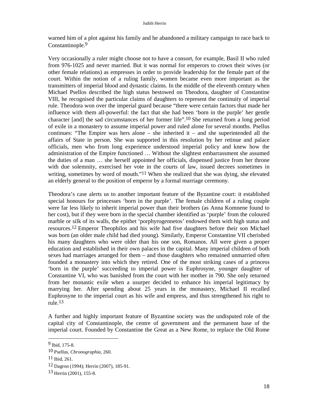warned him of a plot against his family and he abandoned a military campaign to race back to Constantinople.9

Very occasionally a ruler might choose not to have a consort, for example, Basil II who ruled from 976-1025 and never married. But it was normal for emperors to crown their wives (or other female relations) as empresses in order to provide leadership for the female part of the court. Within the notion of a ruling family, women became even more important as the transmitters of imperial blood and dynastic claims. In the middle of the eleventh century when Michael Psellos described the high status bestowed on Theodora, daughter of Constantine VIII, he recognised the particular claims of daughters to represent the continuity of imperial rule. Theodora won over the imperial guard because "there were certain factors that made her influence with them all-powerful: the fact that she had been 'born in the purple' her gentle character [and] the sad circumstances of her former life".10 She returned from a long period of exile in a monastery to assume imperial power and ruled alone for several months. Psellus continues: "The Empire was hers alone – she inherited it – and she superintended all the affairs of State in person. She was supported in this resolution by her retinue and palace officials, men who from long experience understood imperial policy and knew how the administration of the Empire functioned … Without the slightest embarrassment she assumed the duties of a man … she herself appointed her officials, dispensed justice from her throne with due solemnity, exercised her vote in the courts of law, issued decrees sometimes in writing, sometimes by word of mouth."<sup>11</sup> When she realized that she was dying, she elevated an elderly general to the position of emperor by a formal marriage ceremony.

Theodora's case alerts us to another important feature of the Byzantine court: it established special honours for princesses 'born in the purple'. The female children of a ruling couple were far less likely to inherit imperial power than their brothers (as Anna Komnene found to her cost), but if they were born in the special chamber identified as 'purple' from the coloured marble or silk of its walls, the epithet 'porphyrogennetos' endowed them with high status and resources.12 Emperor Theophilos and his wife had five daughters before their son Michael was born (an older male child had died young). Similarly, Emperor Constantine VII cherished his many daughters who were older than his one son, Romanos. All were given a proper education and established in their own palaces in the capital. Many imperial children of both sexes had marriages arranged for them – and those daughters who remained unmarried often founded a monastery into which they retired. One of the most striking cases of a princess 'born in the purple' succeeding to imperial power is Euphrosyne, younger daughter of Constantine VI, who was banished from the court with her mother in 790. She only returned from her monastic exile when a usurper decided to enhance his imperial legitimacy by marrying her. After spending about 25 years in the monastery, Michael II recalled Euphrosyne to the imperial court as his wife and empress, and thus strengthened his right to rule.13

A further and highly important feature of Byzantine society was the undisputed role of the capital city of Constantinople, the centre of government and the permanent base of the imperial court. Founded by Constantine the Great as a New Rome, to replace the Old Rome

<sup>9</sup> Ibid, 175-8.

<sup>10</sup> Psellus, *Chronographia,* 260.

<sup>11</sup> Ibid, 261.

<sup>12</sup> Dagron (1994); Herrin (2007), 185-91.

<sup>13</sup> Herrin (2001), 155-8.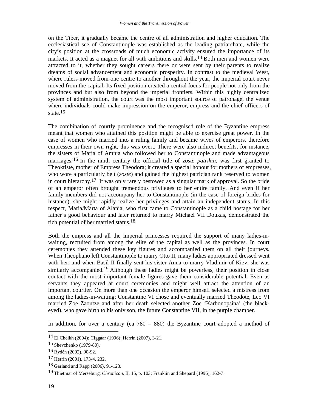on the Tiber, it gradually became the centre of all administration and higher education. The ecclesiastical see of Constantinople was established as the leading patriarchate, while the city's position at the crossroads of much economic activity ensured the importance of its markets. It acted as a magnet for all with ambitions and skills.14 Both men and women were attracted to it, whether they sought careers there or were sent by their parents to realize dreams of social advancement and economic prosperity. In contrast to the medieval West, where rulers moved from one centre to another throughout the year, the imperial court never moved from the capital. Its fixed position created a central focus for people not only from the provinces and but also from beyond the imperial frontiers. Within this highly centralized system of administration, the court was the most important source of patronage, the venue where individuals could make impression on the emperor, empress and the chief officers of state.15

The combination of courtly prominence and the recognised role of the Byzantine empress meant that women who attained this position might be able to exercise great power. In the case of women who married into a ruling family and became wives of emperors, therefore empresses in their own right, this was overt. There were also indirect benefits, for instance, the sisters of Maria of Amnia who followed her to Constantinople and made advantageous marriages.16 In the ninth century the official title of *zoste patrikia,* was first granted to Theoktiste, mother of Empress Theodora; it created a special honour for mothers of empresses, who wore a particularly belt (*zoste*) and gained the highest patrician rank reserved to women in court hierarchy.17 It was only rarely bestowed as a singular mark of approval. So the bride of an emperor often brought tremendous privileges to her entire family. And even if her family members did not accompany her to Constantinople (in the case of foreign brides for instance), she might rapidly realize her privileges and attain an independent status. In this respect, Maria/Marta of Alania, who first came to Constantinople as a child hostage for her father's good behaviour and later returned to marry Michael VII Doukas, demonstrated the rich potential of her married status.18

Both the empress and all the imperial princesses required the support of many ladies-inwaiting, recruited from among the elite of the capital as well as the provinces. In court ceremonies they attended these key figures and accompanied them on all their journeys. When Theophano left Constantinople to marry Otto II, many ladies appropriated dressed went with her; and when Basil II finally sent his sister Anna to marry Vladimir of Kiev, she was similarly accompanied.<sup>19</sup> Although these ladies might be powerless, their position in close contact with the most important female figures gave them considerable potential. Even as servants they appeared at court ceremonies and might well attract the attention of an important courtier. On more than one occasion the emperor himself selected a mistress from among the ladies-in-waiting; Constantine VI chose and eventually married Theodote, Leo VI married Zoe Zaoutze and after her death selected another Zoe 'Karbonopsina' (the blackeyed), who gave birth to his only son, the future Constantine VII, in the purple chamber.

In addition, for over a century (ca 780 – 880) the Byzantine court adopted a method of

<sup>14</sup> El Cheikh (2004); Ciggaar (1996); Herrin (2007), 3-21.

<sup>15</sup> Shevchenko (1979-80).

<sup>16</sup> Rydén (2002), 90-92.

<sup>17</sup> Herrin (2001), 173-4, 232.

<sup>18</sup> Garland and Rapp (2006), 91-123.

<sup>19</sup> Thietmar of Merseburg, *Chronicon,* II, 15, p. 103; Franklin and Shepard (1996), 162-7 .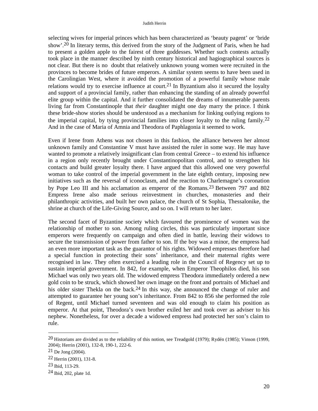selecting wives for imperial princes which has been characterized as 'beauty pagent' or 'bride show'.20 In literary terms, this derived from the story of the Judgment of Paris, when he had to present a golden apple to the fairest of three goddesses. Whether such contests actually took place in the manner described by ninth century historical and hagiographical sources is not clear. But there is no doubt that relatively unknown young women were recruited in the provinces to become brides of future emperors. A similar system seems to have been used in the Carolingian West, where it avoided the promotion of a powerful family whose male relations would try to exercise influence at court.<sup>21</sup> In Byzantium also it secured the loyalty and support of a provincial family, rather than enhancing the standing of an already powerful elite group within the capital. And it further consolidated the dreams of innumerable parents living far from Constantinople that *their* daughter might one day marry the prince. I think these bride-show stories should be understood as a mechanism for linking outlying regions to the imperial capital, by tying provincial families into closer loyalty to the ruling family.<sup>22</sup> And in the case of Maria of Amnia and Theodora of Paphlagonia it seemed to work.

Even if Irene from Athens was not chosen in this fashion, the alliance between her almost unknown family and Constantine V must have assisted the ruler in some way. He may have wanted to promote a relatively insignificant clan from central Greece – to extend his influence in a region only recently brought under Constantinopolitan control, and to strengthen his contacts and build greater loyalty there. I have argued that this allowed one very powerful woman to take control of the imperial government in the late eighth century, imposing new initiatives such as the reversal of iconoclasm, and the reaction to Charlemagne's coronation by Pope Leo III and his acclamation as emperor of the Romans.23 Between 797 and 802 Empress Irene also made serious reinvestment in churches, monasteries and their philanthropic activities, and built her own palace, the church of St Sophia, Thessalonike, the shrine at church of the Life-Giving Source, and so on. I will return to her later.

The second facet of Byzantine society which favoured the prominence of women was the relationship of mother to son. Among ruling circles, this was particularly important since emperors were frequently on campaign and often died in battle, leaving their widows to secure the transmission of power from father to son. If the boy was a minor, the empress had an even more important task as the guarantor of his rights. Widowed empresses therefore had a special function in protecting their sons' inheritance, and their maternal rights were recognised in law. They often exercised a leading role in the Council of Regency set up to sustain imperial government. In 842, for example, when Emperor Theophilos died, his son Michael was only two years old. The widowed empress Theodora immediately ordered a new gold coin to be struck, which showed her own image on the front and portraits of Michael and his older sister Thekla on the back.<sup>24</sup> In this way, she announced the change of ruler and attempted to guarantee her young son's inheritance. From 842 to 856 she performed the role of Regent, until Michael turned seventeen and was old enough to claim his position as emperor. At that point, Theodora's own brother exiled her and took over as adviser to his nephew. Nonetheless, for over a decade a widowed empress had protected her son's claim to rule.

<sup>20</sup> Historians are divided as to the reliability of this notion, see Treadgold (1979); Rydén (1985); Vinson (1999, 2004); Herrin (2001), 132-8, 190-1, 222-6.

<sup>21</sup> De Jong (2004).

<sup>22</sup> Herrin (2001), 131-8.

<sup>23</sup> Ibid, 113-29.

<sup>24</sup> Ibid, 202, plate 1d.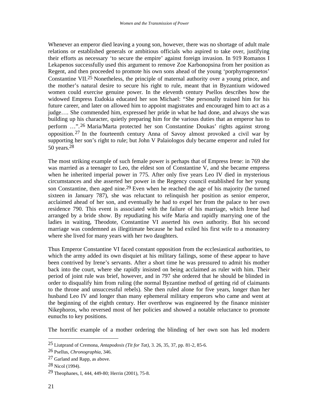Whenever an emperor died leaving a young son, however, there was no shortage of adult male relations or established generals or ambitious officials who aspired to take over, justifying their efforts as necessary 'to secure the empire' against foreign invasion. In 919 Romanos I Lekapenos successfully used this argument to remove Zoe Karbonopsina from her position as Regent, and then proceeded to promote his own sons ahead of the young 'porphyrogennetos' Constantine VII.25 Nonetheless, the principle of maternal authority over a young prince, and the mother's natural desire to secure his right to rule, meant that in Byzantium widowed women could exercise genuine power. In the eleventh century Psellos describes how the widowed Empress Eudokia educated her son Michael: "She personally trained him for his future career, and later on allowed him to appoint magistrates and encouraged him to act as a judge…. She commended him, expressed her pride in what he had done, and always she was building up his character, quietly preparing him for the various duties that an emperor has to perform …".26 Maria/Marta protected her son Constantine Doukas' rights against strong opposition. 27 In the fourteenth century Anna of Savoy almost provoked a civil war by supporting her son's right to rule; but John V Palaiologos duly became emperor and ruled for 50 years.28

The most striking example of such female power is perhaps that of Empress Irene: in 769 she was married as a teenager to Leo, the eldest son of Constantine V, and she became empress when he inherited imperial power in 775. After only five years Leo IV died in mysterious circumstances and she asserted her power in the Regency council established for her young son Constantine, then aged nine.29 Even when he reached the age of his majority (he turned sixteen in January 787), she was reluctant to relinquish her position as senior emperor, acclaimed ahead of her son, and eventually he had to expel her from the palace to her own residence 790. This event is associated with the failure of his marriage, which Irene had arranged by a bride show. By repudiating his wife Maria and rapidly marrying one of the ladies in waiting, Theodote, Constantine VI asserted his own authority. But his second marriage was condemned as illegitimate because he had exiled his first wife to a monastery where she lived for many years with her two daughters.

Thus Emperor Constantine VI faced constant opposition from the ecclesiastical authorities, to which the army added its own disquiet at his military failings, some of these appear to have been contrived by Irene's servants. After a short time he was pressured to admit his mother back into the court, where she rapidly insisted on being acclaimed as ruler with him. Their period of joint rule was brief, however, and in 797 she ordered that he should be blinded in order to disqualify him from ruling (the normal Byzantine method of getting rid of claimants to the throne and unsuccessful rebels). She then ruled alone for five years, longer than her husband Leo IV and longer than many ephemeral military emperors who came and went at the beginning of the eighth century. Her overthrow was engineered by the finance minister Nikephoros, who reversed most of her policies and showed a notable reluctance to promote eunuchs to key positions.

The horrific example of a mother ordering the blinding of her own son has led modern

<sup>25</sup> Liutprand of Cremona, *Antapodosis (Tit for Tat),* 3. 26, 35, 37, pp. 81-2, 85-6.

<sup>26</sup> Psellus, *Chronographia*, 346.

<sup>27</sup> Garland and Rapp, as above.

<sup>28</sup> Nicol (1994).

<sup>29</sup> Theophanes, I, 444, 449-80; Herrin (2001), 75-8.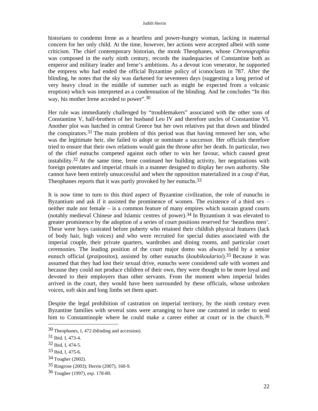historians to condemn Irene as a heartless and power-hungry woman, lacking in maternal concern for her only child. At the time, however, her actions were accepted albeit with some criticism. The chief contemporary historian, the monk Theophanes, whose *Chronographia* was composed in the early ninth century, records the inadequacies of Constantine both as emperor and military leader and Irene's ambitions. As a devout icon venerator, he supported the empress who had ended the official Byzantine policy of iconoclasm in 787. After the blinding, he notes that the sky was darkened for seventeen days (suggesting a long period of very heavy cloud in the middle of summer such as might be expected from a volcanic eruption) which was interpreted as a condemnation of the blinding. And he concludes "In this way, his mother Irene acceded to power".<sup>30</sup>

Her rule was immediately challenged by "troublemakers" associated with the other sons of Constantine V, half-brothers of her husband Leo IV and therefore uncles of Constantine VI. Another plot was hatched in central Greece but her own relatives put that down and blinded the conspirators.31 The main problem of this period was that having removed her son, who was the legitimate heir, she failed to adopt or nominate a successor. Her officials therefore tried to ensure that their own relations would gain the throne after her death. In particular, two of the chief eunuchs competed against each other to win her favour, which caused great instability.32 At the same time, Irene continued her building activity, her negotiations with foreign potentates and imperial rituals in a manner designed to display her own authority. She cannot have been entirely unsuccessful and when the opposition materialized in a coup d'état, Theophanes reports that it was partly provoked by her eunuchs.<sup>33</sup>

It is now time to turn to this third aspect of Byzantine civilization, the role of eunuchs in Byzantium and ask if it assisted the prominence of women. The existence of a third sex – neither male nor female – is a common feature of many empires which sustain grand courts (notably medieval Chinese and Islamic centres of power).34 In Byzantium it was elevated to greater prominence by the adoption of a series of court positions reserved for 'beardless men'. These were boys castrated before puberty who retained their childish physical features (lack of body hair, high voices) and who were recruited for special duties associated with the imperial couple, their private quarters, wardrobes and dining rooms, and particular court ceremonies. The leading position of the court major domo was always held by a senior eunuch official (*praipositos*), assisted by other eunuchs (*koubikoularioi*).35 Because it was assumed that they had lost their sexual drive, eunuchs were considered safe with women and because they could not produce children of their own, they were thought to be more loyal and devoted to their employers than other servants. From the moment when imperial brides arrived in the court, they would have been surrounded by these officials, whose unbroken voices, soft skin and long limbs set them apart.

Despite the legal prohibition of castration on imperial territory, by the ninth century even Byzantine families with several sons were arranging to have one castrated in order to send him to Constantinople where he could make a career either at court or in the church.<sup>36</sup>

<sup>30</sup> Theophanes, I, 472 (blinding and accession).

<sup>31</sup> Ibid. I, 473-4.

<sup>32</sup> Ibid, I, 474-5.

<sup>33</sup> Ibid, I, 475-6.

<sup>34</sup> Tougher (2002).

<sup>35</sup> Ringrose (2003); Herrin (2007), 160-9.

<sup>36</sup> Tougher (1997), esp. 178-80.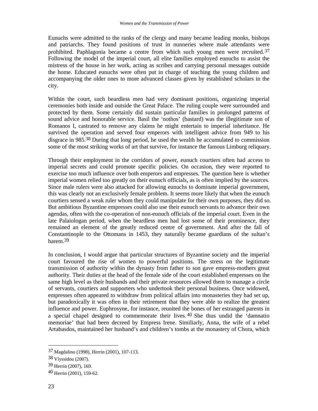Eunuchs were admitted to the ranks of the clergy and many became leading monks, bishops and patriarchs. They found positions of trust in nunneries where male attendants were prohibited. Paphlagonia became a centre from which such young men were recruited.37 Following the model of the imperial court, all elite families employed eunuchs to assist the mistress of the house in her work, acting as scribes and carrying personal messages outside the home. Educated eunuchs were often put in charge of teaching the young children and accompanying the older ones to more advanced classes given by established scholars in the city.

Within the court, such beardless men had very dominant positions, organizing imperial ceremonies both inside and outside the Great Palace. The ruling couple were surrounded and protected by them. Some certainly did sustain particular families in prolonged patterns of sound advice and honorable service. Basil the 'nothos' (bastard) was the illegitimate son of Romanos I, castrated to remove any claims he might entertain to imperial inheritance. He survived the operation and served four emperors with intelligent advice from 949 to his disgrace in 985.38 During that long period, he used the wealth he accumulated to commission some of the most striking works of art that survive, for instance the famous Limburg reliquary.

Through their employment in the corridors of power, eunuch courtiers often had access to imperial secrets and could promote specific policies. On occasion, they were reported to exercise too much influence over both emperors and empresses. The question here is whether imperial women relied too greatly on their eunuch officials, as is often implied by the sources. Since male rulers were also attacked for allowing eunuchs to dominate imperial government, this was clearly not an exclusively female problem. It seems more likely that when the eunuch courtiers sensed a weak ruler whom they could manipulate for their own purposes, they did so. But ambitious Byzantine empresses could also use their eunuch servants to advance their own agendas, often with the co-operation of non-eunuch officials of the imperial court. Even in the late Palaiologan period, when the beardless men had lost some of their prominence, they remained an element of the greatly reduced centre of government. And after the fall of Constantinople to the Ottomans in 1453, they naturally became guardians of the sultan's harem.39

In conclusion, I would argue that particular structures of Byzantine society and the imperial court favoured the rise of women to powerful positions. The stress on the legitimate transmission of authority within the dynasty from father to son gave empress-mothers great authority. Their duties at the head of the female side of the court established empresses on the same high level as their husbands and their private resources allowed them to manage a circle of servants, courtiers and supporters who undertook their personal business. Once widowed, empresses often appeared to withdraw from political affairs into monasteries they had set up, but paradoxically it was often in their retirement that they were able to realize the greatest influence and power. Euphrosyne, for instance, reunited the bones of her estranged parents in a special chapel designed to commemorate their lives. 40 She thus undid the 'damnatio memoriae' that had been decreed by Empress Irene. Similiarly, Anna, the wife of a rebel Artabasdos, maintained her husband's and children's tombs at the monastery of Chora, which

<sup>37</sup> Magdalino (1998), Herrin (2001), 107-113.

<sup>38</sup> Vlyssidou (2007).

<sup>39</sup> Herrin (2007), 169.

<sup>40</sup> Herrin (2001), 159-62.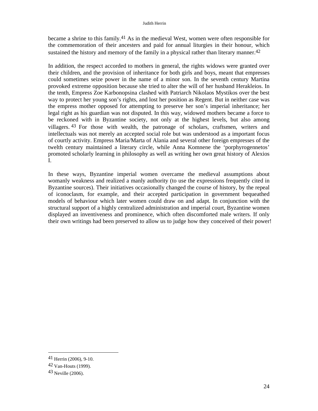became a shrine to this family.41 As in the medieval West, women were often responsible for the commemoration of their ancesters and paid for annual liturgies in their honour, which sustained the history and memory of the family in a physical rather than literary manner.<sup>42</sup>

In addition, the respect accorded to mothers in general, the rights widows were granted over their children, and the provision of inheritance for both girls and boys, meant that empresses could sometimes seize power in the name of a minor son. In the seventh century Martina provoked extreme opposition because she tried to alter the will of her husband Herakleios. In the tenth, Empress Zoe Karbonopsina clashed with Patriarch Nikolaos Mystikos over the best way to protect her young son's rights, and lost her position as Regent. But in neither case was the empress mother opposed for attempting to preserve her son's imperial inheritance; her legal right as his guardian was not disputed. In this way, widowed mothers became a force to be reckoned with in Byzantine society, not only at the highest levels, but also among villagers. 43 For those with wealth, the patronage of scholars, craftsmen, writers and intellectuals was not merely an accepted social role but was understood as a important focus of courtly activity. Empress Maria/Marta of Alania and several other foreign empresses of the twelth century maintained a literary circle, while Anna Komnene the 'porphyrogennetos' promoted scholarly learning in philosophy as well as writing her own great history of Alexios I.

In these ways, Byzantine imperial women overcame the medieval assumptions about womanly weakness and realized a manly authority (to use the expressions frequently cited in Byzantine sources). Their initiatives occasionally changed the course of history, by the repeal of iconoclasm, for example, and their accepted participation in government bequeathed models of behaviour which later women could draw on and adapt. In conjunction with the structural support of a highly centralized administration and imperial court, Byzantine women displayed an inventiveness and prominence, which often discomforted male writers. If only their own writings had been preserved to allow us to judge how they conceived of their power!

 $\overline{\phantom{a}}$ 

<sup>41</sup> Herrin (2006), 9-10.

<sup>42</sup> Van-Houts (1999).

<sup>43</sup> Neville (2006).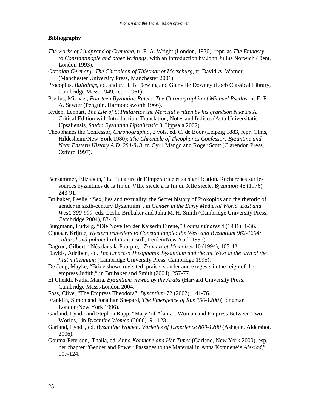#### **Bibliography**

- *The works of Liudprand of Cremona*, tr. F. A. Wright (London, 1930), repr. as *The Embassy to Constantinople and other Writings,* with an introduction by John Julius Norwich (Dent, London 1993).
- *Ottonian Germany. The Chronicon of Thietmar of Merseburg*, tr. David A. Warner (Manchester University Press, Manchester 2001).
- Procopius, *Buildings,* ed. and tr. H. B. Dewing and Glanville Downey (Loeb Classical Library, Cambridge Mass. 1949, repr. 1961) .
- Psellus, Michael, *Fourteen Byzantine Rulers. The Chronographia of Michael Psellus,* tr. E. R. A. Sewter (Penguin, Harmondsworth 1966).
- Rydén, Lennart, *The Life of St Philaretos the Merciful written by his grandson Niketas* A Critical Edition with Introduction, Translation, Notes and Indices (Acta Universitatis Upsaliensis, *Studia Byzantina Upsaliensia* 8, Uppsala 2002).
- Theophanes the Confessor, *Chronographia,* 2 vols, ed. C. de Boor (Leipzig 1883, repr. Olms, Hildesheim/New York 1980); *The Chronicle of Theophanes Confessor: Byzantine and Near Eastern History A.D. 284-813*, tr. Cyril Mango and Roger Scott (Clarendon Press, Oxford 1997).

-----------------------------------------

- Bensammer, Elizabeth, "La titulature de l'impératrice et sa signification. Recherches sur les sources byzantines de la fin du VIIIe siècle à la fin du XIIe siècle, *Byzantion* 46 (1976), 243-91.
- Brubaker, Leslie, "Sex, lies and textuality: the Secret history of Prokopios and the rhetoric of gender in sixth-century Byzantium", in *Gender in the Early Medieval World. East and West, 300-900,* eds. Leslie Brubaker and Julia M. H. Smith (Cambridge University Press, Cambridge 2004), 83-101.
- Burgmann, Ludwig, "Die Novellen der Kaiserin Eirene," *Fontes minores* 4 (1981), 1-36.
- Ciggaar, Krijnie, *Western travellers to Constantinople: the West and Byzantium 962-1204: cultural and political relations* (Brill, Leiden/New York 1996).
- Dagron, Gilbert, "Nés dans la Pourpre," *Travaux et Mémoires* 10 (1994), 105-42.
- Davids, Adelbert, ed. *The Empress Theophano: Byzantium and the the West at the turn of the first millennium* (Cambridge University Press, Cambridge 1995).
- De Jong, Mayke, "Bride shows revisited: praise, slander and exegesis in the reign of the empress Judith," in Brubaker and Smith (2004), 257-77.
- El Cheikh, Nadia Maria, *Byzantium viewed by the Arabs* (Harvard University Press, Cambridge Mass./London 2004.
- Foss, Clive, "The Empress Theodora", *Byzantium* 72 (2002), 141-76.
- Franklin, Simon and Jonathan Shepard, *The Emergence of Rus 750-1200* (Longman London/New York 1996).
- Garland, Lynda and Stephen Rapp, "Mary 'of Alania': Woman and Empress Between Two Worlds," in *Byzantine Women* (2006), 91-123.
- Garland, Lynda, ed. *Byzantine Women. Varieties of Experience 800-1200* (Ashgate, Aldershot, 2006).
- Gouma-Peterson, Thalia, ed. *Anna Komnene and Her Times* (Garland, New York 2000), esp. her chapter "Gender and Power: Passages to the Maternal in Anna Komnene's *Alexiad*," 107-124.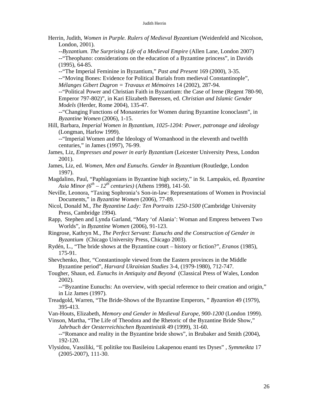#### Judith Herrin

Herrin, Judith, *Women in Purple. Rulers of Medieval Byzantium* (Weidenfeld and Nicolson, London, 2001).

 --*Byzantium. The Surprising Life of a Medieval Empire* (Allen Lane, London 2007) --"Theophano: considerations on the education of a Byzantine princess", in Davids (1995), 64-85.

--"The Imperial Feminine in Byzantium," *Past and Present* 169 (2000), 3-35.

--"Moving Bones: Evidence for Political Burials from medieval Constantinople", *Mélanges Gibert Dagron = Travaux et Mémoires* 14 (2002), 287-94.

--"Political Power and Christian Faith in Byzantium: the Case of Irene (Regent 780-90, Emperor 797-802)", in Kari Elizabeth Børessen, ed. *Christian and Islamic Gender Models* (Herder, Rome 2004), 135-47.

--"Changing Functions of Monasteries for Women during Byzantine Iconoclasm", in *Byzantine Women* (2006), 1-15.

Hill, Barbara, *Imperial Women in Byzantium, 1025-1204: Power, patronage and ideology*  (Longman, Harlow 1999).

--"Imperial Women and the Ideology of Womanhood in the eleventh and twelfth centuries," in James (1997), 76-99.

James, Liz, *Empresses and power in early Byzantium* (Leicester University Press, London 2001).

- James, Liz, ed. *Women, Men and Eunuchs. Gender in Byzantium* (Routledge, London 1997).
- Magdalino, Paul, "Paphlagonians in Byzantine high society," in St. Lampakis, ed. *Byzantine Asia Minor*  $(6^{th} – 12^{th}$  *centuries*) (Athens 1998), 141-50.
- Neville, Leonora, "Taxing Sophronia's Son-in-law: Representations of Women in Provincial Documents," in *Byzantine Women* (2006), 77-89.

Nicol, Donald M., *The Byzantine Lady: Ten Portraits 1250-1500* (Cambridge University Press, Cambridge 1994).

Rapp, Stephen and Lynda Garland, "Mary 'of Alania': Woman and Empress between Two Worlds", in *Byzantine Women* (2006), 91-123.

- Ringrose, Kathryn M., *The Perfect Servant: Eunuchs and the Construction of Gender in Byzantium* (Chicago University Press, Chicago 2003).
- Rydén, L., "The bride shows at the Byzantine court history or fiction?", *Eranos* (1985), 175-91.

Shevchenko, Ihor, "Constantinople viewed from the Eastern provinces in the Middle Byzantine period", *Harvard Ukrainian Studies* 3-4, (1979-1980), 712-747.

Tougher, Shaun, ed. *Eunuchs in Antiquity and Beyond* (Classical Press of Wales, London 2002).

--"Byzantine Eunuchs: An overview, with special reference to their creation and origin," in Liz James (1997).

Treadgold, Warren, "The Bride-Shows of the Byzantine Emperors, " *Byzantion* 49 (1979), 395-413.

Van-Houts, Elizabeth, *Memory and Gender in Medieval Europe, 900-1200* (London 1999).

Vinson, Martha, "The Life of Theodora and the Rhetoric of the Byzantine Bride Show," *Jahrbuch der Oesterreichischen Byzantinistik* 49 (1999), 31-60.

--"Romance and reality in the Byzantine bride shows", in Brubaker and Smith (2004), 192-120.

Vlysidou, Vassiliki, "E politike tou Basileiou Lakapenou enanti tes Dyses" , *Symmeikta* 17 (2005-2007), 111-30.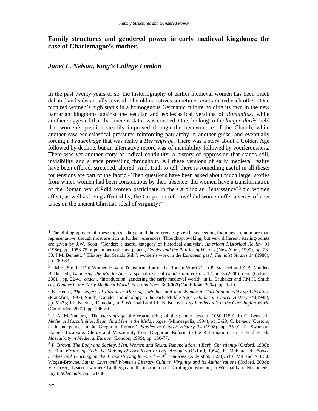## **Family structures and gendered power in early medieval kingdoms: the case of Charlemagne's mother.**

## *Janet L. Nelson, King's College London*

In the past twenty years or so, the historiography of earlier medieval women has been much debated and substantially revised. The old narratives sometimes contradicted each other. One pictured women's high status in a homogenous Germanic culture holding its own in the new barbarian kingdoms against the secular and ecclesiastical versions of *Romanitas*, while another suggested that that ancient status was crushed. One, looking to the *longue durée*, held that women's position steadily improved through the benevolence of the Church, while another saw ecclesiastical pressures reinforcing patriarchy in another guise, and eventually forcing a *Frauenfrage* that was really a *Herrenfrage*. There was a story about a Golden Age followed by decline, but an alternative record was of inaudibility followed by vociferousness. There was yet another story of radical continuity, a history of oppression that stands still, invisibility and silence prevailing throughout. All these versions of early medieval reality have been offered, stretched, altered. And, truth to tell, there is something useful in all these; for tensions are part of the fabric.1 Then questions have been asked about much larger stories from which women had been conspicuous by their absence: did women have a transformation of the Roman world?2 did women participate in the Carolingian Renaissance?3 did women affect, as well as being affected by, the Gregorian reforms?4 did women offer a series of new takes on the ancient Christian ideal of virginity?5

<sup>&</sup>lt;sup>1</sup> The bibliography on all these topics is large, and the references given in succeeding footnotes are no more than representative, though most are rich in further references. Thought-provoking, but very different, starting-points are given by J.W. Scott, 'Gender: a useful category of historical analysis', *American Historical Review* 91 (1986), pp. 1053-75, repr. in her collected papers, *Gender and the Politics of History* (New York, 1999), pp. 28- 50; J.M. Bennett, '"History that Stands Still": women's work in the European past', *Feminist Studies* 14 (1988), pp. 269-83.

<sup>2</sup> J.M.H. Smith, 'Did Women Have a Transformation of the Roman World?', in P. Stafford and A.B. Mulder-Bakker eds, *Gendering the Middle Ages*, a special issue of *Gender and History* 12, no. 3 (2000), repr. (Oxford, 2001), pp. 22-41; *eadem*, 'Introduction: gendering the early medieval world', in L. Brubaker and J.M.H. Smith eds, *Gender in the Early Medieval World. East and West, 300-900* (Cambridge, 2004), pp. 1-19.

<sup>3</sup> K. Heene, *The Legacy of Paradise: Marriage, Motherhood and Women in Carolingian Edifying Literature* (Frankfurt, 1997); Smith, 'Gender and ideology in the early Middle Ages', *Studies in Church History* 34 (1998), pp. 51-73; J.L. Nelson, 'Dhuoda', in P. Wormald and J.L. Nelson eds, *Lay Intellectuals in the Carolingian World* (Cambridge, 2007), pp. 106-20.

<sup>4</sup> J.-A. McNamara, 'The *Herrenfrage*: the restructuring of the gender system, 1050-1150', in C. Lees ed., *Medieval Masculinities. Regarding Men in the Middle Ages* (Minneapolis, 1994), pp. 3-29; C. Leyser, 'Custom, truth and gender in the Gregorian Reform', *Studies in Church History* 34 (1998), pp. 75-91; R. Swanson, 'Angels Incarnate: Clergy and Masculinity from Gregorian Reform to the Reformation', in D. Hadley ed., *Masculinity in Medieval Europe* (London, 1999), pp. 160-77.

<sup>5</sup> P. Brown, *The Body and Society. Men, Women and Sexual Renunciation in Early Christianity* (Oxford, 1988); S. Elm, *Virgins of God: the Making of Asceticism in Late Antiquity* (Oxford, 1994); R. McKitterick, *Books, Scribes and Learning in the Frankish Kingdoms,*  $6^{th} - 9^{th}$  centuries (Aldershot, 1994), chs. VII and XIII; J. Wogan-Browne, *Saints' Lives and Women's Literary Culture. Virginity and its Authorizations* (Oxford, 2004); V. Garver, 'Learned women? Liutberga and the instruction of Carolingian women', in Wormald and Nelson eds, *Lay Intellectuals*, pp. 121-38.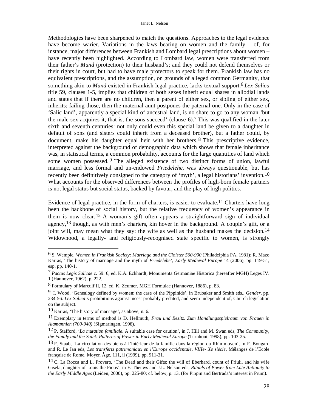Methodologies have been sharpened to match the questions. Approaches to the legal evidence have become warier. Variations in the laws bearing on women and the family – of, for instance, major differences between Frankish and Lombard legal prescriptions about women – have recently been highlighted. According to Lombard law, women were transferred from their father's *Mund* (protection) to their husband's; and they could not defend themselves or their rights in court, but had to have male protectors to speak for them. Frankish law has no equivalent prescriptions, and the assumption, on grounds of alleged common Germanity, that something akin to *Mund* existed in Frankish legal practice, lacks textual support.6 *Lex Salica* title 59, clauses 1-5, implies that children of both sexes inherit equal shares in allodial lands and states that if there are no children, then a parent of either sex, or sibling of either sex, inherits; failing those, then the maternal aunt postpones the paternal one. Only in the case of 'Salic land', apparently a special kind of ancestral land, is no share to go to any woman 'but the male sex acquires it, that is, the sons succeed' (clause 6).7 This was qualified in the later sixth and seventh centuries: not only could even this special land be given to a daughter in default of sons (and sisters could inherit from a deceased brother), but a father could, by document, make his daughter equal heir with her brothers.<sup>8</sup> This prescriptive evidence, interpreted against the background of demographic data which shows that female inheritance was, in statistical terms, a common probability, accounts for the large quantities of land which some women possessed.<sup>9</sup> The alleged existence of two distinct forms of union, lawful marriage, and less formal and un-endowed *Friedelehe*, was always questionable, but has recently been definitively consigned to the category of 'myth', a legal historians' invention.10 What accounts for the observed differences between the profiles of high-born female partners is not legal status but social status, backed by favour, and the play of high politics.

Evidence of legal practice, in the form of charters, is easier to evaluate.11 Charters have long been the backbone of social history, but the relative frequency of women's appearance in them is now clear.12 A woman's gift often appears a straightforward sign of individual agency,  $13$  though, as with men's charters, kin hover in the background. A couple's gift, or a joint will, may mean what they say: the wife as well as the husband makes the decision.<sup>14</sup> Widowhood, a legally- and religiously-recognised state specific to women, is strongly

<sup>6</sup> S. Wemple, *Women in Frankish Society: Marriage and the Cloister 500-900* (Philadelphia PA, 1981); R. Mazo Karras, 'The history of marriage and the myth of *Friedelehe*', *Early Medieval Europe* 14 (2006), pp. 119-51, esp. pp. 140-1.

<sup>7</sup> *Pactus Legis Salicae* c. 59: 6, ed. K.A. Eckhardt, Monumenta Germaniae Historica (hereafter MGH) Leges IV. 1 (Hannover, 1962), p. 222.

<sup>8</sup> Formulary of Marculf II, 12, ed. K. Zeumer, MGH Formulae (Hannover, 1886), p. 83.

<sup>9</sup> I. Wood, 'Genealogy defined by women: the case of the Pippinids', in Brubaker and Smith eds., *Gender*, pp. 234-56. *Lex Salica*'s prohibitions against incest probably predated, and seem independent of, Church legislation on the subject.

<sup>10</sup> Karras, 'The history of marriage', as above, n. 6.

<sup>11</sup> Exemplary in terms of method is D. Hellmuth, *Frau und Besitz. Zum Handlungsspielraum von Frauen in Alamannien (700-940)* (Sigmaringen, 1998).

<sup>12</sup> P. Stafford, '*La mutation familiale*. A suitable case for caution', in J. Hill and M. Swan eds, *The Community, the Family and the Saint: Patterns of Power in Early Medieval Europe* (Turnhout, 1998), pp. 103-25.

<sup>13</sup> F. Staab, 'La circulation des biens à l'intérieur de la famille dans la région du Rhin moyen', in F. Bougard and R. Le Jan eds, *Les transferts patrimoniaux en l'Europe occidentale, VIIIe- Xe siècle*, Mélanges de l'École française de Rome, Moyen Âge, 111, ii (1999), pp. 911-31.

<sup>14</sup> C. La Rocca and L. Provero, 'The Dead and their Gifts: the will of Eberhard, count of Friuli, and his wife Gisela, daughter of Louis the Pious', in F. Theuws and J.L. Nelson eds, *Rituals of Power from Late Antiquity to the Early Middle Ages* (Leiden, 2000), pp. 225-80; cf. below, p. 13, (for Pippin and Bertrada's interest in Prüm).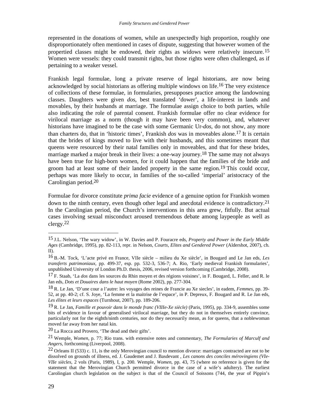represented in the donations of women, while an unexpectedly high proportion, roughly one disproportionately often mentioned in cases of dispute, suggesting that however women of the propertied classes might be endowed, their rights as widows were relatively insecure. 15 Women were vessels: they could transmit rights, but those rights were often challenged, as if pertaining to a weaker vessel.

Frankish legal formulae, long a private reserve of legal historians, are now being acknowledged by social historians as offering multiple windows on life.16 The very existence of collections of these formulae, in formularies, presupposes practice among the landowning classes. Daughters were given *dos*, best translated 'dower', a life-interest in lands and movables, by their husbands at marriage. The formulae assign choice to both parties, while also indicating the role of parental consent. Frankish formulae offer no clear evidence for virilocal marriage as a norm (though it may have been very common), and, whatever historians have imagined to be the case with some Germanic Ur-*dos*, do not show, any more than charters do, that in 'historic times', Frankish *dos* was in moveables alone.17 It is certain that the brides of kings moved to live with their husbands, and this sometimes meant that queens were resourced by their natal families only in moveables, and that for these brides, marriage marked a major break in their lives: a one-way journey.<sup>18</sup> The same may not always have been true for high-born women, for it could happen that the families of the bride and groom had at least some of their landed property in the same region.<sup>19</sup> This could occur, perhaps was more likely to occur, in families of the so-called 'imperial' aristocracy of the Carolingian period.20

Formulae for divorce constitute *prima facie* evidence of a genuine option for Frankish women down to the ninth century, even though other legal and anecdotal evidence is contradictory.<sup>21</sup> In the Carolingian period, the Church's interventions in this area grew, fitfully. But actual cases involving sexual misconduct aroused tremendous debate among laypeople as well as clergy.22

20 La Rocca and Provero, 'The dead and their gifts'.

<sup>15</sup> J.L. Nelson, 'The wary widow', in W. Davies and P. Fouracre eds, *Property and Power in the Early Middle Ages* (Cambridge, 1995), pp. 82-113, repr. in Nelson, *Courts, Elites and Gendered Power* (Aldershot, 2007), ch. II).

<sup>16</sup> B.-M. Tock, 'L'acte privé en France, VIIe siècle – milieu du Xe siècle', in Bougard and Le Jan eds, *Les transferts patrimoniaux*, pp. 499-37, esp. pp. 532-3, 536-7; A. Rio, 'Early medieval Frankish formularies', unpublished University of London Ph.D. thesis, 2006, revised version forthcoming (Cambridge, 2008).

<sup>17</sup> F. Staab, 'La *dos* dans les sources du Rhin moyen et des régions voisines', in F. Bougard, L. Feller, and R. le Jan eds, *Dots et Douaires dans le haut moyen* (Rome 2002), pp. 277-304.

<sup>18</sup> R. Le Jan, 'D'une cour a l'autre: les voyages des reines de Francie au Xe siecles', in eadem, *Femmes*, pp. 39- 52, at pp. 40-2; cf. S. Joye, 'La femme et la maitrise de l'espace', in P. Depreux, F. Bougard and R. Le Jan eds, *Les élites et leurs espaces* (Turnhout, 2007), pp. 189-206.

<sup>19</sup> R. Le Jan, *Famille et pouvoir dans le monde franc (VIIIe-Xe siècle)* (Paris, 1995), pp. 334-9, assembles some bits of evidence in favour of generalised virilocal marriage, but they do not in themselves entirely convince, particularly not for the eighth/ninth centuries, nor do they necessarily mean, as for queens, that a noblewoman moved far away from her natal kin.

<sup>21</sup> Wemple, *Women*, p. 77; Rio trans. with extensive notes and commentary, *The Formularies of Marculf and Angers*, forthcoming (Liverpool, 2008).

<sup>&</sup>lt;sup>22</sup> Orleans II (533) c. 11, is the only Merovingian council to mention divorce: marriages contracted are not to be dissolved on grounds of illness, ed. J. Gaudemet and J. Basdevant , *Les canons des conciles mérovingiens (VIe-VIIe siècles*, 2 vols (Paris, 1989), I, p. 200. Wemple, *Women*, pp. 43, 75 (where no reference is given for the statement that the Merovingian Church permitted divorce in the case of a wife's adultery). The earliest Carolingian church legislation on the subject is that of the Council of Soissons (744, the year of Pippin's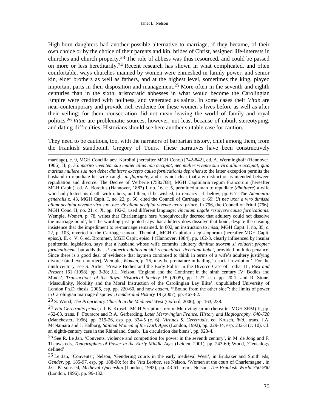High-born daughters had another possible alternative to marriage, if they became, of their own choice or by the choice of their parents and kin, brides of Christ, assigned life-interests in churches and church property.23 The role of abbess was thus resourced, and could be passed on more or less hereditarily.24 Recent research has shown in what complicated, and often comfortable, ways churches manned by women were enmeshed in family power, and senior kin, elder brothers as well as fathers, and at the highest level, sometimes the king, played important parts in their disposition and management. 25 More often in the seventh and eighth centuries than in the sixth, aristocratic abbesses in what would become the Carolingian Empire were credited with holiness, and venerated as saints. In some cases their *Vitae* are near-contemporary and provide rich evidence for these women's lives before as well as after their veiling: for them, consecration did not mean leaving the world of family and royal politics.26 *Vitae* are problematic sources, however, not least because of inbuilt stereotyping, and dating-difficulties. Historians should see here another suitable case for caution.

They need to be cautious, too, with the narrators of barbarian history, chief among them, from the Frankish standpoint, Gregory of Tours. These narratives have been constructively

 $\overline{a}$ 

23 S. Wood, *The Proprietary Church in the Medieval West* (Oxford, 2006), pp. 163, 238.

24 *Vita Geretrudis prima*, ed. B. Krusch, MGH Scriptores rerum Merovingicarum (hereafter MGH SRM) II, pp. 452-63, trans. P. Fouracre and R.A. Gerberding, *Later Merovingian France. History and Hagiography, 640-720* (Manchester, 1996), pp. 319-26, esp. pp. 324-5 (c. 6); *Virtutes S. Geretrudis*, ed. Krusch, *ibid*., trans. J.A. McNamara and J. Halborg, *Sainted Women of the Dark Ages* (London, 1992), pp. 229-34, esp. 232-3 (c. 10). Cf. an eighth-century case in the Rhineland, Staab, 'La circulation des biens', pp. 923-4.

25 See R. Le Jan, 'Convents, violence and competition for power in the seventh century', in M. de Jong and F. Theuws eds, *Topographies of Power in the Early Middle Ages* (Leiden, 2001), pp. 243-69; Wood, 'Genealogy defined'.

26 Le Jan, 'Convents'; Nelson, 'Gendering courts in the early medieval West', in Brubaker and Smith eds, *Gender*, pp. 185-97, esp. pp. 188-90; for the *Vita Leobae*, see Nelson, 'Women at the court of Charlemagne', in J.C. Parsons ed, *Medieval Queenship* (London, 1993), pp. 43-61, repr., Nelson, *The Frankish World 750-900* (London, 1996), pp. 99-132.

marriage), c. 9, MGH Concilia aevi Karolini (hereafter MGH Conc.) [742-842], ed. A. Werminghoff (Hannover, 1906), II, p. 35: *marito viventem sua mulier alius non accipiat, nec mulier vivente suo viro alium accipiat, quia maritus muliere sua non debet dimittere excepto causa fornicationis deprehensa*: the latter exception permits the husband to repudiate his wife caught *in flagrante*, and it is not clear that any distinction is intended between repudiation and divorce. The Decree of Verberie (758x768), MGH Capitularia regum Francorum (hereafter MGH Capit.), ed. A. Boretius (Hannover, 1883) I, no. 16, c. 5, permitted a man to repudiate (*dimittere*) a wife who had plotted his death with others, and then, if he wished, to remarry: cf. below, pp. 6-7. The *Admonitio generalis* c. 43, MGH Capit. I, no. 22, p. 56, cited the Council of Carthage, c. 69: *Ut nec uxor a viro dimissa alium accipiat vivente viro suo, nec vir aliam accipiat vivente uxore priore*. In 796, the Council of Friuli (796), MGH Conc. II, no. 21, c. X, pp. 192-3, used different language: *vinculum iugale resolvere causa fornicationis*. Wemple, *Women*, p. 78, writes that Charlemagne here 'unequivocally decreed that adultery could not dissolve the marriage-bond', but the wording just quoted says that adultery does dissolve that bond, despite the ensuing insistence that the impediment to re-marriage remained. In 802, an instruction to *missi*, MGH Capit. I, no, 35, c. 22, p. 103, reverted to the Carthage canon. Theodulf, MGH Capitularia episcoporum (hereafter MGH Capit. episc.), II, c. V, 6, ed. Brommer, MGH Capit. episc. I (Hannover, 1984), pp. 162-3, clearly influenced by insular penitential legislation, says that a husband whose wife commits adultery *dimittat uxorem si voluerit propter fornicationem*, but adds that *si voluerit adulteram sibi reconciliari, licentiam habet*, provided both do penance. Since there is a good deal of evidence that laymen continued to think in terms of a wife's adultery justifying divorce (and even murder), Wemple, *Women*, p. 75, may be premature in hailing 'a social revolution'. For the ninth century, see S. Airlie, 'Private Bodies and the Body Politic in the Divorce Case of Lothar II', *Past and Present* 161 (1998), pp. 3-38; J.L. Nelson, 'England and the Continent in the ninth century IV: Bodies and Minds', *Transactions of the Royal Historical Society* 15 (2005), pp. 1-27, esp. pp. 20-1; and R. Stone, 'Masculinity, Nobility and the Moral Instruction of the Carolingian Lay Elite', unpublished University of London Ph.D. thesis, 2005, esp. pp. 220-60, and now *eadem*, '"Bound from the other side": the limits of power in Carolingian marriage disputes', *Gender and History* 19 (2007), pp. 467-82.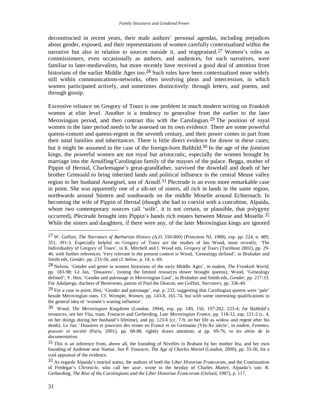deconstructed in recent years, their male authors' personal agendas, including prejudices about gender, exposed, and their representations of women carefully contextualised within the narrative but also in relation to sources outside it, and reappraised.<sup>27</sup> Women's roles as commissioners, even occasionally as authors, and audiences, for such narratives, were familiar to later-medievalists, but more recently have received a good deal of attention from historians of the earlier Middle Ages too.28 Such roles have been contextualised more widely still within communications-networks, often involving pleas and intercession, in which women participated actively, and sometimes distinctively: through letters, and poems, and through gossip.

Excessive reliance on Gregory of Tours is one problem in much modern writing on Frankish women at elite level. Another is a tendency to generalise from the earlier to the later Merovingian period, and then contrast this with the Carolingian.29 The position of royal women in the later period needs to be assessed on its own evidence. There are some powerful queens-consort and queens-regent in the seventh century, and their power comes in part from their natal families and inheritances. There is little direct evidence for dower in these cases; but it might be assumed in the case of the foreign-born Balthild.30 In the age of the *fainéant* kings, the powerful women are not royal but aristocratic, especially the women brought by marriage into the Arnulfing/Carolingian family of the mayors of the palace. Begga, mother of Pippin of Herstal, Charlemagne's great-grandfather, survived the downfall and death of her brother Grimoald to bring inherited lands and political influence in the central Meuse valley region to her husband Ansegisel, son of Arnulf.<sup>31</sup> Plectrude is an even more remarkable case in point. She was apparently one of a sib-set of sisters, all rich in lands in the same region, northwards around Süstern and southwards on the middle Moselle around Echternach. In becoming the wife of Pippin of Herstal (though she had to coexist with a concubine, Alpaida, whom two contemporary sources call 'wife', it is not certain, or plausible, that polygyny occurred), Plectrude brought into Pippin's hands rich estates between Meuse and Moselle.32 While the sisters and daughters, if there were any, of the later Merovingian kings are ignored

<sup>27</sup> W. Goffart, *The Narrators of Barbarian History (A.D. 550-800)* (Princeton NJ, 1988), esp. pp. 224, n. 489, 351, 391-3. Especially helpful on Gregory of Tours are the studies of Ian Wood, most recently, 'The Individuality of Gregory of Tours', in K. Mitchell and I. Wood eds, *Gregory of Tours* (Turnhout 2002), pp. 29- 46, with further references. Very relevant in the present context is Wood, 'Genealogy defined', in Brubaker and Smith eds, *Gender*, pp. 233-56; and cf. below, p. 14, n. 69.

<sup>28</sup> Nelson, 'Gender and genre in women historians of the early Middle Ages', in *eadem*, *The Frankish World*, pp. 183-98; Le Jan, 'Douaires', (noting the limited resources dower brought queens); Wood, 'Genealogy defined'; Y. Hen, 'Gender and patronage in Merovingian Gaul', in Brubaker and Smith eds, *Gender*, pp. 217-33. For Adalperga, duchess of Benevento, patron of Paul the Deacon, see Goffart, *Narrators*, pp. 336-40.

<sup>&</sup>lt;sup>29</sup> For a case in point, Hen, 'Gender and patronage', esp. p. 233, suggesting that Carolingian queens were 'pale' beside Merovingian ones. Cf. Wemple, *Women*, pp. 143-8, 165-74, but with some interesting qualifications to the general idea of 'women's waning influence'.

<sup>30</sup> Wood, *The Merovingian Kingdoms* (London, 1994), esp. pp. 149, 156, 197-202, 223-4; for Balthild's resources, see her *Vita*, trans. Fouracre and Gerberding, *Late Merovingian France*, pp. 118-32, esp. 121-2 (c. 4, on her doings during her husband's lifetime), and pp. 123-6 (cc. 7-9, on her life as widow and regent after his death). Le Jan, 'Douaires et pouvoirs des reines en France et en Germanie (VIe-Xe siècle', in *eadem*, *Femmes, pouvoir et société* (Paris, 2001), pp. 68-88, rightly draws attention, at pp. 69-76, to *les aléas de la documentation*.

<sup>31</sup> This is an inference from, above all, the founding of Nivelles in Brabant by her mother Itta, and her own founding of Andenne near Namur. See P. Fouracre, *The Age of Charles Martel* (London, 2000), pp. 33-50, for a cool appraisal of the evidence.

<sup>32</sup> As regards Alpaida's marital status, the authors of both the *Liber Historiae Francorum*, and the Continuation of Fredegar's *Chronicle*, who call her *uxor*, wrote in the heyday of Charles Martel, Alpaida's son: R. Gerberding, *The Rise of the Carolingians and the Liber Historiae Francorum* (Oxford, 1987), p. 117.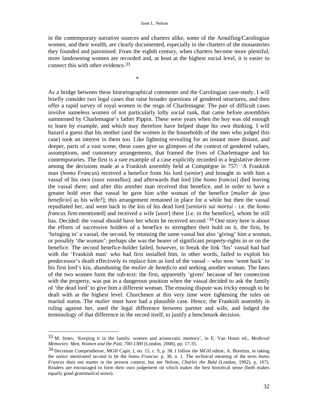in the contemporary narrative sources and charters alike, some of the Arnulfing/Carolingian women, and their wealth, are clearly documented, especially in the charters of the monasteries they founded and patronised. From the eighth century, when charters become more plentiful, more landowning women are recorded and, at least at the highest social level, it is easier to connect this with other evidence.33

 $*$ 

 $\overline{a}$ 

As a bridge between these historiographical comments and the Carolingian case-study, I will briefly consider two legal cases that raise broader questions of gendered structures, and then offer a rapid survey of royal women in the reign of Charlemagne. The pair of difficult cases involve nameless women of not particularly lofty social rank, that came before assemblies summoned by Charlemagne's father Pippin. These were years when the boy was old enough to learn by example, and which may therefore have helped shape his own thinking. I will hazard a guess that his mother (and the women in the households of the men who judged this case) took an interest in them too. Like lightning revealing for an instant more distant, and deeper, parts of a vast scene, these cases give us glimpses of the context of gendered values, assumptions, and customary arrangements, that framed the lives of Charlemagne and his contemporaries. The first is a rare example of a case explicitly recorded in a legislative decree among the decisions made at a Frankish assembly held at Compiègne in 757: 'A Frankish man (*homo Francus*) received a benefice from his lord (*senior*) and brought in with him a vassal of his own (*suus vassallus*); and afterwards that lord [the *homo francus*] died leaving the vassal there; and after this another man received that benefice, and in order to have a greater hold over that vassal he gave him a/the woman of the benefice [*mulier de ipso beneficio*] as his wife?]; this arrangement remained in place for a while but then the vassal repudiated her, and went back to the kin of his dead lord [*senioris sui mortui* - i.e. the *homo francus* first-mentioned] and received a wife [*uxor*] there [i.e. in the benefice], whom he still has. Decided: the vassal should have her whom he received second.<sup>34</sup> One story here is about the efforts of successive holders of a benefice to strengthen their hold on it, the first, by 'bringing in' a vassal, the second, by retaining the same vassal but also 'giving' him a woman, or possibly 'the woman': perhaps she was the bearer of significant property-rights in or on the benefice. The second benefice-holder failed, however, to break the link 'his' vassal had had with the 'Frankish man' who had first installed him, in other words, failed to exploit his predecessor's death effectively to replace him as lord of the vassal – who now 'went back' to his first lord's kin, abandoning the *mulier de beneficio* and seeking another woman. The fates of the two women form the sub-text: the first, apparently 'given' because of her connection with the property, was put in a dangerous position when the vassal decided to ask the family of 'the dead lord' to give him a different woman. The ensuing dispute was tricky enough to be dealt with at the highest level. Churchmen at this very time were tightening the rules on marital status. The *mulier* must have had a plausible case. Hence, the Frankish assembly in ruling against her, used the legal difference between partner and wife, and lodged the terminology of that difference in the record itself, to justify a benchmark decision.

<sup>33</sup> M. Innes, 'Keeping it in the family: women and aristocratic memory', in E. Van Houts ed., *Medieval Memories: Men, Women and the Past, 700-1300* (London, 2000), pp. 17-35.

<sup>34</sup> Decretum Compendiense, MGH Capit. I, no. 15, c. 9, p. 38. I follow the MGH editor, A. Boretius, in taking the *senior* mentioned second to be the *homo Francus*: p. 38, n. 1. The technical meaning of the term *homo Francus* does not matter in the present context, but see Nelson, *Charles the Bald* (London, 1992), p. 167). Readers are encouraged to form their own judgement on which makes the best historical sense (both makes equally good grammatical sense).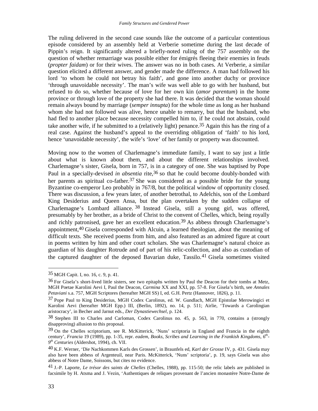The ruling delivered in the second case sounds like the outcome of a particular contentious episode considered by an assembly held at Verberie sometime during the last decade of Pippin's reign. It significantly altered a briefly-noted ruling of the 757 assembly on the question of whether remarriage was possible either for émigrés fleeing their enemies in feuds (*propter faidam*) or for their wives. The answer was no in both cases. At Verberie, a similar question elicited a different answer, and gender made the difference. A man had followed his lord 'to whom he could not betray his faith', and gone into another duchy or province 'through unavoidable necessity'. The man's wife was well able to go with her husband, but refused to do so, whether because of love for her own kin (*amor parentum*) in the home province or through love of the property she had there. It was decided that the woman should remain always bound by marriage (*semper innupta*) for the whole time as long as her husband whom she had not followed was alive, hence unable to remarry, but that the husband, who had fled to another place because necessity compelled him to, if he could not abstain, could take another wife, if he submitted to a (relatively light) penance.35 Again this has the ring of a real case. Against the husband's appeal to the overriding obligation of 'faith' to his lord, hence 'unavoidable necessity', the wife's 'love' of her family or property was discounted.

Moving now to the women of Charlemagne's immediate family, I want to say just a little about what is known about them, and about the different relationships involved. Charlemagne's sister, Gisela, born in 757, is in a category of one. She was baptised by Pope Paul in a specially-devised *in absentia* rite,<sup>36</sup> so that he could become doubly-bonded with her parents as spiritual co-father.<sup>37</sup> She was considered as a possible bride for the young Byzantine co-emperor Leo probably in 767/8, but the political window of opportunity closed. There was discussion, a few years later, of another betrothal, to Adelchis, son of the Lombard King Desiderius and Queen Ansa, but the plan overtaken by the sudden collapse of Charlemagne's Lombard alliance. 38 Instead Gisela, still a young girl, was offered, presumably by her brother, as a bride of Christ to the convent of Chelles, which, being royally and richly patronised, gave her an excellent education.39 As abbess through Charlemagne's appointment,40 Gisela corresponded with Alcuin, a learned theologian, about the meaning of difficult texts. She received poems from him, and also featured as an admired figure at court in poems written by him and other court scholars. She was Charlemagne's natural choice as guardian of his daughter Rotrude and of part of his relic-collection, and also as custodian of the captured daughter of the deposed Bavarian duke, Tassilo.<sup>41</sup> Gisela sometimes visited

<sup>35</sup> MGH Capit. I, no. 16, c. 9, p. 41.

<sup>36</sup> For Gisela's short-lived little sisters, see two epitaphs written by Paul the Deacon for their tombs at Metz, MGH Poetae Karolini Aevi I, Paul the Deacon, *Carmina* XX and XXI, pp. 57-8. For Gisela's birth, see *Annales Petaviani* s.a. 757, MGH Scriptores (hereafter MGH SS) I, ed. G.H. Pertz (Hannover, 1826), p. 11.

<sup>37</sup> Pope Paul to King Desiderius, MGH Codex Carolinus, ed. W. Gundlach, MGH Epistolae Merowingici et Karolini Aevi (hereafter MGH Epp.) III, (Berlin, 1892), no. 14, p. 511; Airlie, 'Towards a Carolingian aristocracy', in Becher and Jarnut eds., *Der Dynastiewechsel*, p. 124.

<sup>38</sup> Stephen III to Charles and Carloman, Codex Carolinus no. 45, p. 563, in 770, contains a (strongly disapproving) allusion to this proposal.

<sup>&</sup>lt;sup>39</sup> On the Chelles scriptorium, see R. McKitterick, 'Nuns' scriptoria in England and Francia in the eighth century', *Francia* 19 (1989), pp. 1-35, repr. *eadem*, *Books, Scribes and Learning in the Frankish Kingdoms, 6th - 9 th Centuries* (Aldershot, 1994), ch. VII.

<sup>40</sup> K.F. Werner, 'Die Nachkommen Karls des Grossen', in Braunfels ed, *Karl der Grosse* IV, p. 431. Gisela may also have been abbess of Argenteuil, near Paris. McKitterick, 'Nuns' scriptoria', p. 19, says Gisela was also abbess of Notre Dame, Soissons, but cites no evidence.

<sup>41</sup> J.-P. Laporte, *Le trésor des saints de Chelles* (Chelles, 1988), pp. 115-50; the relic labels are published in facsimile by H. Atsma and J. Vezin, 'Authentiques de reliques provenant de l'ancien monastère Notre-Dame de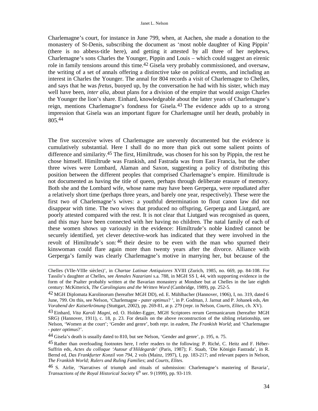Charlemagne's court, for instance in June 799, when, at Aachen, she made a donation to the monastery of St-Denis, subscribing the document as 'most noble daughter of King Pippin' (there is no abbess-title here), and getting it attested by all three of her nephews, Charlemagne's sons Charles the Younger, Pippin and Louis – which could suggest an eirenic role in family tensions around this time.42 Gisela very probably commissioned, and oversaw, the writing of a set of annals offering a distinctive take on political events, and including an interest in Charles the Younger. The annal for 804 records a visit of Charlemagne to Chelles, and says that he was *fretus*, buoyed up, by the conversation he had with his sister, which may well have been, *inter alia*, about plans for a division of the empire that would assign Charles the Younger the lion's share. Einhard, knowledgeable about the latter years of Charlemagne's reign, mentions Charlemagne's fondness for Gisela.43 The evidence adds up to a strong impression that Gisela was an important figure for Charlemagne until her death, probably in 805.44

The five successive wives of Charlemagne are unevenly documented but the evidence is cumulatively substantial. Here I shall do no more than pick out some salient points of difference and similarity.45 The first, Himiltrude, was chosen for his son by Pippin, the rest he chose himself. Himiltrude was Frankish, and Fastrada was from East Francia, but the other three wives were Lombard, Alaman and Saxon, suggesting a policy of distributing this position between the different peoples that comprised Charlemagne's empire. Himiltrude is not documented as having the title of queen, perhaps through deliberate erasure of memory. Both she and the Lombard wife, whose name may have been Gerperga, were repudiated after a relatively short time (perhaps three years, and barely one year, respectively). These were the first two of Charlemagne's wives: a youthful determination to flout canon law did not disappear with time. The two wives that produced no offspring, Gerperga and Liutgard, are poorly attested compared with the rest. It is not clear that Liutgard was recognised as queen, and this may have been connected with her having no children. The natal family of each of these women shows up variously in the evidence: Himiltrude's noble kindred cannot be securely identified, yet clever detective-work has indicated that they were involved in the revolt of Himiltrude's son: 46 their desire to be even with the man who spurned their kinswoman could flare again more than twenty years after the divorce. Alliance with Gerperga's family was clearly Charlemagne's motive in marrying her, but because of the

Chelles (VIIe-VIIIe siècles)', in *Chartae Latinae Antiquiores* XVIII (Zurich, 1985, no. 669, pp. 84-108. For Tassilo's daughter at Chelles, see *Annales Nazariani* s.a. 788, in MGH SS I, 44, with supporting evidence in the form of the Psalter probably written at the Bavarian monastery at Mondsee but at Chelles in the late eighth century: McKitterick, *The Carolingians and the Written Word* (Cambridge, 1989), pp. 252-5.

<sup>42</sup> MGH Diplomata Karolinorum (hereafter MGH DD), ed. E. Mühlbacher (Hannover, 1906), I, no. 319, dated 6 June, 799. On this, see Nelson, 'Charlemagne - *pater optimus*? ', in P. Godman, J. Jarnut and P. Johanek eds, *Am Vorabend der Kaiserkrönung* (Stuttgart, 2002), pp. 269-81, at p. 279 (repr. in Nelson, *Courts, Elites*, ch. XV).

<sup>43</sup> Einhard, *Vita Karoli Magni*, ed. O. Holder-Egger, MGH Scriptores rerum Germanicarum (hereafter MGH SRG) (Hannover, 1911), c. 18, p. 23. For details on the above reconstruction of the sibling relationship, see Nelson, 'Women at the court'; 'Gender and genre', both repr. in *eadem*, *The Frankish World*; and 'Charlemagne - *pater optimus*?'.

<sup>44</sup> Gisela's death is usually dated to 810, but see Nelson, 'Gender and genre', p. 195, n. 75.

<sup>45</sup> Rather than overloading footnotes here, I refer readers to the following: P. Riché, C. Heitz and F. Héber-Suffrin eds, *Actes du colloque 'Autour d'Hildegarde'* (Paris, 1987); F. Staab, 'Die Königin Fastrada', in R. Bernd ed, *Das Frankfurter Konzil von 794*, 2 vols (Mainz, 1997), I, pp. 183-217; and relevant papers in Nelson, *The Frankish World; Rulers and Ruling Families*; and *Courts, Elites*.

<sup>46</sup> S. Airlie, 'Narratives of triumph and rituals of submission: Charlemagne's mastering of Bavaria', *Transactions of the Royal Historical Society* 6<sup>th</sup> ser. 9 (1999), pp. 93-119.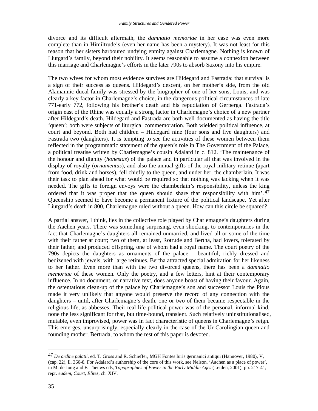divorce and its difficult aftermath, the *damnatio memoriae* in her case was even more complete than in Himiltrude's (even her name has been a mystery). It was not least for this reason that her sisters harboured undying enmity against Charlemagne. Nothing is known of Liutgard's family, beyond their nobility. It seems reasonable to assume a connexion between this marriage and Charlemagne's efforts in the later 790s to absorb Saxony into his empire.

The two wives for whom most evidence survives are Hildegard and Fastrada: that survival is a sign of their success as queens. Hildegard's descent, on her mother's side, from the old Alamannic ducal family was stressed by the biographer of one of her sons, Louis, and was clearly a key factor in Charlemagne's choice, in the dangerous political circumstances of late 771-early 772, following his brother's death and his repudiation of Gerperga. Fastrada's origin east of the Rhine was equally a strong factor in Charlemagne's choice of a new partner after Hildegard's death. Hildegard and Fastrada are both well-documented as having the title 'queen'; both were subjects of liturgical commemoration. Both wielded political influence, at court and beyond. Both had children – Hildegard nine (four sons and five daughters) and Fastrada two (daughters). It is tempting to see the activities of these women between them reflected in the programmatic statement of the queen's role in The Government of the Palace, a political treatise written by Charlemagne's cousin Adalard in c. 812. 'The maintenance of the honour and dignity (*honestas*) of the palace and in particular all that was involved in the display of royalty (*ornamentus*), and also the annual gifts of the royal military retinue (apart from food, drink and horses), fell chiefly to the queen, and under her, the chamberlain. It was their task to plan ahead for what would be required so that nothing was lacking when it was needed. The gifts to foreign envoys were the chamberlain's responsibility, unless the king ordered that it was proper that the queen should share that responsibility with  $\lim_{n \to \infty} 1.47$ Queenship seemed to have become a permanent fixture of the political landscape. Yet after Liutgard's death in 800, Charlemagne ruled without a queen. How can this circle be squared?

A partial answer, I think, lies in the collective role played by Charlemagne's daughters during the Aachen years. There was something surprising, even shocking, to contemporaries in the fact that Charlemagne's daughters all remained unmarried, and lived all or some of the time with their father at court; two of them, at least, Rotrude and Bertha, had lovers, tolerated by their father, and produced offspring, one of whom had a royal name. The court poetry of the 790s depicts the daughters as ornaments of the palace – beautiful, richly dressed and bedizened with jewels, with large retinues. Bertha attracted special admiration for her likeness to her father. Even more than with the two divorced queens, there has been a *damnatio memoriae* of these women. Only the poetry, and a few letters, hint at their contemporary influence. In no document, or narrative text, does anyone boast of having their favour. Again, the ostentatious clean-up of the palace by Charlemagne's son and successor Louis the Pious made it very unlikely that anyone would preserve the record of any connection with the daughters – until, after Charlemagne's death, one or two of them became respectable in the religious life, as abbesses. Their real-life political power was of the personal, informal kind, none the less significant for that, but time-bound, transient. Such relatively uninstitutionalised, mutable, even improvised, power was in fact characteristic of queens in Charlemagne's reign. This emerges, unsurprisingly, especially clearly in the case of the Ur-Carolingian queen and founding mother, Bertrada, to whom the rest of this paper is devoted.

<sup>47</sup> *De ordine palatii*, ed. T. Gross and R. Schieffer, MGH Fontes Iuris germanici antiqui (Hannover, 1980), V, (cap. 22), ll. 360-8. For Adalard's authorship of the core of this work, see Nelson, 'Aachen as a place of power', in M. de Jong and F. Theuws eds, *Topographies of Power in the Early Middle Ages* (Leiden, 2001), pp. 217-41, repr. *eadem*, *Court, Elites*, ch. XIV.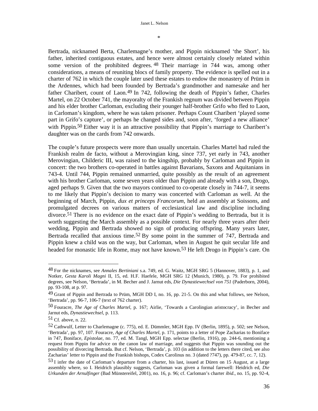\*

Bertrada, nicknamed Berta, Charlemagne's mother, and Pippin nicknamed 'the Short', his father, inherited contiguous estates, and hence were almost certainly closely related within some version of the prohibited degrees. <sup>48</sup> Their marriage in 744 was, among other considerations, a means of reuniting blocs of family property. The evidence is spelled out in a charter of 762 in which the couple later used these estates to endow the monastery of Prüm in the Ardennes, which had been founded by Bertrada's grandmother and namesake and her father Charibert, count of Laon.<sup>49</sup> In 742, following the death of Pippin's father, Charles Martel, on 22 October 741, the mayoralty of the Frankish regnum was divided between Pippin and his elder brother Carloman, excluding their younger half-brother Grifo who fled to Laon, in Carloman's kingdom, where he was taken prisoner. Perhaps Count Charibert 'played some part in Grifo's capture', or perhaps he changed sides and, soon after, 'forged a new alliance' with Pippin.<sup>50</sup> Either way it is an attractive possibility that Pippin's marriage to Charibert's daughter was on the cards from 742 onwards.

The couple's future prospects were more than usually uncertain. Charles Martel had ruled the Frankish realm de facto, without a Merovingian king, since 737, yet early in 743, another Merovingian, Childeric III, was raised to the kingship, probably by Carloman and Pippin in concert: the two brothers co-operated in battles against Bavarians, Saxons and Aquitanians in 743-4. Until 744, Pippin remained unmarried, quite possibly as the result of an agreement with his brother Carloman, some seven years older than Pippin and already with a son, Drogo, aged perhaps 9. Given that the two mayors continued to co-operate closely in 744-7, it seems to me likely that Pippin's decision to marry was concerted with Carloman as well. At the beginning of March, Pippin, *dux et princeps Francorum*, held an assembly at Soissons, and promulgated decrees on various matters of ecclesiastical law and discipline including divorce.<sup>51</sup> There is no evidence on the exact date of Pippin's wedding to Bertrada, but it is worth suggesting the March assembly as a possible context. For nearly three years after their wedding, Pippin and Bertrada showed no sign of producing offspring. Many years later, Bertrada recalled that anxious time.<sup>52</sup> By some point in the summer of 747, Bertrada and Pippin knew a child was on the way, but Carloman, when in August he quit secular life and headed for monastic life in Rome, may not have known.53 He left Drogo in Pippin's care. On

<sup>48</sup> For the nicknames, see *Annales Bertiniani* s.a. 749, ed. G. Waitz, MGH SRG 5 (Hannover, 1883), p. 1, and Notker, *Gesta Karoli Magni* II, 15, ed. H.F. Haefele, MGH SRG 12 (Munich, 1980), p. 79. For prohibited degrees, see Nelson, 'Bertrada', in M. Becher and J. Jarnut eds, *Die Dynastiewechsel von 751* (Paderborn, 2004), pp. 93-108, at p. 97.

<sup>49</sup> Grant of Pippin and Bertrada to Prüm, MGH DD I, no. 16, pp. 21-5. On this and what follows, see Nelson, 'Bertrada', pp. 96-7, 106-7 (text of 762 charter).

<sup>50</sup> Fouracre, *The Age of Charles Martel*, p. 167; Airlie, 'Towards a Carolingian aristocracy', in Becher and Jarnut eds, *Dynastiewechsel*, p. 113.

<sup>51</sup> Cf. above, n. 22.

<sup>52</sup> Cathwulf, Letter to Charlemagne (c. 775), ed. E. Dümmler, MGH Epp. IV (Berlin, 1895), p. 502; see Nelson, 'Bertrada', pp. 97, 107. Fouracre, *Age of Charles Martel*, p. 171, points to a letter of Pope Zacharias to Boniface in 747, Boniface, *Epistolae*, no. 77, ed. M. Tangl, MGH Epp. selectae (Berlin, 1916), pp. 244-6, mentioning a request from Pippin for advice on the canon law of marriage, and suggests that Pippin was sounding out the possibility of divorcing Bertrada. But cf. Nelson, 'Bertrada', p. 103 (in addition to the letters there cited, see also Zacharias' letter to Pippin and the Frankish bishops, Codex Carolinus no. 3 (dated ?747), pp. 479-87, cc. 7, 12).

<sup>53</sup> I infer the date of Carloman's departure from a charter, his last, issued at Düren on 15 August, at a large assembly where, so I. Heidrich plausibly suggests, Carloman was given a formal farewell: Heidrich ed, *Die Urkunden der Arnulfinger* (Bad Münstereifel, 2001), no. 16, p. 96; cf. Carloman's charter *ibid*., no. 15, pp. 92-4,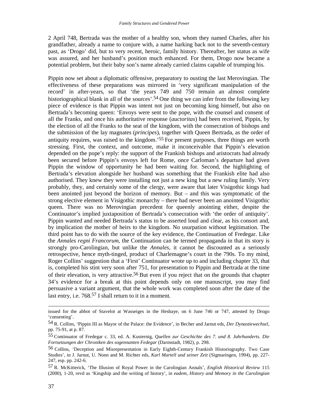2 April 748, Bertrada was the mother of a healthy son, whom they named Charles, after his grandfather, already a name to conjure with, a name harking back not to the seventh-century past, as 'Drogo' did, but to very recent, heroic, family history. Thereafter, her status as wife was assured, and her husband's position much enhanced. For them, Drogo now became a potential problem, but their baby son's name already carried claims capable of trumping his.

Pippin now set about a diplomatic offensive, preparatory to ousting the last Merovingian. The effectiveness of these preparations was mirrored in 'very significant manipulation of the record' in after-years, so that 'the years 749 and 750 remain an almost complete historiographical blank in all of the sources'.<sup>54</sup> One thing we can infer from the following key piece of evidence is that Pippin was intent not just on becoming king himself, but also on Bertrada's becoming queen: 'Envoys were sent to the pope, with the counsel and consent of all the Franks, and once his authoritative response (*auctoritas*) had been received, Pippin, by the election of all the Franks to the seat of the kingdom, with the consecration of bishops and the submission of the lay magnates (*principes*), together with Queen Bertrada, as the order of antiquity requires, was raised to the kingdom.'55 For present purposes, three things are worth stressing. First, the context, and outcome, make it inconceivable that Pippin's elevation depended on the pope's reply: the support of the Frankish bishops and aristocrats had already been secured before Pippin's envoys left for Rome, once Carloman's departure had given Pippin the window of opportunity he had been waiting for. Second, the highlighting of Bertrada's elevation alongside her husband was something that the Frankish elite had also authorised. They knew they were installing not just a new king but a new ruling family. Very probably, they, and certainly some of the clergy, were aware that later Visigothic kings had been anointed just beyond the horizon of memory. But – and this was symptomatic of the strong elective element in Visigothic monarchy – there had never been an anointed Visigothic queen. There was no Merovingian precedent for queenly anointing either, despite the Continuator's implied juxtaposition of Bertrada's consecration with 'the order of antiquity'. Pippin wanted and needed Bertrada's status to be asserted loud and clear, as his consort and, by implication the mother of heirs to the kingdom. No usurpation without legitimation. The third point has to do with the source of the key evidence, the Continuation of Fredegar. Like the *Annales regni Francorum*, the Continuation can be termed propaganda in that its story is strongly pro-Carolingian, but unlike the *Annales*, it cannot be discounted as a seriously retrospective, hence myth-tinged, product of Charlemagne's court in the 790s. To my mind, Roger Collins' suggestion that a 'First' Continuator wrote up to and including chapter 33, that is, completed his stint very soon after 751, for presentation to Pippin and Bertrada at the time of their elevation, is very attractive.56 But even if you reject that on the grounds that chapter 34's evidence for a break at this point depends only on one manuscript, you may find persuasive a variant argument, that the whole work was completed soon after the date of the last entry, i.e. 768.57 I shall return to it in a moment.

issued for the abbot of Stavelot at Wasseiges in the Hesbaye, on 6 June 746 or 747, attested by Drogo 'consenting'.

<sup>54</sup> R. Collins, 'Pippin III as Mayor of the Palace: the Evidence', in Becher and Jarnut eds, *Der Dynastiewechsel*, pp. 75-91, at p. 87.

<sup>55</sup> Continuator of Fredegar c. 33, ed. A. Kusternig, *Quellen zur Geschichte des 7. und 8. Jahrhunderts. Die Fortsetzungen der Chroniken des sogennanten Fedegar* (Darmstadt, 1982), p. 298.

<sup>56</sup> Collins, 'Deception and Misrepresentation in Early Eighth-Century Frankish Historiography. Two Case Studies', in J. Jarnut, U. Nonn and M. Richter eds, *Karl Martell und seiner Zeit* (Sigmaringen, 1994), pp. 227- 247, esp. pp. 242-6.

<sup>57</sup> R. McKitterick, 'The Illusion of Royal Power in the Carolingian Annals', *English Historical Review* 115 (2000), 1-20, revd as 'Kingship and the writing of history', in *eadem*, *History and Memory in the Carolingian*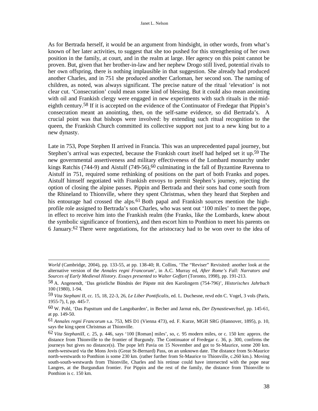As for Bertrada herself, it would be an argument from hindsight, in other words, from what's known of her later activities, to suggest that she too pushed for this strengthening of her own position in the family, at court, and in the realm at large. Her agency on this point cannot be proven. But, given that her brother-in-law and her nephew Drogo still lived, potential rivals to her own offspring, there is nothing implausible in that suggestion. She already had produced another Charles, and in 751 she produced another Carloman, her second son. The naming of children, as noted, was always significant. The precise nature of the ritual 'elevation' is not clear cut. 'Consecration' could mean some kind of blessing. But it could also mean anointing with oil and Frankish clergy were engaged in new experiments with such rituals in the mideighth century.58 If it is accepted on the evidence of the Continuator of Fredegar that Pippin's consecration meant an anointing, then, on the self-same evidence, so did Bertrada's. A crucial point was that bishops were involved: by extending such ritual recognition to the queen, the Frankish Church committed its collective support not just to a new king but to a new dynasty.

Late in 753, Pope Stephen II arrived in Francia. This was an unprecedented papal journey, but Stephen's arrival was expected, because the Frankish court itself had helped set it up.<sup>59</sup> The new governmental assertiveness and military effectiveness of the Lombard monarchy under kings Ratchis (744-9) and Aistulf (749-56),<sup>60</sup> culminating in the fall of Byzantine Ravenna to Aistulf in 751, required some rethinking of positions on the part of both Franks and popes. Aistulf himself negotiated with Frankish envoys to permit Stephen's journey, rejecting the option of closing the alpine passes. Pippin and Bertrada and their sons had come south from the Rhineland to Thionville, where they spent Christmas, when they heard that Stephen and his entourage had crossed the alps.<sup>61</sup> Both papal and Frankish sources mention the highprofile role assigned to Bertrada's son Charles, who was sent out '100 miles' to meet the pope, in effect to receive him into the Frankish realm (the Franks, like the Lombards, knew about the symbolic significance of frontiers), and then escort him to Ponthion to meet his parents on 6 January.<sup>62</sup> There were negotiations, for the aristocracy had to be won over to the idea of

*World* (Cambridge, 2004), pp. 133-55, at pp. 138-40; R. Collins, 'The "Reviser" Revisited: another look at the alternative version of the *Annales regni Francorum*', in A.C. Murray ed, *After Rome's Fall: Narrators and Sources of Early Medieval History. Essays presented to Walter Goffart* (Toronto, 1998), pp. 191-213.

<sup>58</sup> A. Angenendt, 'Das geistliche Bündnis der Päpste mit den Karolingern (754-796)', *Historisches Jahrbuch* 100 (1980), 1-94.

<sup>59</sup> *Vita Stephani II*, cc. 15, 18, 22-3, 26, *Le Liber Pontificalis*, ed. L. Duchesne, revd edn C. Vogel, 3 vols (Paris, 1955-7), I, pp. 445-7.

<sup>60</sup> W. Pohl, 'Das Papsttum und die Langobarden', in Becher and Jarnut eds, *Der Dynastiewechsel*, pp. 145-61, at pp. 149-50.

<sup>61</sup> *Annales regni Francorum* s.a. 753, MS D1 (Vienna 473), ed. F. Kurze, MGH SRG (Hannover, 1895), p. 10, says the king spent Christmas at Thionville.

<sup>62</sup> *Vita StephaniII,* c. 25, p. 446, says '100 [Roman] miles', so, c. 95 modern miles, or c. 150 km: approx. the distance from Thionville to the frontier of Burgundy. The Continuator of Fredegar c. 36, p. 300, confirms the journeys but gives no distance(s). The pope left Pavia on 15 November and got to St-Maurice, some 200 km. north-westward via the Mons Jovis (Great St-Bernard) Pass, on an unknown date. The distance from St-Maurice north-westwards to Ponthion is some 230 km. (rather further from St-Maurice to Thionville, c.260 km.). Moving south-south-westwards from Thionville, Charles and his retinue could have intersected with the pope near Langres, at the Burgundian frontier. For Pippin and the rest of the family, the distance from Thionville to Ponthion is c. 150 km.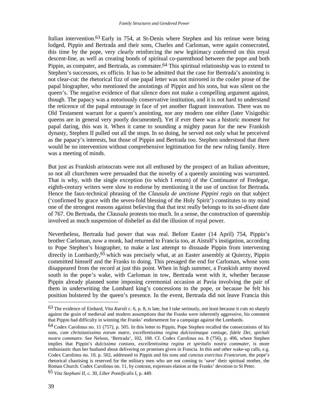Italian intervention.63 Early in 754, at St-Denis where Stephen and his retinue were being lodged, Pippin and Bertrada and their sons, Charles and Carloman, were again consecrated, this time by the pope, very clearly reinforcing the new legitimacy conferred on this royal descent-line, as well as creating bonds of spiritual co-parenthood between the pope and both Pippin, as compater, and Bertrada, as commater.<sup>64</sup> This spiritual relationship was to extend to Stephen's successors, ex officio. It has to be admitted that the case for Bertrada's anointing is not clear-cut: the rhetorical fizz of one papal letter was not mirrored in the cooler prose of the papal biographer, who mentioned the anointings of Pippin and his sons, but was silent on the queen's. The negative evidence of that silence does not make a compelling argument against, though. The papacy was a notoriously conservative institution, and it is not hard to understand the reticence of the papal entourage in face of yet another flagrant innovation. There was no Old Testament warrant for a queen's anointing, nor any modern one either (later Visigothic queens are in general very poorly documented). Yet if ever there was a historic moment for papal daring, this was it. When it came to sounding a mighty paean for the new Frankish dynasty, Stephen II pulled out all the stops. In so doing, he served not only what he perceived as the papacy's interests, but those of Pippin and Bertrada too. Stephen understood that there would be no intervention without comprehensive legitimation for the new ruling family. Here was a meeting of minds.

But just as Frankish aristocrats were not all enthused by the prospect of an Italian adventure, so not all churchmen were persuaded that the novelty of a queenly anointing was warranted. That is why, with the single exception (to which I return) of the Continuator of Fredegar, eighth-century writers were slow to endorse by mentioning it the use of unction for Bertrada. Hence the faux-technical phrasing of the *Clausula de unctione Pippini regis* on that subject ('confirmed by grace with the seven-fold blessing of the Holy Spirit') constitutes to my mind one of the strongest reasons against believing that that text really belongs to its *soi-disant* date of 767. On Bertrada, the *Clausula* protests too much. In a sense, the construction of queenship involved as much suspension of disbelief as did the illusion of royal power.

Nevertheless, Bertrada had power that was real. Before Easter (14 April) 754, Pippin's brother Carloman, now a monk, had returned to Francia too, at Aistulf's instigation, according to Pope Stephen's biographer, to make a last attempt to dissuade Pippin from intervening directly in Lombardy,65 which was precisely what, at an Easter assembly at Quierzy, Pippin committed himself and the Franks to doing. This presaged the end for Carloman, whose sons disappeared from the record at just this point. When in high summer, a Frankish army moved south in the pope's wake, with Carloman in tow, Bertrada went with it, whether because Pippin already planned some imposing ceremonial occasion at Pavia involving the pair of them in underwriting the Lombard king's concessions to the pope, or because he felt his position bolstered by the queen's presence. In the event, Bertrada did not leave Francia this

<sup>63</sup> The evidence of Einhard, *Vita Karoli* c. 6, p. 8, is late, but I take seriously, not least because it cuts so sharply against the grain of medieval and modern assumptions that the Franks were inherently aggressive, his comment that Pippin had difficulty in winning the Franks' endorsement for a campaign against the Lombards.

<sup>64</sup> Codex Carolinus no. 11 (757), p. 505. In this letter to Pippin, Pope Stephen recalled the consecrations of his sons, *cum christianissima eorum matre, excellentissima regina dulcissimaque coniuge, fidele Dei, spiritali nostra commatre*. See Nelson, 'Bertrada', 102, 108. Cf. Codex Carolinus no. 8 (756), p. 496, where Stephen implies that Pippin's *dulcissima coniunx, excellentissima regina et spiritalis nostra commater*, is more enthusiastic than her husband about delivering on promises given in Francia. In this and other wake-up calls, e.g. Codex Carolinus no. 10, p. 502, addressed to Pippin and his sons and *cunctus exercitus Francorum*, the pope's rhetorical chastising is reserved for the military men who are not coming to 'save' their spiritual mother, the Roman Church. Codex Carolinus no. 11, by contrast, expresses elation at the Franks' devotion to St Peter.

<sup>65</sup> *Vita Stephani II*, c. 30, *Liber Pontificalis* I, p. 449.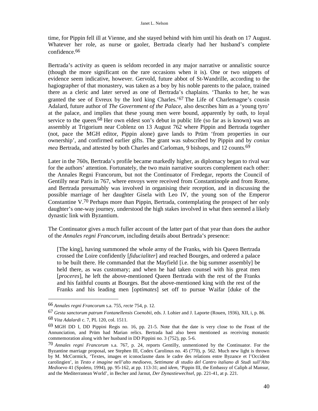time, for Pippin fell ill at Vienne, and she stayed behind with him until his death on 17 August. Whatever her role, as nurse or gaoler, Bertrada clearly had her husband's complete confidence.66

Bertrada's activity as queen is seldom recorded in any major narrative or annalistic source (though the more significant on the rare occasions when it is). One or two snippets of evidence seem indicative, however. Gervold, future abbot of St-Wandrille, according to the hagiographer of that monastery, was taken as a boy by his noble parents to the palace, trained there as a cleric and later served as one of Bertrada's chaplains. 'Thanks to her, he was granted the see of Evreux by the lord king Charles.' 67 The Life of Charlemagne's cousin Adalard, future author of *The Government of the Palace*, also describes him as a 'young tyro' at the palace, and implies that these young men were bound, apparently by oath, to loyal service to the queen.<sup>68</sup> Her own eldest son's debut in public life (so far as is known) was an assembly at Trigorium near Coblenz on 13 August 762 where Pippin and Bertrada together (not, pace the MGH editor, Pippin alone) gave lands to Prüm 'from properties in our ownership', and confirmed earlier gifts. The grant was subscribed by Pippin and by *coniux mea* Bertrada, and attested by both Charles and Carloman, 9 bishops, and 12 counts.<sup>69</sup>

Later in the 760s, Bertrada's profile became markedly higher, as diplomacy began to rival war for the authors' attention. Fortunately, the two main narrative sources complement each other: the Annales Regni Francorum, but not the Continuator of Fredegar, reports the Council of Gentilly near Paris in 767, where envoys were received from Constantinople and from Rome, and Bertrada presumably was involved in organising their reception, and in discussing the possible marriage of her daughter Gisela with Leo IV, the young son of the Emperor Constantine V.70 Perhaps more than Pippin, Bertrada, contemplating the prospect of her only daughter's one-way journey, understood the high stakes involved in what then seemed a likely dynastic link with Byzantium.

The Continuator gives a much fuller account of the latter part of that year than does the author of the *Annales regni Francorum*, including details about Bertrada's presence:

[The king], having summoned the whole army of the Franks, with his Queen Bertrada crossed the Loire confidently [*fiducialiter*] and reached Bourges, and ordered a palace to be built there. He commanded that the Mayfield [i.e. the big summer assembly] be held there, as was customary; and when he had taken counsel with his great men [*proceres*], he left the above-mentioned Queen Bertrada with the rest of the Franks and his faithful counts at Bourges. But the above-mentioned king with the rest of the Franks and his leading men [*optimates*] set off to pursue Waifar [duke of the

<sup>66</sup> *Annales regni Francorum* s.a. 755, *recte* 754, p. 12.

<sup>67</sup> *Gesta sanctorum patrum Fontanellensis Coenobii*, eds. J. Lohier and J. Laporte (Rouen, 1936), XII, i, p. 86. 68 *Vita Adalardi* c. 7, PL 120, col. 1511.

<sup>69</sup> MGH DD I, DD Pippini Regis no. 16, pp. 21-5. Note that the date is very close to the Feast of the Annunciation, and Prüm had Marian relics. Bertrada had also been mentioned as receiving monastic commemoration along with her husband in DD Pippini no. 3 (752), pp. 5-6.

<sup>70</sup> *Annales regni Francorum* s.a. 767, p. 24, reports Gentilly, unmentioned by the Continuator. For the Byzantine marriage proposal, see Stephen III, Codex Carolinus no. 45 (770), p. 562. Much new light is thrown by M. McCormick, 'Textes, images et iconoclasme dans le cadre des relations entre Byzance et l'Occident carolingien', in *Testo e imagine nell'alto medioevo, Settimane di studio del Cantro italiano di Studi sull'Alto Medioevo* 41 (Spoleto, 1994), pp. 95-162, at pp. 113-31; and *idem*, 'Pippin III, the Embassy of Caliph al Mansur, and the Mediterranean World', in Becher and Jarnut, *Der Dynastiewechsel*, pp. 221-41, at p. 221.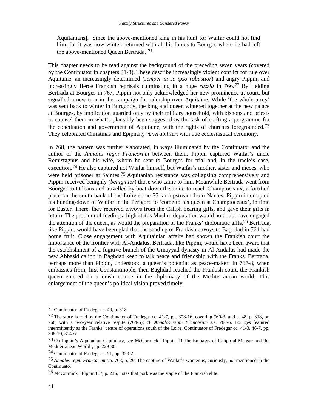Aquitanians]. Since the above-mentioned king in his hunt for Waifar could not find him, for it was now winter, returned with all his forces to Bourges where he had left the above-mentioned Queen Bertrada.'71

This chapter needs to be read against the background of the preceding seven years (covered by the Continuator in chapters 41-8). These describe increasingly violent conflict for rule over Aquitaine, an increasingly determined (*semper in se ipso robustior*) and angry Pippin, and increasingly fierce Frankish reprisals culminating in a huge *razzia* in 766.72 By fielding Bertrada at Bourges in 767, Pippin not only acknowledged her new prominence at court, but signalled a new turn in the campaign for rulership over Aquitaine. While 'the whole army' was sent back to winter in Burgundy, the king and queen wintered together at the new palace at Bourges, by implication guarded only by their military household, with bishops and priests to counsel them in what's plausibly been suggested as the task of crafting a programme for the conciliation and government of Aquitaine, with the rights of churches foregrounded.73 They celebrated Christmas and Epiphany *venerabiliter*: with due ecclesiastical ceremony.

In 768, the pattern was further elaborated, in ways illuminated by the Continuator and the author of the *Annales regni Francorum* between them. Pippin captured Waifar's uncle Remistagnus and his wife, whom he sent to Bourges for trial and, in the uncle's case, execution.74 He also captured not Waifar himself, but Waifar's mother, sister and nieces, who were held prisoner at Saintes.75 Aquitanian resistance was collapsing comprehensively and Pippin received benignly (*benigniter*) those who came to him. Meanwhile Bertrada went from Bourges to Orleans and travelled by boat down the Loire to reach Champtoceaux, a fortified place on the south bank of the Loire some 35 km upstream from Nantes. Pippin interrupted his hunting-down of Waifar in the Perigord to 'come to his queen at Champtoceaux', in time for Easter. There, they received envoys from the Caliph bearing gifts, and gave their gifts in return. The problem of feeding a high-status Muslim deputation would no doubt have engaged the attention of the queen, as would the preparation of the Franks' diplomatic gifts.76 Bertrada, like Pippin, would have been glad that the sending of Frankish envoys to Baghdad in 764 had borne fruit. Close engagement with Aquitainian affairs had shown the Frankish court the importance of the frontier with Al-Andalus. Bertrada, like Pippin, would have been aware that the establishment of a fugitive branch of the Umayyad dynasty in Al-Andalus had made the new Abbasid caliph in Baghdad keen to talk peace and friendship with the Franks. Bertrada, perhaps more than Pippin, understood a queen's potential as peace-maker. In 767-8, when embassies from, first Constantinople, then Baghdad reached the Frankish court, the Frankish queen entered on a crash course in the diplomacy of the Mediterranean world. This enlargement of the queen's political vision proved timely.

<sup>71</sup> Continuator of Fredegar c. 49, p. 318.

<sup>72</sup> The story is told by the Continuator of Fredegar cc. 41-7, pp. 308-16, covering 760-3, and c. 48, p. 318, on 766, with a two-year relative respite (764-5); cf. *Annales regni Francorum* s.a. 760-6. Bourges featured intermittently as the Franks' centre of operations south of the Loire, Continuator of Fredegar cc. 41-3, 46-7, pp. 308-10, 314-6.

<sup>73</sup> On Pippin's Aquitanian Capitulary, see McCormick, 'Pippin III, the Embassy of Caliph al Mansur and the Mediterranean World', pp. 229-30.

<sup>74</sup> Continuator of Fredegar c. 51, pp. 320-2.

<sup>75</sup> *Annales regni Francorum* s.a. 768, p. 26. The capture of Waifar's women is, curiously, not mentioned in the Continuator.

<sup>76</sup> McCormick, 'Pippin III', p. 236, notes that pork was the staple of the Frankish elite.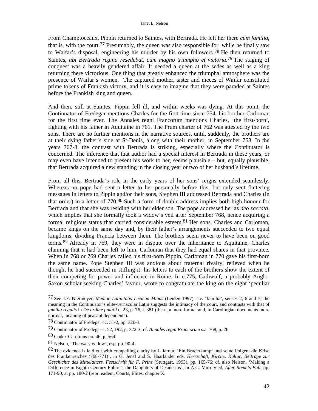From Champtoceaux, Pippin returned to Saintes, with Bertrada. He left her there *cum familia*, that is, with the court.77 Presumably, the queen was also responsible for while he finally saw to Waifar's disposal, engineering his murder by his own followers.78 He then returned to Saintes, *ubi Bertrada regina resedebat, cum magno triumpho et victoria*. 79 The staging of conquest was a heavily gendered affair. It needed a queen at the sedes as well as a king returning there victorious. One thing that greatly enhanced the triumphal atmosphere was the presence of Waifar's women. The captured mother, sister and nieces of Waifar constituted prime tokens of Frankish victory, and it is easy to imagine that they were paraded at Saintes before the Frankish king and queen.

And then, still at Saintes, Pippin fell ill, and within weeks was dying. At this point, the Continuator of Fredegar mentions Charles for the first time since 754, his brother Carloman for the first time ever. The Annales regni Francorum mentions Charles, 'the first-born', fighting with his father in Aquitaine in 761. The Prum charter of 762 was attested by the two sons. There are no further mentions in the narrative sources, until, suddenly, the brothers are at their dying father's side at St-Denis, along with their mother, in September 768. In the years 767-8, the contrast with Bertrada is striking, especially where the Continuator is concerned. The inference that that author had a special interest in Bertrada in these years, or may even have intended to present his work to her, seems plausible – but, equally plausible, that Bertrada acquired a new standing in the closing year or two of her husband's lifetime.

From all this, Bertrada's role in the early years of her sons' reigns extended seamlessly. Whereas no pope had sent a letter to her personally before this, but only sent flattering messages in letters to Pippin and/or their sons, Stephen III addressed Bertrada and Charles (in that order) in a letter of 770.80 Such a form of double-address implies both high honour for Bertrada and that she was residing with her elder son. The pope addressed her as *deo sacrata*, which implies that she formally took a widow's veil after September 768, hence acquiring a formal religious status that carried considerable esteem.81 Her sons, Charles and Carloman, became kings on the same day and, by their father's arrangements succeeded to two equal kingdoms, dividing Francia between them. The brothers seem never to have been on good terms.82 Already in 769, they were in dispute over the inheritance to Aquitaine, Charles claiming that it had been left to him, Carloman that they had equal shares in that province. When in 768 or 769 Charles called his first-born Pippin, Carloman in 770 gave his first-born the same name. Pope Stephen III was anxious about fraternal rivalry, relieved when he thought he had succeeded in stifling it: his letters to each of the brothers show the extent of their competing for power and influence in Rome. In c.775, Cathwulf, a probably Anglo-Saxon scholar seeking Charles' favour, wrote to congratulate the king on the eight 'peculiar

<sup>77</sup> See J.F. Niermeyer, *Mediae Latinitatis Lexicon Minus* (Leiden 1997), s.v. 'familia', senses 2, 6 and 7; the meaning in the Continuator's elite-vernacular Latin suggests the intimacy of the court, and contrasts with that of *familia regalis* in *De ordine palatii* c. 23, p. 76, l. 381 (there, a more formal and, in Carolingian documents more normal, meaning of peasant dependents).

<sup>78</sup> Continuator of Fredegar cc. 51-2, pp. 320-3.

<sup>79</sup> Continuator of Fredegar c. 52, 192, p. 322-3; cf. *Annales regni Francorum* s.a. 768, p. 26.

<sup>80</sup> Codex Carolinus no. 46, p. 564.

<sup>81</sup> Nelson, 'The wary widow', esp. pp. 90-4.

<sup>82</sup> The evidence is laid out with compelling clarity by J. Jarnut, 'Ein Bruderkampf und seine Folgen: die Krise des Frankenreiches (768-771)', in G. Jenal and S. Haarländer eds, *Herrschaft, Kirche, Kultur. Beiträge zur Geschichte des Mittelalters. Festschrift für F. Prinz* (Stuttgart, 1993), pp. 165-76; cf. also Nelson, 'Making a Difference in Eighth-Century Politics: the Daughters of Desiderius', in A.C. Murray ed, *After Rome's Fall*, pp. 171-90, at pp. 180-2 (repr. eadem, Courts, Elites, chapter X.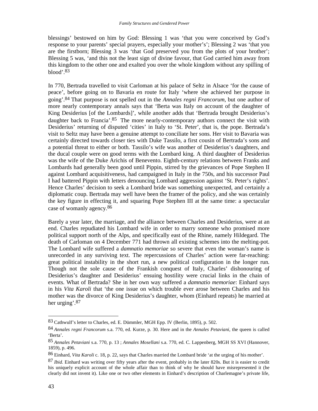blessings' bestowed on him by God: Blessing 1 was 'that you were conceived by God's response to your parents' special prayers, especially your mother's'; Blessing 2 was 'that you are the firstborn; Blessing 3 was 'that God preserved you from the plots of your brother'; Blessing 5 was, 'and this not the least sign of divine favour, that God carried him away from this kingdom to the other one and exalted you over the whole kingdom without any spilling of blood'.83

In 770, Bertrada travelled to visit Carloman at his palace of Seltz in Alsace 'for the cause of peace', before going on to Bavaria en route for Italy 'where she achieved her purpose in going'.84 That purpose is not spelled out in the *Annales regni Francorum*, but one author of more nearly contemporary annals says that 'Berta was Italy on account of the daughter of King Desiderius [of the Lombards]', while another adds that 'Bertrada brought Desiderius's daughter back to Francia'.<sup>85</sup> The more nearly-contemporary authors connect the visit with Desiderius' returning of disputed 'cities' in Italy to 'St. Peter', that is, the pope. Bertrada's visit to Seltz may have been a genuine attempt to conciliate her sons. Her visit to Bavaria was certainly directed towards closer ties with Duke Tassilo, a first cousin of Bertrada's sons and a potential threat to either or both. Tassilo's wife was another of Desiderius's daughters, and the ducal couple were on good terms with the Lombard king. A third daughter of Desiderius was the wife of the Duke Arichis of Benevento. Eighth-century relations between Franks and Lombards had generally been good until Pippin, stirred by the grievances of Pope Stephen II against Lombard acquisitiveness, had campaigned in Italy in the 750s, and his successor Paul I had battered Pippin with letters denouncing Lombard aggression against 'St. Peter's rights'. Hence Charles' decision to seek a Lombard bride was something unexpected, and certainly a diplomatic coup. Bertrada may well have been the framer of the policy, and she was certainly the key figure in effecting it, and squaring Pope Stephen III at the same time: a spectacular case of womanly agency.86

Barely a year later, the marriage, and the alliance between Charles and Desiderius, were at an end. Charles repudiated his Lombard wife in order to marry someone who promised more political support north of the Alps, and specifically east of the Rhine, namely Hildegard. The death of Carloman on 4 December 771 had thrown all existing schemes into the melting-pot. The Lombard wife suffered a *damnatio memoriae* so severe that even the woman's name is unrecorded in any surviving text. The repercussions of Charles' action were far-reaching: great political instability in the short run, a new political configuration in the longer run. Though not the sole cause of the Frankish conquest of Italy, Charles' dishonouring of Desiderius's daughter and Desiderius' ensuing hostility were crucial links in the chain of events. What of Bertrada? She in her own way suffered a *damnatio memoriae*: Einhard says in his *Vita Karoli* that 'the one issue on which trouble ever arose between Charles and his mother was the divorce of King Desiderius's daughter, whom (Einhard repeats) he married at her urging'.87

<sup>83</sup> Cathwulf's letter to Charles, ed. E. Dümmler, MGH Epp. IV (Berlin, 1895), p. 502.

<sup>84</sup> *Annales regni Francorum* s.a. 770, ed. Kurze, p. 30. Here and in the *Annales Petaviani*, the queen is called 'Berta'.

<sup>85</sup> *Annales Petaviani* s.a. 770, p. 13 ; *Annales Mosellani* s.a. 770, ed. C. Lappenberg, MGH SS XVI (Hannover, 1859), p. 496.

<sup>86</sup> Einhard, *Vita Karoli* c. 18, p. 22, says that Charles married the Lombard bride 'at the urging of his mother'.

<sup>87</sup> *Ibid*. Einhard was writing over fifty years after the event, probably in the later 820s. But it is easier to credit his uniquely explicit account of the whole affair than to think of why he should have misrepresented it (he clearly did not invent it). Like one or two other elements in Einhard's description of Charlemagne's private life,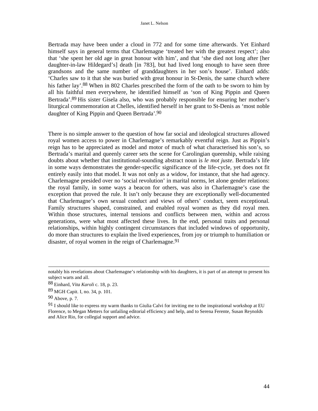Bertrada may have been under a cloud in 772 and for some time afterwards. Yet Einhard himself says in general terms that Charlemagne 'treated her with the greatest respect'; also that 'she spent her old age in great honour with him', and that 'she died not long after [her daughter-in-law Hildegard's] death [in 783], but had lived long enough to have seen three grandsons and the same number of granddaughters in her son's house'. Einhard adds: 'Charles saw to it that she was buried with great honour in St-Denis, the same church where his father lay'.88 When in 802 Charles prescribed the form of the oath to be sworn to him by all his faithful men everywhere, he identified himself as 'son of King Pippin and Queen Bertrada'.89 His sister Gisela also, who was probably responsible for ensuring her mother's liturgical commemoration at Chelles, identified herself in her grant to St-Denis as 'most noble daughter of King Pippin and Queen Bertrada'.90

There is no simple answer to the question of how far social and ideological structures allowed royal women access to power in Charlemagne's remarkably eventful reign. Just as Pippin's reign has to be appreciated as model and motor of much of what characterised his son's, so Bertrada's marital and queenly career sets the scene for Carolingian queenship, while raising doubts about whether that institutional-sounding abstract noun is *le mot juste*. Bertrada's life in some ways demonstrates the gender-specific significance of the life-cycle, yet does not fit entirely easily into that model. It was not only as a widow, for instance, that she had agency. Charlemagne presided over no 'social revolution' in marital norms, let alone gender relations: the royal family, in some ways a beacon for others, was also in Charlemagne's case the exception that proved the rule. It isn't only because they are exceptionally well-documented that Charlemagne's own sexual conduct and views of others' conduct, seem exceptional. Family structures shaped, constrained, and enabled royal women as they did royal men. Within those structures, internal tensions and conflicts between men, within and across generations, were what most affected these lives. In the end, personal traits and personal relationships, within highly contingent circumstances that included windows of opportunity, do more than structures to explain the lived experiences, from joy or triumph to humiliation or disaster, of royal women in the reign of Charlemagne.  $91$ 

notably his revelations about Charlemagne's relationship with his daughters, it is part of an attempt to present his subject warts and all.

<sup>88</sup> Einhard, *Vita Karoli* c. 18, p. 23.

<sup>89</sup> MGH Capit. I, no. 34, p. 101.

<sup>90</sup> Above, p. 7.

<sup>91</sup> I should like to express my warm thanks to Giulia Calvi for inviting me to the inspirational workshop at EU Florence, to Megan Metters for unfailing editorial efficiency and help, and to Serena Ferente, Susan Reynolds and Alice Rio, for collegial support and advice.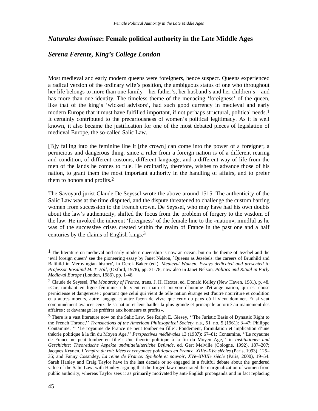# *Naturales dominae***: Female political authority in the Late Middle Ages**

# *Serena Ferente, King's College London*

Most medieval and early modern queens were foreigners, hence suspect. Queens experienced a radical version of the ordinary wife's position, the ambiguous status of one who throughout her life belongs to more than one family – her father's, her husband's and her children's – and has more than one identity. The timeless theme of the menacing 'foreigness' of the queen, like that of the king's 'wicked advisors', had such good currency in medieval and early modern Europe that it must have fulfilled important, if not perhaps structural, political needs.<sup>1</sup> It certainly contributed to the precariousness of women's political legitimacy. As it is well known, it also became the justification for one of the most debated pieces of legislation of medieval Europe, the so-called Salic Law.

[B]y falling into the feminine line it [the crown] can come into the power of a foreigner, a pernicious and dangerous thing, since a ruler from a foreign nation is of a different rearing and condition, of different customs, different language, and a different way of life from the men of the lands he comes to rule. He ordinarily, therefore, wishes to advance those of his nation, to grant them the most important authority in the handling of affairs, and to prefer them to honors and profits.2

The Savoyard jurist Claude De Seyssel wrote the above around 1515. The authenticity of the Salic Law was at the time disputed, and the dispute threatened to challenge the custom barring women from succession to the French crown. De Seyssel, who may have had his own doubts about the law's authenticity, shifted the focus from the problem of forgery to the wisdom of the law. He invoked the inherent 'foreigness' of the female line to the «nation», mindful as he was of the successive crises created within the realm of France in the past one and a half centuries by the claims of English kings.3

<sup>1</sup> The literature on medieval and early modern queenship is now an ocean, but on the theme of Jezebel and the 'evil foreign queen' see the pioneering essay by Janet Nelson, `Queens as Jezebels: the careers of Brunhild and Balthild in Merovingian history', in Derek Baker (ed.), *Medieval Women. Essays dedicated and presented to Professor Rosalind M. T. Hill*, (Oxford, 1978), pp. 31-78; now also in Janet Nelson, *Politics and Ritual in Early Medieval Europe* (London, 1986), pp. 1-48.

<sup>2</sup> Claude de Seyssel, *The Monarchy of France,* trans. J. H. Hexter, ed. Donald Kelley (New Haven, 1981), p. 48. «Car, tombant en ligne féminine, elle vient en main et pouvoir d'homme d'étrange nation, qui est chose pernicieuse et dangereuse : pourtant que celui qui vient de telle nation étrange est d'autre nourriture et condition et a autres moeurs, autre langage et autre façon de vivre que ceux du pays où il vient dominer. Et si veut communément avancer ceux de sa nation et leur bailler la plus grande et principale autorité au maniement des affaires ; et davantage les préférer aux honneurs et profits».

<sup>3</sup> There is a vast literature now on the Salic Law. See Ralph E. Giesey, ''The Juristic Basis of Dynastic Right to the French Throne,'' *Transactions of the American Philosophical Society*, n.s., 51, no. 5 (1961): 3–47; Philippe Contamine, '' 'Le royaume de France ne peut tomber en fille': Fondement, formulation et implication d'une théorie politique à la fin du Moyen Age,'' *Perspectives médiévales* 13 (1987): 67–81; Contamine, ''Le royaume de France ne peut tomber en fille': Une théorie politique à la fin du Moyen Age,'' in *Institutionen und Geschichte: Theoretische Aspekte undmittelalterliche Befunde*, ed. Gert Melville (Cologne, 1992), 187–207; Jacques Krynen, *L'empire du roi: Idées et croyances politiques en France, XIIIe–XVe siècles* (Paris, 1993), 125– 35; and Fanny Cosandey, *La reine de France: Symbole et pouvoir, XVe–XVIIIe siècle* (Paris, 2000), 19–54. Sarah Hanley and Craig Taylor have in the last decade or so engaged in a fruitful debate about the gendered value of the Salic Law, with Hanley arguing that the forged law consecrated the marginalization of women from public authority, whereas Taylor sees it as primarily motivated by anti-English propaganda and in fact replacing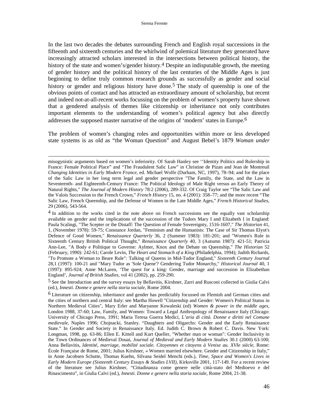In the last two decades the debates surrounding French and English royal successions in the fifteenth and sixteenth centuries and the whirlwind of polemical literature they generated have increasingly attracted scholars interested in the intersections between political history, the history of the state and women's/gender history.<sup>4</sup> Despite an indisputable growth, the meeting of gender history and the political history of the last centuries of the Middle Ages is just beginning to define truly common research grounds as successfully as gender and social history or gender and religious history have done.<sup>5</sup> The study of queenship is one of the obvious points of contact and has attracted an extraordinary amount of scholarship, but recent and indeed not-at-all-recent works focussing on the problem of women's property have shown that a gendered analysis of themes like citizenship or inheritance not only contributes important elements to the understanding of women's political agency but also directly addresses the supposed master narrative of the origins of 'modern' states in Europe.6

The problem of women's changing roles and opportunities within more or less developed state systems is as old as "the Woman Question" and August Bebel's 1879 *Woman under* 

misogynistic arguments based on women's inferiority. Of Sarah Hanley see ''Identity Politics and Rulership in France: Female Political Place" and "The Fraudulent Salic Law" in Christine de Pizan and Jean de Montreuil *Changing Identities in Early Modern France*, ed. Michael Wolfe (Durham, NC, 1997), 78–94; and for the place of the Salic Law in her long term legal and gender perspective "The Family, the State, and the Law in Seventeenth- and Eighteenth-Century France: The Political Ideology of Male Right versus an Early Theory of Natural Rights," *The Journal of Modern History* 78:2 (2006), 289-332. Of Craig Taylor see "The Salic Law and the Valois Succession to the French Crown," *French History* 15, no. 4 (2001): 358–77; and the more recent "The Salic Law, French Queenship, and the Defense of Women in the Late Middle Ages," *French Historical Studies,* 29 (2006), 543-564.

<sup>&</sup>lt;sup>4</sup> In addition to the works cited in the note above on French successions see the equally vast scholarship available on gender and the implications of the succession of the Tudors Mary I and Elizabeth I in England: Paula Scalingi, "The Scepter or the Distaff: The Question of Female Sovereignty, 1516-1607," *The Historian* 41, 1, (November 1978): 59-75; Constance Jordan, "Feminism and the Humanists: The Case of Sir Thomas Elyot's Defence of Good Women," *Renaissance Quarterly* 36, 2 (Summer 1983): 181-201; and "Women's Rule in Sixteenth Century British Political Thought," *Renaissance Quarterly* 40, 3 (Autumn 1987): 421-51; Patricia Ann-Lee, "A Body e Politique to Governe: Aylmer, Knox and the Debate on Queenship," *The Historian* 52 (February, 1990): 242-61; Carole Levin, *The Heart and Stomach of a King* (Philadelphia, 1994); Judith Richards, "To Promote a Woman to Beare Rule": Talking of Queens in Mid-Tudor England," *Sixteenth Century Journal* 28,1 (1997): 100-21 and "Mary Tudor as 'Sole Quene'? Gendering Tudor Monarchy," *Historical Journal* 40, 1 (1997): 895-924; Anne McLaren, 'The quest for a king: Gender, marriage and succession in Elizabethan England', *Journal of British Studies*, vol 41 (2002), pp. 259-290.

<sup>5</sup> See the Introduction and the survey essays by Bellavitis, Kirshner, Zarri and Rusconi collected in Giulia Calvi (ed.), *Innesti. Donne e genere nella storia sociale*, Rome 2004.

<sup>6</sup> Literature on citizenship, inheritance and gender has predictably focussed on Flemish and German cities and the cities of northern and central Italy: see Martha Howell "Citizenship and Gender: Women's Political Status in Northern Medieval Cities", Mary Erler and Maryanne Kowaleski (ed) *Women & power in the middle ages*, London 1988, 37-60; Law, Family, and Women: Toward a Legal Anthropology of Renaissance Italy (Chicago: University of Chicago Press, 1991; Maria Teresa Guerra Medici, *L'aria di città. Donne e diritti nel Comune medievale*, Naples 1996; Chojnacki, Stanley. "Daughters and Oligarchs: Gender and the Early Renaissance State." In Gender and Society in Renaissance Italy. Ed. Judith C. Brown & Robert C. Davis. New York: Longman, 1998, pp. 63-86; Ellen E. Kittell and Kurt Queller, "Whether man or woman": Gender Inclusivity in the Town Ordinances of Medieval Douai, *Journal of Medieval and Early Modern Studies* 30.1 (2000) 63-100; Anna Bellavitis, *Identité, marriage, mobilité sociale. Citoyennes et citoyens à Venise au. XVIe siècle*, Rome: École Française de Rome, 2001; Julius Kirshner, « Women married elsewhere. Gender and Citizenship in Italy," in Anne Jacobsen Schutte, Thomas Kuehn, Silvana Seidel Menchi (eds.), *Time, Space and Women's Lives in Early Modern Europe (Sixteenth Century Essays & Studies LVII)*, Kirksville 2001, 117-149. For a recent review of the literature see Julius Kirshner, "Cittadinanza come genere nelle città-stato del Medioevo e del Rinascimento", in Giulia Calvi (ed.), *Innesti. Donne e genere nella storia sociale*, Rome 2004, 21-38.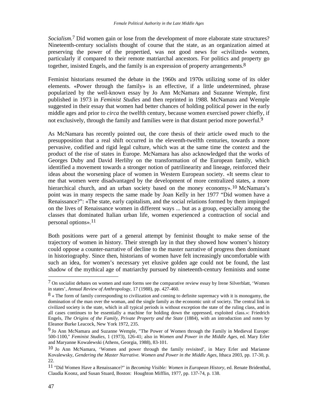*Socialism*. 7 Did women gain or lose from the development of more elaborate state structures? Nineteenth-century socialists thought of course that the state, as an organization aimed at preserving the power of the propertied, was not good news for «civilized» women, particularly if compared to their remote matriarchal ancestors. For politics and property go together, insisted Engels, and the family is an expression of property arrangements.8

Feminist historians resumed the debate in the 1960s and 1970s utilizing some of its older elements. «Power through the family» is an effective, if a little undetermined, phrase popularized by the well-known essay by Jo Ann McNamara and Suzanne Wemple, first published in 1973 in *Feminist Studies* and then reprinted in 1988. McNamara and Wemple suggested in their essay that women had better chances of holding political power in the early middle ages and prior to *circa* the twelfth century, because women exercised power chiefly, if not exclusively, through the family and families were in that distant period more powerful.<sup>9</sup>

As McNamara has recently pointed out, the core thesis of their article owed much to the presupposition that a real shift occurred in the eleventh-twelfth centuries, towards a more pervasive, codified and rigid legal culture, which was at the same time the context and the product of the rise of states in Europe. McNamara has also acknowledged that the works of Georges Duby and David Herlihy on the transformation of the European family, which identified a movement towards a stronger notion of patrilinearity and lineage, reinforced their ideas about the worsening place of women in Western European society. «It seems clear to me that women were disadvantaged by the development of more centralized states, a more hierarchical church, and an urban society based on the money economy».<sup>10</sup> McNamara's point was in many respects the same made by Joan Kelly in her 1977 "Did women have a Renaissance?": «The state, early capitalism, and the social relations formed by them impinged on the lives of Renaissance women in different ways ... but as a group, especially among the classes that dominated Italian urban life, women experienced a contraction of social and personal options».11

Both positions were part of a general attempt by feminist thought to make sense of the trajectory of women in history. Their strength lay in that they showed how women's history could oppose a counter-narrative of decline to the master narrative of progress then dominant in historiography. Since then, historians of women have felt increasingly uncomfortable with such an idea, for women's necessary yet elusive golden age could not be found, the last shadow of the mythical age of matriarchy pursued by nineteenth-century feminists and some

<sup>7</sup> On socialist debates on women and state forms see the comparative review essay by Irene Silverblatt, 'Women in states', *Annual Review of Anthropology*, 17 (1988), pp. 427-460.

<sup>8 «</sup> The form of family corresponding to civilization and coming to definite supremacy with it is monogamy, the domination of the man over the woman, and the single family as the economic unit of society. The central link in civilized society is the state, which in all typical periods is without exception the state of the ruling class, and in all cases continues to be essentially a machine for holding down the oppressed, exploited class.»: Friedrich Engels, *The Origins of the Family, Private Property and the State* (1884), with an introduction and notes by Eleanor Burke Leacock, New York 1972, 235.

<sup>9</sup> Jo Ann McNamara and Suzanne Wemple, "The Power of Women through the Family in Medieval Europe: 500-1100," *Feminist Studies*, 1 (1973), 126-41; also in *Women and Power in the Middle Ages*, ed. Mary Erler and Maryanne Kowalewski (Athens, Georgia, 1988), 83-101.

<sup>10</sup> Jo Ann McNamara, 'Women and power through the family revisited', in Mary Erler and Marianne Kovalewsky, *Gendering the Master Narrative. Women and Power in the Middle Ages*, Ithaca 2003, pp. 17-30, p. 22.

<sup>11 &</sup>quot;Did Women Have a Renaissance?" in *Becoming Visible: Women in European History*, ed. Renate Bridenthal, Claudia Koonz, and Susan Stuard, Boston: Houghton Mifflin, 1977, pp. 137-74, p. 138.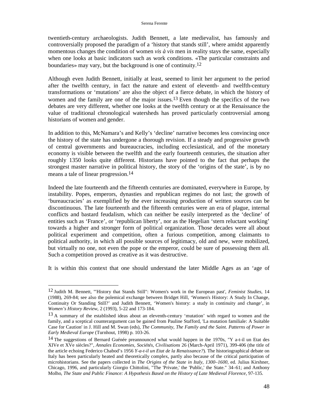twentieth-century archaeologists. Judith Bennett, a late medievalist, has famously and controversially proposed the paradigm of a 'history that stands still', where amidst apparently momentous changes the condition of women *vis à vis* men in reality stays the same, especially when one looks at basic indicators such as work conditions. «The particular constraints and boundaries» may vary, but the background is one of continuity.12

Although even Judith Bennett, initially at least, seemed to limit her argument to the period after the twelfth century, in fact the nature and extent of eleventh- and twelfth-century transformations or 'mutations' are also the object of a fierce debate, in which the history of women and the family are one of the major issues.<sup>13</sup> Even though the specifics of the two debates are very different, whether one looks at the twelfth century or at the Renaissance the value of traditional chronological watersheds has proved particularly controversial among historians of women and gender.

In addition to this, McNamara's and Kelly's 'decline' narrative becomes less convincing once the history of the state has undergone a thorough revision. If a steady and progressive growth of central governments and bureaucracies, including ecclesiastical, and of the monetary economy is visible between the twelfth and the early fourteenth centuries, the situation after roughly 1350 looks quite different. Historians have pointed to the fact that perhaps the strongest master narrative in political history, the story of the 'origins of the state', is by no means a tale of linear progression.<sup>14</sup>

Indeed the late fourteenth and the fifteenth centuries are dominated, everywhere in Europe, by instability. Popes, emperors, dynasties and republican regimes do not last; the growth of 'bureaucracies' as exemplified by the ever increasing production of written sources can be discontinuous. The late fourteenth and the fifteenth centuries were an era of plague, internal conflicts and bastard feudalism, which can neither be easily interpreted as the 'decline' of entities such as 'France', or 'republican liberty', nor as the Hegelian 'stern reluctant working' towards a higher and stronger form of political organization. Those decades were all about political experiment and competition, often a furious competition, among claimants to political authority, in which all possible sources of legitimacy, old and new, were mobilized, but virtually no one, not even the pope or the emperor, could be sure of possessing them all. Such a competition proved as creative as it was destructive.

It is within this context that one should understand the later Middle Ages as an 'age of

 $\overline{\phantom{a}}$ 

<sup>12</sup> Judith M. Bennett, '"History that Stands Still": Women's work in the European past', *Feminist Studies*, 14 (1988), 269-84; see also the polemical exchange between Bridget Hill, 'Women's History: A Study In Change, Continuity Or Standing Still?' and Judith Bennett, 'Women's history: a study in continuity and change', in *Women's History Review*, 2 (1993), 5-22 and 173-184.

<sup>&</sup>lt;sup>13</sup> A summary of the established ideas about an eleventh-century 'mutation' with regard to women and the family, and a sceptical counterargument can be gained from Pauline Stafford, 'La mutation familiale: A Suitable Case for Caution' in J. Hill and M. Swan (eds), *The Community, The Family and the Saint. Patterns of Power in Early Medieval Europe* (Turnhout, 1998) p. 103-26.

<sup>14</sup> The suggestions of Bernard Guénée preannounced what would happen in the 1970s, "Y a-t-il un Etat des XIVe et XVe siècles?", *Annales Economies, Sociétés, Civilisations* 26 (March-April 1971), 399-406 (the title of the article echoing Federico Chabod's 1956 *Y-a-t-il un Etat de la Renaissance?*). The historiographical debate on Italy has been particularly heated and theoretically complex, partly also because of the critical participation of microhistorians. See the papers collected in *The Origins of the State in Italy, 1300–1600*, ed. Julius Kirshner, Chicago, 1996, and particularly Giorgio Chittolini, "The 'Private,' the 'Public,' the State." 34–61; and Anthony Molho, *The State and Public Finance: A Hypothesis Based on the History of Late Medieval Florence*, 97-135.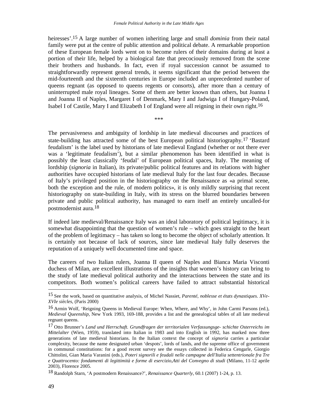heiresses'.15 A large number of women inheriting large and small *dominia* from their natal family were put at the centre of public attention and political debate. A remarkable proportion of these European female lords went on to become rulers of their domains during at least a portion of their life, helped by a biological fate that precociously removed from the scene their brothers and husbands. In fact, even if royal succession cannot be assumed to straightforwardly represent general trends, it seems significant that the period between the mid-fourteenth and the sixteenth centuries in Europe included an unprecedented number of queens regnant (as opposed to queens regents or consorts), after more than a century of uninterrupted male royal lineages. Some of them are better known than others, but Joanna I and Joanna II of Naples, Margaret I of Denmark, Mary I and Jadwiga I of Hungary-Poland, Isabel I of Castile, Mary I and Elizabeth I of England were all reigning in their own right.16

\*\*\*

The pervasiveness and ambiguity of lordship in late medieval discourses and practices of state-building has attracted some of the best European political historiography.17 'Bastard feudalism' is the label used by historians of late medieval England (whether or not there ever was a 'legitimate feudalism'), but a similar phenomenon has been identified in what is possibly the least classically 'feudal' of European political spaces, Italy. The meaning of lordship (*signoria* in Italian), its private/public political features and its relations with higher authorities have occupied historians of late medieval Italy for the last four decades. Because of Italy's privileged position in the historiography on the Renaissance as «a primal scene, both the exception and the rule, of modern politics», it is only mildly surprising that recent historiography on state-building in Italy, with its stress on the blurred boundaries between private and public political authority, has managed to earn itself an entirely uncalled-for postmodernist aura.18

If indeed late medieval/Renaissance Italy was an ideal laboratory of political legitimacy, it is somewhat disappointing that the question of women's rule – which goes straight to the heart of the problem of legitimacy – has taken so long to become the object of scholarly attention. It is certainly not because of lack of sources, since late medieval Italy fully deserves the reputation of a uniquely well documented time and space.

The careers of two Italian rulers, Joanna II queen of Naples and Bianca Maria Visconti duchess of Milan, are excellent illustrations of the insights that women's history can bring to the study of late medieval political authority and the interactions between the state and its competitors. Both women's political careers have failed to attract substantial historical

<sup>15</sup> See the work, based on quantitative analysis, of Michel Nassiet, *Parenté, noblesse et états dynastiques. XVe-XVIe siècles*, (Paris 2000)

<sup>16</sup> Armin Wolf, 'Reigning Queens in Medieval Europe: When, Where, and Why', in John Carmi Parsons (ed.), *Medieval Queenship*, New York 1993, 169-188, provides a list and the genealogical tables of all late medieval regnant queens.

<sup>17</sup> Otto Brunner's *Land und Herrschaft. Grundfragen der territorialen Verfassungsge- schichte Osterreichs im Mittelalter* (Wien, 1959), translated into Italian in 1983 and into English in 1992, has marked now three generations of late medieval historians. In the Italian context the concept of *signoria* carries a particular complexity, because the name designated urban 'despots', lords of lands, and the supreme office of government in communal constitutions: for a good recent survey see the essays collected in Federica Cengarle, Giorgio Chittolini, Gian Maria Varanini (eds.), *Poteri signorili e feudali nelle campagne dell'Italia settentrionale fra Tre e Quattrocento: fondamenti di legittimità e forme di esercizio,Atti del Convegno di studi* (Milano, 11-12 aprile 2003), Florence 2005.

<sup>18</sup> Randolph Starn, 'A postmodern Renaissance?', *Renaissance Quarterly*, 60.1 (2007) 1-24, p. 13.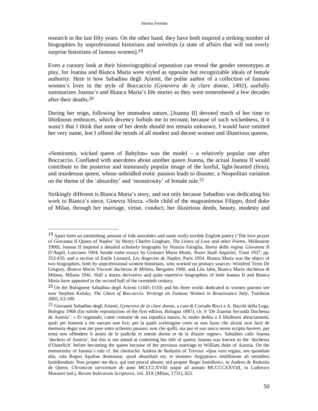research in the last fifty years. On the other hand, they have both inspired a striking number of biographies by unprofessional historians and novelists (a state of affairs that will not overly surprise historians of famous women).<sup>19</sup>

Even a cursory look at their historiographical reputation can reveal the gender stereotypes at play, for Joanna and Bianca Maria were styled as opposite but recognizable ideals of female authority. Here is how Sabadino degli Arienti, the polite author of a collection of famous women's lives in the style of Boccaccio (*Gynevera de le clare donne*, 1492), usefully summarizes Joanna's and Bianca Maria's life stories as they were remembered a few decades after their deaths.20

During her reign, following her immodest nature, [Joanna II] devoted much of her time to libidinous embraces, which decency forbids me to recount; because of such wickedness, if it wasn't that I think that some of her deeds should not remain unknown, I would have omitted her very name, lest I offend the minds of all modest and decent women and illustrious queens.

«Semiramis, wicked queen of Babylon» was the model – a relatively popular one after Boccaccio. Conflated with anecdotes about another queen Joanna, the actual Joanna II would contribute to the posterior and immensely popular image of the lustful, light-hearted (*lieta*), and murderous queen, whose unbridled erotic passion leads to disaster, a Neapolitan variation on the theme of the 'absurdity' and 'monstrosity' of female rule.21

Strikingly different is Bianca Maria's story, and not only because Sabadino was dedicating his work to Bianca's niece, Ginevra Sforza. «Sole child of the magnanimous Filippo, third duke of Milan, through her marriage, virtue, conduct, her illustrious deeds, beauty, modesty and

<sup>&</sup>lt;sup>19</sup> Apart form an astonishing amount of folk anecdotes and some really terrible English poetry ('The love prayer of Giovanna II Queen of Naples' by Henry Charles Lingham, *The Litany of Love and other Poems*, Melbourne 1900), Joanna II inspired a detailed scholarly biography by Nunzio Faraglia, *Storia della regina Giovanna II D'Angiò*, Lanciano 1904, beside some essays by Gennaro Maria Monti, *Nuovi Studi Angioini*, Trani 1937, pp. 353-435; and a section of Emile Léonard, *Les Angevins de Naples*, Paris 1954. Bianca Maria was the object of two biographies, both by unprofessional women historians, who worked on primary sources: Winifred Terni De Gregory, *Bianca Maria Visconti duchessa di Milano*, Bergamo 1940, and Lila Jahn, Bianca Maria duchessa di Milano, Milano 1941. Half a dozen derivative and quite repetitive biographies of both Joanna II and Bianca Maria have appeared in the second half of the twentieth century.

 $20$  On the Bolognese Sabadino degli Arienti (1445-1510) and his three works dedicated to women patrons see now Stephen Kolsky, *The Ghost of Boccaccio. Writings on Famous Women in Renaissance Italy*, Turnhout 2005, 63-109.

<sup>21</sup> Giovanni Sabadino degli Arienti, *Gynevera de la clare donne*, a cura di Corrado Ricci e A. Bacchi della Lega, Bologna 1968 (fac-simile reproduction of the first edition, Bologna 1887), ch. 9 'De Zoanna Secunda Duchessa de Austria': « Et regnando, come costume de sua inpudica natura, fu molto dedita a li libidinosi abraciamenti, quali per honestà a me narrare non lice; per la quale sceleragine certo se non fusse che alcuni suoi facti de memoria degni non me pare sotto scilentio passare, non che quilli, ma pur el suo unico nome scripto haverei, per tema non offendere li animi de le pudiche et oneste donne et de le illustre regine». Sabadino calls Joanna 'duchess of Austria', but this is not aimed at contesting her title of queen; Joanna was known as the 'duchessa d'Osterlich' before becoming the queen because of her previous marriage to William duke of Austria. On the monstrosity of Joanna's rule cf. the chronicler Andrea de Redusiis of Treviso: «Ipsa vero regina, seu quondam alia, sola Regno Apuliae dominatur, quod absurdum est, et monstro Aegyptiaco simillimum ab ommibus fastidiendum. Non propter me dico, qui tam procul absum, sed propter Regni fastidium», in Andrea de Redusiis de Quero, *Chronicon tarvisinum* ab anno MCCCLXVIII usque ad annum MCCCCXXVIII, in Ludovico Muratori (ed.), *Rerum Italicarum Scriptores*, vol. XIX (Milan, 1731), 822.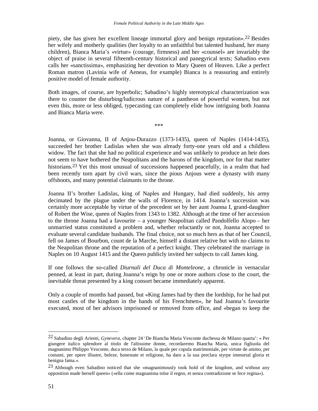piety, she has given her excellent lineage immortal glory and benign reputation».22 Besides her wifely and motherly qualities (her loyalty to an unfaithful but talented husband, her many children), Bianca Maria's «virtue» (courage, firmness) and her «counsel» are invariably the object of praise in several fifteenth-century historical and panegyrical texts; Sabadino even calls her «sanctissima», emphasizing her devotion to Mary Queen of Heaven. Like a perfect Roman matron (Lavinia wife of Aeneas, for example) Bianca is a reassuring and entirely positive model of female authority.

Both images, of course, are hyperbolic; Sabadino's highly stereotypical characterization was there to counter the disturbing/ludicrous nature of a pantheon of powerful women, but not even this, more or less obliged, typecasting can completely elide how intriguing both Joanna and Bianca Maria were.

\*\*\*

Joanna, or Giovanna, II of Anjou-Durazzo (1373-1435), queen of Naples (1414-1435), succeeded her brother Ladislas when she was already forty-one years old and a childless widow. The fact that she had no political experience and was unlikely to produce an heir does not seem to have bothered the Neapolitans and the barons of the kingdom, nor for that matter historians.<sup>23</sup> Yet this most unusual of successions happened peacefully, in a realm that had been recently torn apart by civil wars, since the pious Anjous were a dynasty with many offshoots, and many potential claimants to the throne.

Joanna II's brother Ladislas, king of Naples and Hungary, had died suddenly, his army decimated by the plague under the walls of Florence, in 1414. Joanna's succession was certainly more acceptable by virtue of the precedent set by her aunt Joanna I, grand-daughter of Robert the Wise, queen of Naples from 1343 to 1382. Although at the time of her accession to the throne Joanna had a favourite – a younger Neapolitan called Pandolfello Alopo – her unmarried status constituted a problem and, whether reluctantly or not, Joanna accepted to evaluate several candidate husbands. The final choice, not so much hers as that of her Council, fell on James of Bourbon, count de la Marche, himself a distant relative but with no claims to the Neapolitan throne and the reputation of a perfect knight. They celebrated the marriage in Naples on 10 August 1415 and the Queen publicly invited her subjects to call James king.

If one follows the so-called *Diurnali del Duca di Monteleone*, a chronicle in vernacular penned, at least in part, during Joanna's reign by one or more authors close to the court, the inevitable threat presented by a king consort became immediately apparent.

Only a couple of months had passed, but «King James had by then the lordship, for he had put most castles of the kingdom in the hands of his Frenchmen», he had Joanna's favourite executed, most of her advisors imprisoned or removed from office, and «began to keep the

<sup>22</sup> Sabadino degli Arienti, *Gynevera*, chapter 24 'De Biancha Maria Vesconte duchessa de Milano quarta': « Per giungere italico splendore al titolo de l'altissime donne, recordaremo Biancha Maria, unica figliuola del magnanimo Philippo Vesconte, duca terzo de Milano, la quale per copula matrimoniale, per virtute de animo, per costumi, per opere illustre, beleze, honestate et religione, ha dato a la sua preclara styrpe immortal gloria et benigna fama.».

<sup>23</sup> Although even Sabadino noticed that she «magnanimously took hold of the kingdom, and without any opposition made herself queen» («ella come magnanima tolse il regno, et senza contradizione se fece regina»).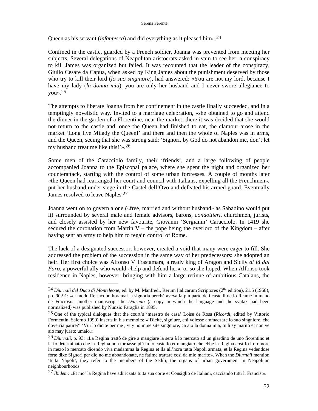### Serena Ferente

Queen as his servant (*infantesca*) and did everything as it pleased him».24

Confined in the castle, guarded by a French soldier, Joanna was prevented from meeting her subjects. Several delegations of Neapolitan aristocrats asked in vain to see her; a conspiracy to kill James was organized but failed. It was recounted that the leader of the conspiracy, Giulio Cesare da Capua, when asked by King James about the punishment deserved by those who try to kill their lord (*lo suo singniore*), had answered: «You are not my lord, because I have my lady (*la donna mia*), you are only her husband and I never swore allegiance to you».25

The attempts to liberate Joanna from her confinement in the castle finally succeeded, and in a temptingly novelistic way. Invited to a marriage celebration, «she obtained to go and attend the dinner in the garden of a Florentine, near the market; there it was decided that she would not return to the castle and, once the Queen had finished to eat, the clamour arose in the market 'Long live Milady the Queen!' and there and then the whole of Naples was in arms, and the Queen, seeing that she was strong said: 'Signori, by God do not abandon me, don't let my husband treat me like this!'».26

Some men of the Caracciolo family, their 'friends', and a large following of people accompanied Joanna to the Episcopal palace, where she spent the night and organized her counterattack, starting with the control of some urban fortresses. A couple of months later «the Queen had rearranged her court and council with Italians, expelling all the Frenchmen», put her husband under siege in the Castel dell'Ovo and defeated his armed guard. Eventually James resolved to leave Naples.27

Joanna went on to govern alone («free, married and without husband» as Sabadino would put it) surrounded by several male and female advisors, barons, *condottieri*, churchmen, jurists, and closely assisted by her new favourite, Giovanni 'Sergianni' Caracciolo. In 1419 she secured the coronation from Martin  $V$  – the pope being the overlord of the Kingdom – after having sent an army to help him to regain control of Rome.

The lack of a designated successor, however, created a void that many were eager to fill. She addressed the problem of the succession in the same way of her predecessors: she adopted an heir. Her first choice was Alfonso V Trastamara, already king of Aragon and Sicily *di là dal Faro*, a powerful ally who would «help and defend her», or so she hoped. When Alfonso took residence in Naples, however, bringing with him a large retinue of ambitious Catalans, the

<sup>&</sup>lt;sup>24</sup> Diurnali del Duca di Monteleone, ed. by M. Manfredi, Rerum Italicarum Scriptores (2<sup>nd</sup> edition), 21.5 (1958), pp. 90-91: «et modo Re Jacobo horamai la signoria perché aveva la più parte deli castelli de lo Reame in mano de Fraciosi»; another manuscript the *Diurnali* (a copy in which the language and the syntax had been normalized) was published by Nunzio Faraglia in 1895.

<sup>25</sup> One of the typical dialogues that the court's 'maestro de casa' Loise de Rosa (*Ricordi*, edited by Vittorio Formentin, Salerno 1999) inserts in his memoirs: «'Dicite, signiure, chi volesse ammaczare lo suo singniore, che doverria patire?' 'Vui lo dicite per me , vuy no mme site singniore, ca aio la donna mia, tu li sy marito et non ve aio may jurato umaio.»

<sup>26</sup> *Diurnali*, p. 93: «La Regina trattò de gire a mangiare la sera à lo mercato ad un giardino de uno fiorentino et la fo determinato che la Regina non tornasse più in lo castello et mangiato che ebbe la Regina così fo lo romore in mezo lo mercato dicendo viva madamma la Regina et lla all'hora tutta Napoli armata, et la Regina vedendose forte dixe Signori per dio no me abbandonate, ne fatime trattare così da mio marito». When the *Diurnali* mention 'tutta Napoli', they refer to the members of the Sedili, the organs of urban government in Neapolitan neighbourhoods.

<sup>27</sup> *Ibidem*: «Et mo' la Regina have adiriczata tutta sua corte et Consiglio de Italiani, cacciando tutti li Francisi».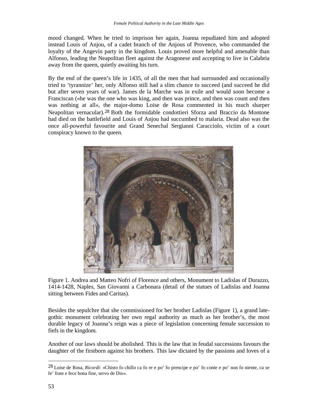mood changed. When he tried to imprison her again, Joanna repudiated him and adopted instead Louis of Anjou, of a cadet branch of the Anjous of Provence, who commanded the loyalty of the Angevin party in the kingdom. Louis proved more helpful and amenable than Alfonso, leading the Neapolitan fleet against the Aragonese and accepting to live in Calabria away from the queen, quietly awaiting his turn.

By the end of the queen's life in 1435, of all the men that had surrounded and occasionally tried to 'tyrannize' her, only Alfonso still had a slim chance to succeed (and succeed he did but after seven years of war). James de la Marche was in exile and would soon become a Franciscan («he was the one who was king, and then was prince, and then was count and then was nothing at all», the major-domo Loise de Rosa commented in his much sharper Neapolitan vernacular).28 Both the formidable condottieri Sforza and Braccio da Montone had died on the battlefield and Louis of Anjou had succumbed to malaria. Dead also was the once all-powerful favourite and Grand Senechal Sergianni Caracciolo, victim of a court conspiracy known to the queen.



Figure 1. Andrea and Matteo Nofri of Florence and others, Monument to Ladislas of Durazzo, 1414-1428, Naples, San Giovanni a Carbonara (detail of the statues of Ladislas and Joanna sitting between Fides and Caritas).

Besides the sepulchre that she commissioned for her brother Ladislas (Figure 1), a grand lategothic monument celebrating her own regal authority as much as her brother's, the most durable legacy of Joanna's reign was a piece of legislation concerning female succession to fiefs in the kingdom.

Another of our laws should be abolished. This is the law that in feudal successions favours the daughter of the firstborn against his brothers. This law dictated by the passions and loves of a

<sup>28</sup> Loise de Rosa, *Ricordi*: «Chisto fo chillo ca fo re e po' fo prencipe e po' fo conte e po' non fo niente, ca se fe' frate e fece bona fine, servo de Dio».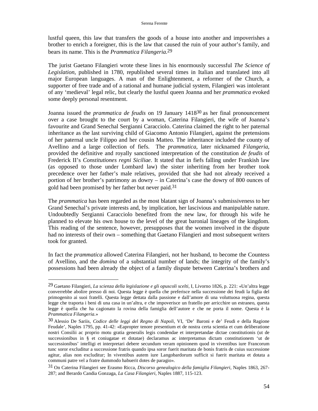lustful queen, this law that transfers the goods of a house into another and impoverishes a brother to enrich a foreigner, this is the law that caused the ruin of your author's family, and bears its name. This is the *Prammatica Filangeria*. 29

The jurist Gaetano Filangieri wrote these lines in his enormously successful *The Science of*  Legislation, published in 1780, republished several times in Italian and translated into all major European languages. A man of the Enlightenment, a reformer of the Church, a supporter of free trade and of a rational and humane judicial system, Filangieri was intolerant of any 'medieval' legal relic, but clearly the lustful queen Joanna and her *prammatica* evoked some deeply personal resentment.

Joanna issued the *prammatica de feudis* on 19 January 141830 as her final pronouncement over a case brought to the court by a woman, Caterina Filangieri, the wife of Joanna's favourite and Grand Senechal Sergianni Caracciolo. Caterina claimed the right to her paternal inheritance as the last surviving child of Giacomo Antonio Filangieri, against the pretensions of her paternal uncle Filippo and her cousin Matteo. The inheritance included the county of Avellino and a large collection of fiefs. The *prammatica*, later nicknamed *Filangeria*, provided the definitive and royally sanctioned interpretation of the constitution *de feudis* of Frederick II's *Constitutiones regni Siciliae*. It stated that in fiefs falling under Frankish law (as opposed to those under Lombard law) the sister inheriting from her brother took precedence over her father's male relatives, provided that she had not already received a portion of her brother's patrimony as dowry – in Caterina's case the dowry of 800 ounces of gold had been promised by her father but never paid.<sup>31</sup>

The *prammatica* has been regarded as the most blatant sign of Joanna's submissiveness to her Grand Senechal's private interests and, by implication, her lascivious and manipulable nature. Undoubtedly Sergianni Caracciolo benefited from the new law, for through his wife he planned to elevate his own house to the level of the great baronial lineages of the kingdom. This reading of the sentence, however, presupposes that the women involved in the dispute had no interests of their own – something that Gaetano Filangieri and most subsequent writers took for granted.

In fact the *prammatica* allowed Caterina Filangieri, not her husband, to become the Countess of Avellino, and the *domina* of a substantial number of lands; the integrity of the family's possessions had been already the object of a family dispute between Caterina's brothers and

<sup>29</sup> Gaetano Filangieri, *La scienza della legislazione e gli opuscoli scelti*, I, Livorno 1826, p. 221: «Un'altra legge converrebbe abolire presso di noi. Questa legge è quella che preferisce nella successione dei feudi la figlia del primogenito ai suoi fratelli. Questa legge dettata dalla passione e dall'amore di una voluttuosa regina, questa legge che traporta i beni di una casa in un'altra, e che impoverisce un fratello per arricchire un estraneo, questa legge è quella che ha cagionato la rovina della famiglia dell'autore e che ne porta il nome. Questa è la *Prammatica Filangeria*.»

<sup>30</sup> Alessio De Sariis, *Codice delle leggi del Regno di Napoli*, VI, 'De' Baroni e de' Feudi e della Ragione Feudale', Naples 1795, pp. 41-42: «Eapropter tenore presentium et de nostra certa scientia et cum deliberatione nostri Consilii ac proprio motu gratia generalis legis condendae et interpretandae dictae constitutionis (ut de successionibus in § et coniugatae et dotatae) declaramus ac interpretamus dictam constitutionem 'ut de successionibus' intelligi et interpretari debere secundum veram opinionem quod in viventibus iure Francorum tunc soror excluditur a successione fratris quando ipsa soror fuerit maritata de bonis fratris de cuius successione agitur, alias non excluditur; In viventibus autem iure Langobardorum sufficit si fuerit maritata et dotata a communi patre vel a fratre dummodo habuerit dotes de paragio».

<sup>31</sup> On Caterina Filangieri see Erasmo Ricca, *Discorso genealogico della famiglia Filangieri*, Naples 1863, 267- 287; and Berardo Candia Gonzaga, *La Casa Filangieri*, Naples 1887, 115-123.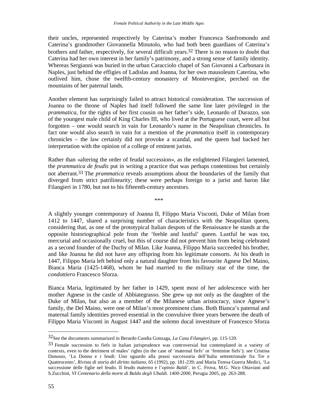their uncles, represented respectively by Caterina's mother Francesca Sanfromondo and Caterina's grandmother Giovannella Minutolo, who had both been guardians of Caterina's brothers and father, respectively, for several difficult years.32 There is no reason to doubt that Caterina had her own interest in her family's patrimony, and a strong sense of family identity. Whereas Sergianni was buried in the urban Caracciolo chapel of San Giovanni a Carbonara in Naples, just behind the effigies of Ladislas and Joanna, for her own mausoleum Caterina, who outlived him, chose the twelfth-century monastery of Montevergine, perched on the mountains of her paternal lands.

Another element has surprisingly failed to attract historical consideration. The succession of Joanna to the throne of Naples had itself followed the same line later privileged in the *prammatica*, for the rights of her first cousin on her father's side, Leonardo of Durazzo, son of the youngest male child of King Charles III, who lived at the Portuguese court, were all but forgotten – one would search in vain for Leonardo's name in the Neapolitan chronicles. In fact one would also search in vain for a mention of the *prammatica* itself in contemporary chronicles – the law certainly did not provoke a scandal, and the queen had backed her interpretation with the opinion of a college of eminent jurists.

Rather than «altering the order of feudal succession», as the enlightened Filangieri lamented, the *prammatica de feudis* put in writing a practice that was perhaps contentious but certainly not aberrant.33 The *prammatica* reveals assumptions about the boundaries of the family that diverged from strict patrilinearity; these were perhaps foreign to a jurist and baron like Filangieri in 1780, but not to his fifteenth-century ancestors.

\*\*\*

A slightly younger contemporary of Joanna II, Filippo Maria Visconti, Duke of Milan from 1412 to 1447, shared a surprising number of characteristics with the Neapolitan queen, considering that, as one of the prototypical Italian despots of the Renaissance he stands at the opposite historiographical pole from the 'feeble and lustful' queen. Lustful he was too, mercurial and occasionally cruel, but this of course did not prevent him from being celebrated as a second founder of the Duchy of Milan. Like Joanna, Filippo Maria succeeded his brother, and like Joanna he did not have any offspring from his legitimate consorts. At his death in 1447, Filippo Maria left behind only a natural daughter from his favourite Agnese Del Maino, Bianca Maria (1425-1468), whom he had married to the military star of the time, the *condottiero* Francesco Sforza.

Bianca Maria, legitimated by her father in 1429, spent most of her adolescence with her mother Agnese in the castle of Abbiategrasso. She grew up not only as the daughter of the Duke of Milan, but also as a member of the Milanese urban aristocracy, since Agnese's family, the Del Maino, were one of Milan's most prominent clans. Both Bianca's paternal and maternal family identities proved essential in the convulsive three years between the death of Filippo Maria Visconti in August 1447 and the solemn ducal investiture of Francesco Sforza

<sup>32</sup>See the documents summarized in Berardo Candia Gonzaga, *La Casa Filangieri*, pp. 115-120.

<sup>33</sup> Female succession to fiefs in Italian jurisprudence was controversial but contemplated in a variety of contexts, even to the detriment of males' rights (in the case of 'maternal fiefs' or 'feminine fiefs'): see Cristina Danusso, 'La Donna e i feudi: Uno sguardo alla prassi successoria dell'Italia settentrionale fra Tre e Quattrocento', *Rivista di storia del diritto italiano*, 65 (1992), pp. 181-239; and Maria Teresa Guerra Medici, 'La successione delle figlie nel feudo. Il feudo materno e l'*opinio Baldi*', in C. Frova, M.G. Nico Ottaviani and S.Zucchini*, VI Centenario della morte di Baldo degli Ubaldi. 1400-2000*, Perugia 2005, pp. 263-288.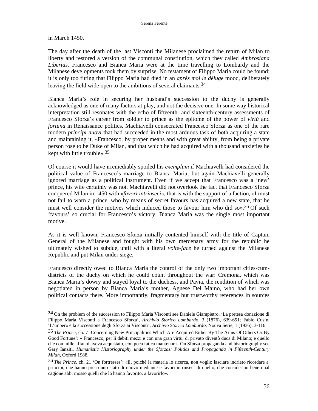in March 1450.

 $\overline{a}$ 

The day after the death of the last Visconti the Milanese proclaimed the return of Milan to liberty and restored a version of the communal constitution, which they called *Ambrosiana Libertas*. Francesco and Bianca Maria were at the time travelling to Lombardy and the Milanese developments took them by surprise. No testament of Filippo Maria could be found; it is only too fitting that Filippo Maria had died in an *après moi le déluge* mood, deliberately leaving the field wide open to the ambitions of several claimants.<sup>34</sup>

Bianca Maria's role in securing her husband's succession to the duchy is generally acknowledged as one of many factors at play, and not the decisive one. In some way historical interpretation still resonates with the echo of fifteenth- and sixteenth-century assessments of Francesco Sforza's career from soldier to prince as the epitome of the power of *virtù* and *fortuna* in Renaissance politics. Machiavelli consecrated Francesco Sforza as one of the rare modern *principi nuovi* that had succeeded in the most arduous task of both acquiring a state and maintaining it, «Francesco, by proper means and with great ability, from being a private person rose to be Duke of Milan, and that which he had acquired with a thousand anxieties he kept with little trouble».35

Of course it would have irremediably spoiled his *exemplum* if Machiavelli had considered the political value of Francesco's marriage to Bianca Maria; but again Machiavelli generally ignored marriage as a political instrument. Even if we accept that Francesco was a 'new' prince, his wife certainly was not. Machiavelli did not overlook the fact that Francesco Sforza conquered Milan in 1450 with «*favori intrinseci*», that is with the support of a faction, «I must not fail to warn a prince, who by means of secret favours has acquired a new state, that he must well consider the motives which induced those to favour him who did so».36 Of such 'favours' so crucial for Francesco's victory, Bianca Maria was the single most important motive.

As it is well known, Francesco Sforza initially contented himself with the title of Captain General of the Milanese and fought with his own mercenary army for the republic he ultimately wished to subdue, until with a literal *volte-face* he turned against the Milanese Republic and put Milan under siege.

Francesco directly owed to Bianca Maria the control of the only two important cities-cumdistricts of the duchy on which he could count throughout the war: Cremona, which was Bianca Maria's dowry and stayed loyal to the duchess, and Pavia, the rendition of which was negotiated in person by Bianca Maria's mother, Agnese Del Maino, who had her own political contacts there. More importantly, fragmentary but trustworthy references in sources

**<sup>34</sup>** On the problem of the succession to Filippo Maria Visconti see Daniele Giampietro, 'La pretesa donazione di Filippo Maria Visconti a Francesco Sforza', *Archivio Storico Lombardo*, 3 (1876), 639-651; Fabio Cusin, 'L'impero e la successione degli Sforza ai Visconti', *Archivio Storico Lombardo*, Nouva Serie, 1 (1936), 3-116.

<sup>35</sup> *The Prince*, ch. 7 'Concerning New Principalities Which Are Acquired Either By The Arms Of Others Or By Good Fortune': « Francesco, per li debiti mezzi e con una gran virtù, di privato diventò duca di Milano; e quello che con mille affanni aveva acquistato, con poca fatica mantenne». On Sforza propaganda and historiography see Gary Ianziti, *Humanistic Historiography under the Sforzas: Politics and Propaganda in Fifteenth-Century Milan*, Oxford 1988.

<sup>36</sup> *The Prince*, ch, 21 'On fortresses': «E, poiché la materia lo ricerca, non voglio lasciare indrieto ricordare a' principi, che hanno preso uno stato di nuovo mediante e favori intrinseci di quello, che considerino bene qual cagione abbi mosso quelli che lo hanno favorito, a favorirlo».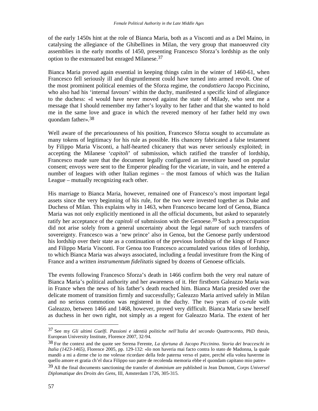of the early 1450s hint at the role of Bianca Maria, both as a Visconti and as a Del Maino, in catalysing the allegiance of the Ghibellines in Milan, the very group that manoeuvred city assemblies in the early months of 1450, presenting Francesco Sforza's lordship as the only option to the extenuated but enraged Milanese.37

Bianca Maria proved again essential in keeping things calm in the winter of 1460-61, when Francesco fell seriously ill and disgruntlement could have turned into armed revolt. One of the most prominent political enemies of the Sforza regime, the *condottiero* Jacopo Piccinino, who also had his 'internal favours' within the duchy, manifested a specific kind of allegiance to the duchess: «I would have never moved against the state of Milady, who sent me a message that I should remember my father's loyalty to her father and that she wanted to hold me in the same love and grace in which the revered memory of her father held my own quondam father».38

Well aware of the precariousness of his position, Francesco Sforza sought to accumulate as many tokens of legitimacy for his rule as possible. His chancery fabricated a false testament by Filippo Maria Visconti, a half-hearted chicanery that was never seriously exploited; in accepting the Milanese '*capitoli*' of submission, which ratified the transfer of lordship, Francesco made sure that the document legally configured an investiture based on popular consent; envoys were sent to the Emperor pleading for the vicariate, in vain, and he entered a number of leagues with other Italian regimes – the most famous of which was the Italian League – mutually recognizing each other.

His marriage to Bianca Maria, however, remained one of Francesco's most important legal assets since the very beginning of his rule, for the two were invested together as Duke and Duchess of Milan. This explains why in 1463, when Francesco became lord of Genoa, Bianca Maria was not only explicitly mentioned in all the official documents, but asked to separately ratify her acceptance of the *capitoli* of submission with the Genoese.39 Such a preoccupation did not arise solely from a general uncertainty about the legal nature of such transfers of sovereignty. Francesco was a 'new prince' also in Genoa, but the Genoese partly understood his lordship over their state as a continuation of the previous lordships of the kings of France and Filippo Maria Visconti. For Genoa too Francesco accumulated various titles of lordship, to which Bianca Maria was always associated, including a feudal investiture from the King of France and a written *instrumentum fidelitatis* signed by dozens of Genoese officials.

The events following Francesco Sforza's death in 1466 confirm both the very real nature of Bianca Maria's political authority and her awareness of it. Her firstborn Galeazzo Maria was in France when the news of his father's death reached him. Bianca Maria presided over the delicate moment of transition firmly and successfully; Galeazzo Maria arrived safely in Milan and no serious commotion was registered in the duchy. The two years of co-rule with Galeazzo, between 1466 and 1468, however, proved very difficult. Bianca Maria saw herself as duchess in her own right, not simply as a regent for Galeazzo Maria. The extent of her

<sup>37</sup> See my *Gli ultimi Guelfi. Passioni e identià politiche nell'Italia del secondo Quattrocento*, PhD thesis, European University Institute, Florence 2007, 32-94.

<sup>38</sup> For the context and the quote see Serena Ferente, *La sfortuna di Jacopo Piccinino. Storia dei bracceschi in Italia (1423-1465)*, Florence 2005, pp. 129-132: «Io non haveria mai facto contra lo stato de Madonna, la quale mandò a mi a dirme che io me volesse ricordare della fede paterna verso el patre, perché ella volea haverme in quello amore et gratia ch'el duca Filippo suo patre de recolenda memoria ebbe el quondam capitano mio patre»

<sup>39</sup> All the final documents sanctioning the transfer of *dominium* are published in Jean Dumont, *Corps Universel Diplomatique des Droits des Gens*, III, Amsterdam 1726, 305-315.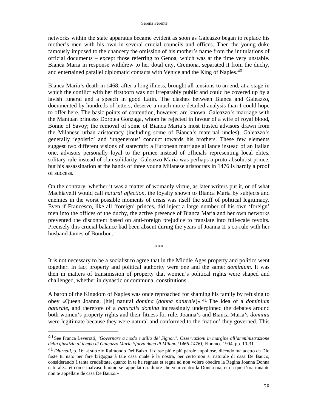networks within the state apparatus became evident as soon as Galeazzo began to replace his mother's men with his own in several crucial councils and offices. Then the young duke famously imposed to the chancery the omission of his mother's name from the intitulations of official documents – except those referring to Genoa, which was at the time very unstable. Bianca Maria in response withdrew to her dotal city, Cremona, separated it from the duchy, and entertained parallel diplomatic contacts with Venice and the King of Naples.40

Bianca Maria's death in 1468, after a long illness, brought all tensions to an end, at a stage in which the conflict with her firstborn was not irreparably public and could be covered up by a lavish funeral and a speech in good Latin. The clashes between Bianca and Galeazzo, documented by hundreds of letters, deserve a much more detailed analysis than I could hope to offer here. The basic points of contention, however, are known. Galeazzo's marriage with the Mantuan princess Dorotea Gonzaga, whom he rejected in favour of a wife of royal blood, Bonne of Savoy; the removal of some of Bianca Maria's most trusted advisors drawn from the Milanese urban aristocracy (including some of Bianca's maternal uncles); Galeazzo's generally 'egoistic' and 'ungenerous' conduct towards his brothers. These few elements suggest two different visions of statecraft: a European marriage alliance instead of an Italian one, advisors personally loyal to the prince instead of officials representing local elites, solitary rule instead of clan solidarity. Galeazzo Maria was perhaps a proto-absolutist prince, but his assassination at the hands of three young Milanese aristocrats in 1476 is hardly a proof of success.

On the contrary, whether it was a matter of womanly virtue, as later writers put it, or of what Machiavelli would call *natural affection*, the loyalty shown to Bianca Maria by subjects and enemies in the worst possible moments of crisis was itself the stuff of political legitimacy. Even if Francesco, like all 'foreign' princes, did inject a large number of his own 'foreign' men into the offices of the duchy, the active presence of Bianca Maria and her own networks prevented the discontent based on anti-foreign prejudice to translate into full-scale revolts. Precisely this crucial balance had been absent during the years of Joanna II's co-rule with her husband James of Bourbon.

It is not necessary to be a socialist to agree that in the Middle Ages property and politics went together. In fact property and political authority were one and the same: *dominium*. It was then in matters of transmission of property that women's political rights were shaped and challenged, whether in dynastic or communal constitutions.

\*\*\*

A baron of the Kingdom of Naples was once reproached for shaming his family by refusing to obey «Queen Joanna, [his] natural *domina* (*donna naturale*)».41 The idea of a *dominium naturale*, and therefore of a *naturalis domina* increasingly underpinned the debates around both women's property rights and their fitness for rule. Joanna's and Bianca Maria's *dominia* were legitimate because they were natural and conformed to the 'nation' they governed. This

<sup>40</sup> See Franca Leverotti*, 'Governare a modo e stillo de' Signori'. Osservazioni in margine all'amministrazione della giustizia al tempo di Galeazzo Maria Sforza duca di Milano (1466-1476)*, Florence 1994, pp. 10-31.

<sup>41</sup> *Diurnali*, p. 16: «[suo zio Raimondo Del Balzo] li disse più e più parole anpollose, dicendo maladetto da Dio foste tu nato per fare brigogna à tale casa quale è la nostra, per certo non si naturale di casa De Bauço, considerando à tanta crudelitate, quanto in te ha regnata et regna ad non volere obedire la Regina Joanna Donna naturale... et come malvaso huomo sei appellato traditore che veni contro la Donna tua, et da quest'ora innante non te appellare de casa De Bauzo.»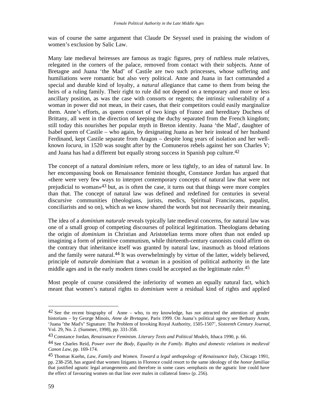was of course the same argument that Claude De Seyssel used in praising the wisdom of women's exclusion by Salic Law.

Many late medieval heiresses are famous as tragic figures, prey of ruthless male relatives, relegated in the corners of the palace, removed from contact with their subjects. Anne of Bretagne and Juana 'the Mad' of Castile are two such princesses, whose suffering and humiliations were romantic but also very political. Anne and Juana in fact commanded a special and durable kind of loyalty, a *natural* allegiance that came to them from being the heirs of a ruling family. Their right to rule did not depend on a temporary and more or less ancillary position, as was the case with consorts or regents; the intrinsic vulnerability of a woman in power did not mean, in their cases, that their competitors could easily marginalize them. Anne's efforts, as queen consort of two kings of France and hereditary Duchess of Brittany, all went in the direction of keeping the duchy separated from the French kingdom; still today this nourishes her popular myth in Breton identity. Juana 'the Mad', daughter of Isabel queen of Castile – who again, by designating Juana as her heir instead of her husband Ferdinand, kept Castile separate from Aragon – despite long years of isolation and her wellknown *locura*, in 1520 was sought after by the Comuneros rebels against her son Charles V; and Juana has had a different but equally strong success in Spanish pop culture.42

The concept of a natural *dominium* refers, more or less tightly, to an idea of natural law. In her encompassing book on Renaissance feminist thought, Constance Jordan has argued that «there were very few ways to interpret contemporary concepts of natural law that were not prejudicial to woman<sup> $3$ </sup> but, as is often the case, it turns out that things were more complex than that. The concept of natural law was defined and redefined for centuries in several discursive communities (theologians, jurists, medics, Spiritual Franciscans, papalist, conciliarists and so on), which as we know shared the words but not necessarily their meaning.

The idea of a *dominium naturale* reveals typically late medieval concerns, for natural law was one of a small group of competing discourses of political legitimation. Theologians debating the origin of *dominium* in Christian and Aristotelian terms more often than not ended up imagining a form of primitive communism, while thirteenth-century canonists could affirm on the contrary that inheritance itself was granted by natural law, inasmuch as blood relations and the family were natural.<sup>44</sup> It was overwhelmingly by virtue of the latter, widely believed, principle of *naturale dominium* that a woman in a position of political authority in the late middle ages and in the early modern times could be accepted as the legitimate ruler.45

Most people of course considered the inferiority of women an equally natural fact, which meant that women's natural rights to *dominium* were a residual kind of rights and applied

 $42$  See the recent biography of Anne – who, to my knowledge, has not attracted the attention of gender historians – by George Minois, *Anne de Bretagne*, Paris 1999. On Juana's political agency see Bethany Aram, 'Juana "the Mad's" Signature: The Problem of Invoking Royal Authority, 1505-1507', *Sixteenth Century Journal*, Vol. 29, No. 2. (Summer, 1998), pp. 331-358.

<sup>43</sup> Constance Jordan, *Renaissance Feminism. Literary Texts and Political Models*, Ithaca 1990, p. 66.

<sup>44</sup> See Charles Reid, *Power over the Body, Equality in the Family. Rights and domestic relations in medieval Canon Law*, pp. 169-174.

<sup>45</sup> Thomas Kuehn, *Law, Family and Women. Toward a legal anthopology of Renaissance Italy*, Chicago 1991, pp. 238-258, has argued that women litigants in Florence could resort to the same ideology of the *honor familiae* that justified agnatic legal arrangements and therefore in some cases «emphasis on the agnatic line could have the effect of favouring women on that line over males in collateral lines» (p. 256).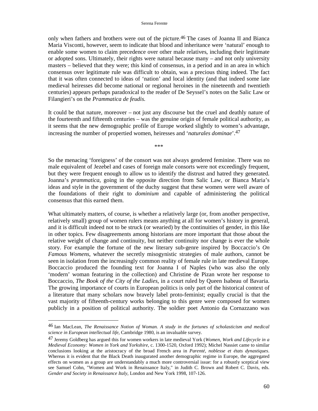### Serena Ferente

only when fathers and brothers were out of the picture.46 The cases of Joanna II and Bianca Maria Visconti, however, seem to indicate that blood and inheritance were 'natural' enough to enable some women to claim precedence over other male relatives, including their legitimate or adopted sons. Ultimately, their rights were natural because many – and not only university masters – believed that they were; this kind of consensus, in a period and in an area in which consensus over legitimate rule was difficult to obtain, was a precious thing indeed. The fact that it was often connected to ideas of 'nation' and local identity (and that indeed some late medieval heiresses did become national or regional heroines in the nineteenth and twentieth centuries) appears perhaps paradoxical to the reader of De Seyssel's notes on the Salic Law or Filangieri's on the *Prammatica de feudis*.

It could be that nature, moreover – not just any discourse but the cruel and deathly nature of the fourteenth and fifteenth centuries – was the genuine origin of female political authority, as it seems that the new demographic profile of Europe worked slightly to women's advantage, increasing the number of propertied women, heiresses and '*naturales dominae*'.47

\*\*\*

So the menacing 'foreigness' of the consort was not always gendered feminine. There was no male equivalent of Jezebel and cases of foreign male consorts were not exceedingly frequent, but they were frequent enough to allow us to identify the distrust and hatred they generated. Joanna's *prammatica*, going in the opposite direction from Salic Law, or Bianca Maria's ideas and style in the government of the duchy suggest that these women were well aware of the foundations of their right to *dominium* and capable of administering the political consensus that this earned them.

What ultimately matters, of course, is whether a relatively large (or, from another perspective, relatively small) group of women rulers means anything at all for women's history in general, and it is difficult indeed not to be struck (or wearied) by the continuities of gender, in this like in other topics. Few disagreements among historians are more important that those about the relative weight of change and continuity, but neither continuity nor change is ever the whole story. For example the fortune of the new literary sub-genre inspired by Boccaccio's *On Famous Womens*, whatever the secretly misogynistic strategies of male authors, cannot be seen in isolation from the increasingly common reality of female rule in late medieval Europe. Boccaccio produced the founding text for Joanna I of Naples (who was also the only 'modern' woman featuring in the collection) and Christine de Pizan wrote her response to Boccaccio, *The Book of the City of the Ladies*, in a court ruled by Queen Isabeau of Bavaria. The growing importance of courts in European politics is only part of the historical context of a literature that many scholars now bravely label proto-feminist; equally crucial is that the vast majority of fifteenth-century works belonging to this genre were composed for women publicly in a position of political authority. The soldier poet Antonio da Cornazzano was

<sup>46</sup> Ian MacLean, *The Renaissance Notion of Woman. A study in the fortunes of scholasticism and medical science in European intellectual life*, Cambridge 1980, is an invaluable survey.

<sup>47</sup> Jeremy Goldberg has argued this for women workers in late medieval York (*Women, Work and Lifecycle in a Medieval Economy: Women in York and Yorkshire*, c. 1300-1520, Oxford 1992); Michel Nassiet came to similar conclusions looking at the aristocracy of the broad French area in *Parenté, noblesse et états dynastiques*. Whereas it is evident that the Black Death inaugurated another demographic regime in Europe, the aggregated effects on women as a group are understandably a much more controversial issue: for a robustly sceptical view see Samuel Cohn, "Women and Work in Renaissance Italy," in Judith C. Brown and Robert C. Davis, eds. *Gender and Society in Renaissance Italy*, London and New York 1998, 107-126.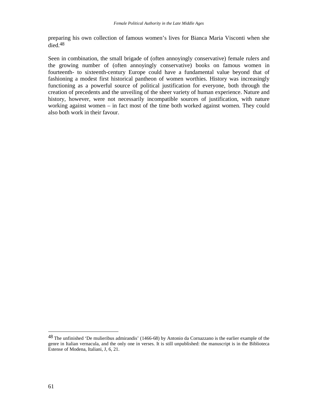preparing his own collection of famous women's lives for Bianca Maria Visconti when she died.48

Seen in combination, the small brigade of (often annoyingly conservative) female rulers and the growing number of (often annoyingly conservative) books on famous women in fourteenth- to sixteenth-century Europe could have a fundamental value beyond that of fashioning a modest first historical pantheon of women worthies. History was increasingly functioning as a powerful source of political justification for everyone, both through the creation of precedents and the unveiling of the sheer variety of human experience. Nature and history, however, were not necessarily incompatible sources of justification, with nature working against women – in fact most of the time both worked against women. They could also both work in their favour.

<sup>48</sup> The unfinished 'De mulieribus admirandis' (1466-68) by Antonio da Cornazzano is the earlier example of the genre in Italian vernacula, and the only one in verses. It is still unpublished: the manuscript is in the Biblioteca Estense of Modena, Italiani, J, 6, 21.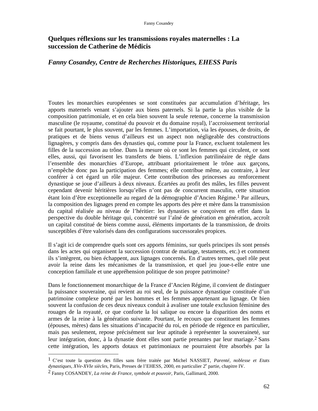# **Quelques réflexions sur les transmissions royales maternelles : La succession de Catherine de Médicis**

## *Fanny Cosandey, Centre de Recherches Historiques, EHESS Paris*

Toutes les monarchies européennes se sont constituées par accumulation d'héritage, les apports maternels venant s'ajouter aux biens paternels. Si la partie la plus visible de la composition patrimoniale, et en cela bien souvent la seule retenue, concerne la transmission masculine (le royaume, constitué du pouvoir et du domaine royal), l'accroissement territorial se fait pourtant, le plus souvent, par les femmes. L'importation, via les épouses, de droits, de pratiques et de biens venus d'ailleurs est un aspect non négligeable des constructions lignagères, y compris dans des dynasties qui, comme pour la France, excluent totalement les filles de la succession au trône. Dans la mesure où ce sont les femmes qui circulent, ce sont elles, aussi, qui favorisent les transferts de biens. L'inflexion patrilinéaire de règle dans l'ensemble des monarchies d'Europe, attribuant prioritairement le trône aux garçons, n'empêche donc pas la participation des femmes; elle contribue même, au contraire, à leur conférer à cet égard un rôle majeur. Cette contribution des princesses au renforcement dynastique se joue d'ailleurs à deux niveaux. Écartées au profit des mâles, les filles peuvent cependant devenir héritières lorsqu'elles n'ont pas de concurrent masculin, cette situation étant loin d'être exceptionnelle au regard de la démographie d'Ancien Régime.1 Par ailleurs, la composition des lignages prend en compte les apports des père et mère dans la transmission du capital réalisée au niveau de l'héritier: les dynasties se conçoivent en effet dans la perspective du double héritage qui, concentré sur l'aîné de génération en génération, accroît un capital constitué de biens comme aussi, éléments importants de la transmission, de droits susceptibles d'être valorisés dans des configurations successorales propices.

Il s'agit ici de comprendre quels sont ces apports féminins, sur quels principes ils sont pensés dans les actes qui organisent la succession (contrat de mariage, testaments, etc.) et comment ils s'intègrent, ou bien échappent, aux lignages concernés. En d'autres termes, quel rôle peut avoir la reine dans les mécanismes de la transmission, et quel jeu joue-t-elle entre une conception familiale et une appréhension politique de son propre patrimoine?

Dans le fonctionnement monarchique de la France d'Ancien Régime, il convient de distinguer la puissance souveraine, qui revient au roi seul, de la puissance dynastique constituée d'un patrimoine complexe porté par les hommes et les femmes appartenant au lignage. Or bien souvent la confusion de ces deux niveaux conduit à avaliser une totale exclusion féminine des rouages de la royauté, ce que conforte la loi salique ou encore la disparition des noms et armes de la reine à la génération suivante. Pourtant, le recours que constituent les femmes (épouses, mères) dans les situations d'incapacité du roi, en période de régence en particulier, mais pas seulement, repose précisément sur leur aptitude à représenter la souveraineté, sur leur intégration, donc, à la dynastie dont elles sont partie prenantes par leur mariage.2 Sans cette intégration, les apports dotaux et patrimoniaux ne pourraient être absorbés par la

<sup>1</sup> C'est toute la question des filles sans frère traitée par Michel NASSIET, *Parenté, noblesse et Etats*  dynastiques, XVe-XVIe siècles, Paris, Presses de l'EHESS, 2000, en particulier 2<sup>e</sup> partie, chapitre IV.

<sup>2</sup> Fanny COSANDEY, *La reine de France, symbole et pouvoir*, Paris, Gallimard, 2000.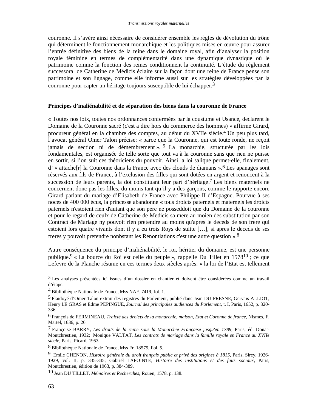couronne. Il s'avère ainsi nécessaire de considérer ensemble les règles de dévolution du trône qui déterminent le fonctionnement monarchique et les politiques mises en œuvre pour assurer l'entrée définitive des biens de la reine dans le domaine royal, afin d'analyser la position royale féminine en termes de complémentarité dans une dynamique dynastique où le patrimoine comme la fonction des reines conditionnent la continuité. L'étude du règlement successoral de Catherine de Médicis éclaire sur la façon dont une reine de France pense son patrimoine et son lignage, comme elle informe aussi sur les stratégies développées par la couronne pour capter un héritage toujours susceptible de lui échapper.3

## **Principes d'inaliénabilité et de séparation des biens dans la couronne de France**

« Toutes nos loix, toutes nos ordonnances confermées par la coustume et Usance, declarent le Domaine de la Couronne sacré (c'est a dire hors du commerce des hommes) » affirme Girard, procureur général en la chambre des comptes, au début du XVIIe siècle.4 Un peu plus tard, l'avocat général Omer Talon précise: « parce que la Couronne, qui est toute ronde, ne reçoit jamais de section ni de démembrement ». 5 La monarchie, structurée par les lois fondamentales, est organisée de telle sorte que tout va à la couronne sans que rien ne puisse en sortir, si l'on suit ces théoriciens du pouvoir. Ainsi la loi salique permet-elle, finalement, d' « attache[r] la Couronne dans la France avec des clouds de diamans ».6 Les apanages sont réservés aux fils de France, à l'exclusion des filles qui sont dotées en argent et renoncent à la succession de leurs parents, la dot constituant leur part d'héritage.7 Les biens maternels ne concernent donc pas les filles, du moins tant qu'il y a des garçons, comme le rapporte encore Girard parlant du mariage d'Elisabeth de France avec Philippe II d'Espagne. Pourvue à ses noces de 400 000 écus, la princesse abandonne « tous droicts paternels et maternels les droicts paternels n'estoient rien d'autant que son pere ne posseddoit que du Domaine de la couronne et pour le regard de ceulx de Catherine de Medicis sa mere au moien des substitution par son Contract de Mariage ny pouvoit rien pretendre au moins qu'apres le deceds de son frere qui estoient lors quatre vivants dont il y a eu trois Roys de suitte […], si apres le deceds de ses freres y pouvoit pretendre nonbstant les Renontiations c'est une autre question ».8

Autre conséquence du principe d'inaliénabilité, le roi, héritier du domaine, est une personne publique.9 « La bource du Roi est celle du peuple », rappelle Du Tillet en 157810 ; ce que Lefevre de la Planche résume en ces termes deux siècles après: « la loi de l'Etat est tellement

<sup>3</sup> Les analyses présentées ici issues d'un dossier en chantier et doivent être considérées comme un travail d'étape.

<sup>4</sup> Bibliothèque Nationale de France, Mss NAF. 7419, fol. 1.

<sup>5</sup> Plaidoyé d'Omer Talon extrait des registres du Parlement, publié dans Jean DU FRESNE, Gervais ALLIOT, Henry LE GRAS et Edme PEPINGUE, *Journal des principales audiences du Parlement*, t. I, Paris, 1652, p. 320- 336.

<sup>6</sup> François de FERMINEAU, *Traicté des droicts de la monarchie, maison, Etat et Coronne de france,* Nismes, F. Martel, 1636, p. 26.

<sup>7</sup> Françoise BARRY, *Les droits de la reine sous la Monarchie Française jusqu'en 1789,* Paris, éd. Donat-Montchrestien, 1932; Monique VALTAT, *Les contrats de mariage dans la famille royale en France au XVIIe siècle,* Paris, Picard, 1953.

<sup>8</sup> Bibliothèque Nationale de France, Mss Fr. 18575, Fol. 5.

<sup>9</sup> Emile CHENON, *Histoire générale du droit français public et privé des origines à 1815,* Paris, Sirey, 1926- 1929, vol. II, p. 335-345; Gabriel LAPOINTE, *Histoire des institutions et des faits sociaux*, Paris, Montchrestien, édition de 1963, p. 384-389.

<sup>10</sup> Jean DU TILLET, *Mémoires et Recherches*, Rouen, 1578, p. 138.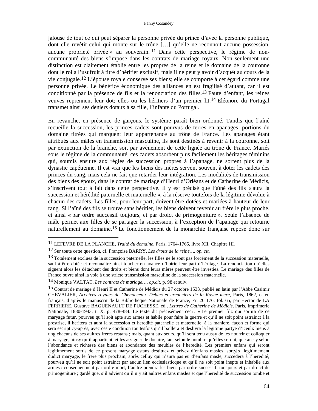jalouse de tout ce qui peut séparer la personne privée du prince d'avec la personne publique, dont elle revêtit celui qui monte sur le trône […] qu'elle ne reconnoit aucune possession, aucune proprieté privée » au souverain. <sup>11</sup> Dans cette perspective, le régime de noncommunauté des biens s'impose dans les contrats de mariage royaux. Non seulement une distinction est clairement établie entre les propres de la reine et le domaine de la couronne dont le roi a l'usufruit à titre d'héritier exclusif, mais il ne peut y avoir d'acquêt au cours de la vie conjugale.12 L'épouse royale conserve ses biens; elle se comporte à cet égard comme une personne privée. Le bénéfice économique des alliances en est fragilisé d'autant, car il est conditionné par la présence de fils et la renonciation des filles.13 Faute d'enfant, les reines veuves reprennent leur dot; elles ou les héritiers d'un premier lit.14 Eléonore du Portugal transmet ainsi ses deniers dotaux à sa fille, l'infante du Portugal.

En revanche, en présence de garçons, le système paraît bien ordonné. Tandis que l'aîné recueille la succession, les princes cadets sont pourvus de terres en apanages, portions du domaine titrées qui marquent leur appartenance au trône de France. Les apanages étant attribués aux mâles en transmission masculine, ils sont destinés à revenir à la couronne, soit par extinction de la branche, soit par avènement de cette lignée au trône de France. Mariés sous le régime de la communauté, ces cadets absorbent plus facilement les héritages féminins qui, soumis ensuite aux règles de succession propres à l'apanage, ne sortent plus de la dynastie capétienne. Il est vrai que les biens des mères servent souvent à doter les cadets des princes du sang, mais cela ne fait que retarder leur intégration. Les modalités de transmission des biens des époux, dans le contrat de mariage d'Henri d'Orléans et de Catherine de Médicis, s'inscrivent tout à fait dans cette perspective. Il y est précisé que l'aîné des fils « aura la succession et hérédité paternelle et maternelle », à la réserve toutefois de la légitime dévolue à chacun des cadets. Les filles, pour leur part, doivent être dotées et mariées à hauteur de leur rang. Si l'aîné des fils se trouve sans héritier, les biens doivent revenir au frère le plus proche, et ainsi « par ordre successif toujours, et par droict de primogeniture ». Seule l'absence de mâle permet aux filles de se partager la succession, à l'exception de l'apanage qui retourne naturellement au domaine.15 Le fonctionnement de la monarchie française repose donc sur

<sup>11</sup> LEFEVRE DE LA PLANCHE, *Traité du domaine*, Paris, 1764-1765, livre XII, Chapitre III.

<sup>12</sup> Sur toute cette question, cf. Françoise BARRY, *Les droits de la reine…, op. cit*.

<sup>&</sup>lt;sup>13</sup> Totalement exclues de la succession paternelle, les filles ne le sont pas forcément de la succession maternelle, sauf à être dotée et reconnaitre ainsi toucher en avance d'hoirie leur part d'héritage. La renonciation qu'elles signent alors les détachent des droits et biens dont leurs mères peuvent être investies. Le mariage des filles de France ouvre ainsi la voie à une stricte transmission masculine de la succession maternelle.

<sup>14</sup> Monique VALTAT, *Les contrats de mariage…, op.cit.* p. 98 et suiv.

<sup>15</sup> Contrat de mariage d'Henri II et Catherine de Médicis du 27 octobre 1533, publié en latin par l'Abbé Casimir CHEVALIER, *Archives royales de Chenonceau. Debtes et créanciers de la Royne mere*, Paris, 1862, et en français, d'après le manuscrit de la Bibliothèque Nationale de France, Fr. 20 176, fol. 65, par Hector de LA FERRIERE, Gustave BAGUENAULT DE PUCHESSE, éd., *Lettres de Catherine de Médicis*, Paris, Imprimerie Nationale, 1880-1943, t. X, p. 478-484. Le texte dit précisément ceci : « Le premier filz qui sortira de ce maryage futur, pourveu qu'il soit apte aux armes et habile pour faire la guerre et qu'il ne soit point astrainct à la prestrise, il heritera et aura la succession et heredité paternelle et maternelle, à la maniere, façon et forme qui sera escript cy-après, avec ceste condition touttesfois qu'il baillera et deslivra la legitime partye d'iceulx biens à ung chacuns de ses aultres freres restans ; mais, quant aux seurs, qu'il sera tenu aussy de les nourrir et colloquer à maryage, ainsy qu'il appartient, et les assigner de douaire, tant selon le nombre qu'elles seront, que aussy selon l'abondance et richesse des biens et abondance des meubles de l'heredité. Les premiers enfans qui seront legitimement sortis de ce present maryage estans destituez et privez d'enfans masles, sorty[s] legitimement dudict maryage, le frere plus prochain, après celluy qui n'aura pas eu d'enfans masle, succedera à l'heredité, pourveu qu'il ne soit point astrainct par aucun lien ecclesiasticque et qu'il ne soit point inepte et inhabile aux armes : consequenment par ordre mort, l'aultre prendra les biens par ordre successif, tousjours et par droict de primogeniture ; gardé que, s'il advient qu'il n'y ait aultres enfans masles et que l'heredité de succession tombe et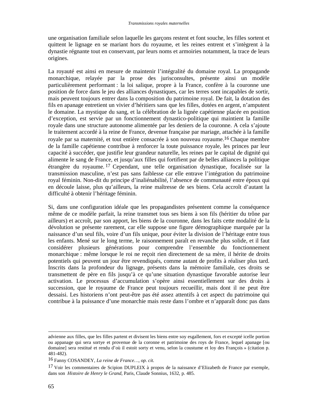une organisation familiale selon laquelle les garçons restent et font souche, les filles sortent et quittent le lignage en se mariant hors du royaume, et les reines entrent et s'intègrent à la dynastie régnante tout en conservant, par leurs noms et armoiries notamment, la trace de leurs origines.

La royauté est ainsi en mesure de maintenir l'intégralité du domaine royal. La propagande monarchique, relayée par la prose des jurisconsultes, présente ainsi un modèle particulièrement performant : la loi salique, propre à la France, confère à la couronne une position de force dans le jeu des alliances dynastiques, car les terres sont incapables de sortir, mais peuvent toujours entrer dans la composition du patrimoine royal. De fait, la dotation des fils en apanage entretient un vivier d'héritiers sans que les filles, dotées en argent, n'amputent le domaine. La mystique du sang, et la célébration de la lignée capétienne placée en position d'exception, est servie par un fonctionnement dynastico-politique qui maintient la famille royale dans une structure autonome alimentée par les deniers de la couronne. A cela s'ajoute le traitement accordé à la reine de France, devenue française par mariage, attachée à la famille royale par sa maternité, et tout entière consacrée à son nouveau royaume.16 Chaque membre de la famille capétienne contribue à renforcer la toute puissance royale, les princes par leur capacité à succéder, que justifie leur grandeur naturelle, les reines par le capital de dignité qui alimente le sang de France, et jusqu'aux filles qui fortifient par de belles alliances la politique étrangère du royaume. 17 Cependant, une telle organisation dynastique, focalisée sur la transmission masculine, n'est pas sans faiblesse car elle entrave l'intégration du patrimoine royal féminin. Non-dit du principe d'inaliénabilité, l'absence de communauté entre époux qui en découle laisse, plus qu'ailleurs, la reine maîtresse de ses biens. Cela accroît d'autant la difficulté à obtenir l'héritage féminin.

Si, dans une configuration idéale que les propagandistes présentent comme la conséquence même de ce modèle parfait, la reine transmet tous ses biens à son fils (héritier du trône par ailleurs) et accroît, par son apport, les biens de la couronne, dans les faits cette modalité de la dévolution se présente rarement, car elle suppose une figure démographique marquée par la naissance d'un seul fils, voire d'un fils unique, pour éviter la division de l'héritage entre tous les enfants. Mené sur le long terme, le raisonnement paraît en revanche plus solide, et il faut considérer plusieurs générations pour comprendre l'ensemble du fonctionnement monarchique : même lorsque le roi ne reçoit rien directement de sa mère, il hérite de droits potentiels qui peuvent un jour être revendiqués, comme autant de profits à réaliser plus tard. Inscrits dans la profondeur du lignage, présents dans la mémoire familiale, ces droits se transmettent de père en fils jusqu'à ce qu'une situation dynastique favorable autorise leur activation. Le processus d'accumulation s'opère ainsi essentiellement sur des droits à succession, que le royaume de France peut toujours recueillir, mais dont il ne peut être dessaisi. Les historiens n'ont peut-être pas été assez attentifs à cet aspect du patrimoine qui contribue à la puissance d'une monarchie mais reste dans l'ombre et n'apparaît donc pas dans

advienne aux filles, que les filles partent et divisent les biens entre soy esgallement, fors et excepté icelle portion ou appanage qui sera sortye et provenue de la coronne et patrimoine des roys de France, lequel apanage [ou domaine] sera restitué et rendu d'où il estoit sorty et venu, selon la coustume et loy des François » (citation p. 481-482).

<sup>16</sup> Fanny COSANDEY, *La reine de France…, op. cit.*

<sup>17</sup> Voir les commentaires de Scipion DUPLEIX à propos de la naissance d'Elizabeth de France par exemple, dans son *Histoire de Henry le Grand*, Paris, Claude Sonnius, 1632, p. 485.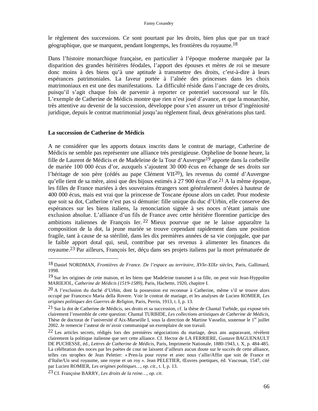### Fanny Cosandey

le règlement des successions. Ce sont pourtant par les droits, bien plus que par un tracé géographique, que se marquent, pendant longtemps, les frontières du royaume.18

Dans l'histoire monarchique française, en particulier à l'époque moderne marquée par la disparition des grandes héritières féodales, l'apport des épouses et mères de roi se mesure donc moins à des biens qu'à une aptitude à transmettre des droits, c'est-à-dire à leurs espérances patrimoniales. La faveur portée à l'aînée des princesses dans les choix matrimoniaux en est une des manifestations. La difficulté réside dans l'ancrage de ces droits, puisqu'il s'agit chaque fois de parvenir à reporter ce potentiel successoral sur le fils. L'exemple de Catherine de Médicis montre que rien n'est joué d'avance, et que la monarchie, très attentive au devenir de la succession, développe pour s'en assurer un trésor d'ingéniosité juridique, depuis le contrat matrimonial jusqu'au règlement final, deux générations plus tard.

### **La succession de Catherine de Médicis**

 $\overline{a}$ 

A ne considérer que les apports dotaux inscrits dans le contrat de mariage, Catherine de Médicis ne semble pas représenter une alliance très prestigieuse. Orpheline de bonne heure, la fille de Laurent de Médicis et de Madeleine de la Tour d'Auvergne19 apporte dans la corbeille de mariée 100 000 écus d'or, auxquels s'ajoutent 30 000 écus en échange de ses droits sur l'héritage de son père (cédés au pape Clément VII<sup>20</sup>), les revenus du comté d'Auvergne qu'elle tient de sa mère, ainsi que des bijoux estimés à 27 900 écus d'or.21 A la même époque, les filles de France mariées à des souverains étrangers sont généralement dotées à hauteur de 400 000 écus, mais est vrai que la princesse de Toscane épouse alors un cadet. Pour modeste que soit sa dot, Catherine n'est pas si démunie: fille unique du duc d'Urbin, elle conserve des espérances sur les biens italiens, la renonciation signée à ses noces n'étant jamais une exclusion absolue. L'alliance d'un fils de France avec cette héritière florentine participe des ambitions italiennes de François Ier. 22 Mieux pourvue que ne le laisse apparaître la composition de la dot, la jeune mariée se trouve cependant rapidement dans une position fragile, tant à cause de sa stérilité, dans les dix premières années de sa vie conjugale, que par le faible apport dotal qui, seul, contribue par ses revenus à alimenter les finances du royaume.23 Par ailleurs, François Ier, déçu dans ses projets italiens par la mort prématurée de

<sup>18</sup> Daniel NORDMAN, *Frontières de France. De l'espace au territoire, XVIe-XIXe siècles*, Paris, Gallimard, 1998.

<sup>19</sup> Sur les origines de cette maison, et les biens que Madeleine transmet à sa fille, on peut voir Jean-Hyppolite MARIEJOL, *Catherine de Médicis (1519-1589),* Paris, Hachette, 1920, chapitre I.

<sup>20</sup> A l'exclusion du duché d'Urbin, dont la possession est reconnue à Catherine, même s'il se trouve alors occupé par Francesco Maria della Rovere. Voir le contrat de mariage, et les analyses de Lucien ROMIER, *Les origines politiques des Guerres de Religion,* Paris, Perrin, 1913, t. I, p. 13.

<sup>21</sup> Sur la dot de Catherine de Médicis, ses droits et sa succession, cf. la thèse de Chantal Turbide, qui expose très clairement l'ensemble de cette question: Chantal TURBIDE, *Les collections artistiques de Catherine de Médicis*, Thèse de doctorat de l'université d'Aix-Marseille I, sous la direction de Martine Vasselin, soutenue le 1<sup>er</sup> juillet 2002. Je remercie l'auteur de m'avoir communiqué un exemplaire de son travail.

<sup>22</sup> Les articles secrets, rédigés lors des premières négociations du mariage, deux ans auparavant, révèlent clairement la politique italienne que sert cette alliance. Cf. Hector de LA FERRIERE, Gustave BAGUENAULT DE PUCHESSE, éd., *Lettres de Catherine de Médicis*, Paris, Imprimerie Nationale, 1880-1943, t. X, p. 484-485. La célébration des noces par les poètes de cour ne laissent d'ailleurs aucun doute sur le succès de cette alliance, telles ces strophes de Jean Peletier: « Pren-la pour royne et avec nous t'allie/Affin que soit de France et d'Italie/Un seul royaume, une royne et un roy ». Jean PELETIER, Œuvres poetiques, éd. Vascosan, 1547, cité par Lucien ROMIER, *Les origines politiques…, op. cit.,* t. I, p. 13.

<sup>23</sup> Cf. Françoise BARRY, *Les droits de la reine…, op. cit*.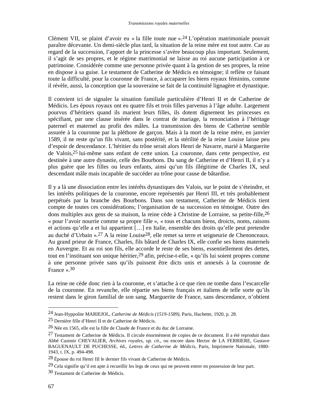Clément VII, se plaint d'avoir eu « la fille toute nue ».24 L'opération matrimoniale pouvait paraître décevante. Un demi-siècle plus tard, la situation de la reine mère est tout autre. Car au regard de la succession, l'apport de la princesse s'avère beaucoup plus important. Seulement, il s'agit de ses propres, et le régime matrimonial ne laisse au roi aucune participation à ce patrimoine. Considérée comme une personne privée quant à la gestion de ses propres, la reine en dispose à sa guise. Le testament de Catherine de Médicis en témoigne; il reflète ce faisant toute la difficulté, pour la couronne de France, à accaparer les biens royaux féminins, comme il révèle, aussi, la conception que la souveraine se fait de la continuité lignagère et dynastique.

Il convient ici de signaler la situation familiale particulière d'Henri II et de Catherine de Médicis. Les époux royaux ont eu quatre fils et trois filles parvenus à l'âge adulte. Largement pourvus d'héritiers quand ils marient leurs filles, ils dotent dignement les princesses en spécifiant, par une clause insérée dans le contrat de mariage, la renonciation à l'héritage paternel et maternel au profit des mâles. La transmission des biens de Catherine semble assurée à la couronne par la pléthore de garçon. Mais à la mort de la reine mère, en janvier 1589, il ne reste qu'un fils vivant, sans postérité, et la stérilité de la reine Louise laisse peu d'espoir de descendance. L'héritier du trône serait alors Henri de Navarre, marié à Marguerite de Valois,25 lui-même sans enfant de cette union. La couronne, dans cette perspective, est destinée à une autre dynastie, celle des Bourbons. Du sang de Catherine et d'Henri II, il n'y a plus guère que les filles ou leurs enfants, ainsi qu'un fils illégitime de Charles IX, seul descendant mâle mais incapable de succéder au trône pour cause de bâtardise.

Il y a là une dissociation entre les intérêts dynastiques des Valois, sur le point de s'éteindre, et les intérêts politiques de la couronne, encore représentés par Henri III, et très probablement perpétués par la branche des Bourbons. Dans son testament, Catherine de Médicis tient compte de toutes ces considérations; l'organisation de sa succession en témoigne. Outre des dons multiples aux gens de sa maison, la reine cède à Christine de Lorraine, sa petite-fille, 26 « pour l'avoir nourrie comme sa propre fille », « tous et chacuns biens, droicts, noms, raisons et actions qu'elle a et lui appartient […] en Italie, ensemble des droits qu'elle peut pretendre au duché d'Urbain ».27 A la reine Louise28, elle remet sa terre et seigneurie de Chenonceaux. Au grand prieur de France, Charles, fils bâtard de Charles IX, elle confie ses biens maternels en Auvergne. Et au roi son fils, elle accorde le reste de ses biens, essentiellement des dettes, tout en l'instituant son unique héritier,<sup>29</sup> afin, précise-t-elle, « qu'ils lui soient propres comme à une personne privée sans qu'ils puissent être dicts unis et annexés à la couronne de France » 30

La reine ne cède donc rien à la couronne, et s'attache à ce que rien ne tombe dans l'escarcelle de la couronne. En revanche, elle répartie ses biens français et italiens de telle sorte qu'ils restent dans le giron familial de son sang. Marguerite de France, sans descendance, n'obtient

<sup>24</sup> Jean-Hyppolite MARIEJOL, *Catherine de Médicis (1519-1589),* Paris, Hachette, 1920, p. 28.

<sup>25</sup> Dernière fille d'Henri II et de Catherine de Médicis.

<sup>26</sup> Née en 1565, elle est la fille de Claude de France et du duc de Lorraine.

 $27$  Testament de Catherine de Médicis. Il circule énormément de copies de ce document. Il a été reproduit dans Abbé Casimir CHEVALIER, *Archives royales, op. cit*., ou encore dans Hector de LA FERRIERE, Gustave BAGUENAULT DE PUCHESSE, éd., *Lettres de Catherine de Médicis*, Paris, Imprimerie Nationale, 1880- 1943, t. IX, p. 494-498.

<sup>28</sup> Épouse du roi Henri III le dernier fils vivant de Catherine de Médicis.

<sup>29</sup> Cela signifie qu'il est apte à recueillir les legs de ceux qui ne peuvent entrer en possession de leur part.

<sup>30</sup> Testament de Catherine de Médicis.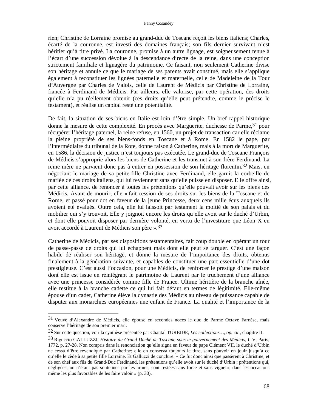rien; Christine de Lorraine promise au grand-duc de Toscane reçoit les biens italiens; Charles, écarté de la couronne, est investi des domaines français; son fils dernier survivant n'est héritier qu'à titre privé. La couronne, promise à un autre lignage, est soigneusement tenue à l'écart d'une succession dévolue à la descendance directe de la reine, dans une conception strictement familiale et lignagère du patrimoine. Ce faisant, non seulement Catherine divise son héritage et annule ce que le mariage de ses parents avait constitué, mais elle s'applique également à reconstituer les lignées paternelle et maternelle, celle de Madeleine de la Tour d'Auvergne par Charles de Valois, celle de Laurent de Médicis par Christine de Lorraine, fiancée à Ferdinand de Médicis. Par ailleurs, elle valorise, par cette opération, des droits qu'elle n'a pu réellement obtenir (ces droits qu'elle peut prétendre, comme le précise le testament), et réalise un capital resté une potentialité.

De fait, la situation de ses biens en Italie est loin d'être simple. Un bref rappel historique donne la mesure de cette complexité. En procès avec Marguerite, duchesse de Parme, 31 pour récupérer l'héritage paternel, la reine refuse, en 1560, un projet de transaction car elle réclame la pleine propriété de ses biens-fonds en Toscane et à Rome. En 1582 le pape, par l'intermédiaire du tribunal de la Rote, donne raison à Catherine, mais à la mort de Marguerite, en 1586, la décision de justice n'est toujours pas exécutée. Le grand-duc de Toscane François de Médicis s'approprie alors les biens de Catherine et les transmet à son frère Ferdinand. La reine mère ne parvient donc pas à entrer en possession de son héritage florentin.32 Mais, en négociant le mariage de sa petite-fille Christine avec Ferdinand, elle garnit la corbeille de mariée de ces droits italiens, qui lui reviennent sans qu'elle puisse en disposer. Elle offre ainsi, par cette alliance, de renoncer à toutes les prétentions qu'elle pouvait avoir sur les biens des Médicis. Avant de mourir, elle « fait cession de ses droits sur les biens de la Toscane et de Rome, et passé pour dot en faveur de la jeune Princesse, deux cens mille écus auxquels ils avoient été évalués. Outre cela, elle lui laissoit par testament la moitié de son palais et du mobilier qui s'y trouvoit. Elle y joignoit encore les droits qu'elle avoit sur le duché d'Urbin, et dont elle pouvoit disposer par dernière volonté, en vertu de l'investiture que Léon X en avoit accordé à Laurent de Médicis son père ».33

Catherine de Médicis, par ses dispositions testamentaires, fait coup double en opérant un tour de passe-passe de droits qui lui échappent mais dont elle peut se targuer. C'est une façon habile de réaliser son héritage, et donne la mesure de l'importance des droits, obtenus finalement à la génération suivante, et capables de constituer une part essentielle d'une dot prestigieuse. C'est aussi l'occasion, pour une Médicis, de renforcer le prestige d'une maison dont elle est issue en réintégrant le patrimoine de Laurent par le truchement d'une alliance avec une princesse considérée comme fille de France. Ultime héritière de la branche aînée, elle restitue à la branche cadette ce qui lui fait défaut en termes de légitimité. Elle-même épouse d'un cadet, Catherine élève la dynastie des Médicis au niveau de puissance capable de disputer aux monarchies européennes une enfant de France. La qualité et l'importance de la

<sup>31</sup> Veuve d'Alexandre de Médicis, elle épouse en secondes noces le duc de Parme Octave Farnèse, mais conserve l'héritage de son premier mari.

<sup>32</sup> Sur cette question, voir la synthèse présentée par Chantal TURBIDE, *Les collections…*, *op. cit*., chapitre II.

<sup>33</sup> Riguccio GALLUZZI, *Histoire du Grand Duché de Toscane sous le gouvernement des Médicis*, t. V, Paris, 1772, p. 27-28. Non compris dans la renonciation qu'elle signa en faveur du pape Clément VII, le duché d'Urbin ne cessa d'être revendiqué par Catherine; elle en conserva toujours le titre, sans pouvoir en jouir jusqu'à ce qu'elle le cède à sa petite fille Lorraine. Et Galluzzi de conclure: « Ce fut donc ainsi que passèrent à Christine, et de son chef aux fils du Grand-Duc Ferdinand, les prétentions qu'elle avoit sur le duché d'Urbin ; prétentions qui, négligées, on n'étant pas soutenues par les armes, sont restées sans force et sans vigueur, dans les occasions même les plus favorables de les faire valoir » (p. 30).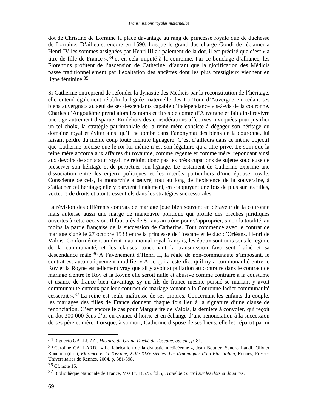dot de Christine de Lorraine la place davantage au rang de princesse royale que de duchesse de Lorraine. D'ailleurs, encore en 1590, lorsque le grand-duc charge Gondi de réclamer à Henri IV les sommes assignées par Henri III au paiement de la dot, il est précisé que c'est « à titre de fille de France »,<sup>34</sup> et en cela imputé à la couronne. Par ce bouclage d'alliance, les Florentins profitent de l'ascension de Catherine, d'autant que la glorification des Médicis passe traditionnellement par l'exaltation des ancêtres dont les plus prestigieux viennent en ligne féminine.35

Si Catherine entreprend de refonder la dynastie des Médicis par la reconstitution de l'héritage, elle entend également rétablir la lignée maternelle des La Tour d'Auvergne en cédant ses biens auvergnats au seul de ses descendants capable d'indépendance vis-à-vis de la couronne. Charles d'Angoulême prend alors les noms et titres de comte d'Auvergne et fait ainsi revivre une tige autrement disparue. En dehors des considérations affectives invoquées pour justifier un tel choix, la stratégie patrimoniale de la reine mère consiste à dégager son héritage du domaine royal et éviter ainsi qu'il ne tombe dans l'anonymat des biens de la couronne, lui faisant perdre du même coup toute identité lignagère. C'est d'ailleurs dans ce même objectif que Catherine précise que le roi lui-même n'est son légataire qu'à titre privé. Le soin que la reine mère accorda aux affaires du royaume, comme régente et comme mère, répondant ainsi aux devoirs de son statut royal, ne rejoint donc pas les préoccupations de sujette soucieuse de préserver son héritage et de perpétuer son lignage. Le testament de Catherine exprime une dissociation entre les enjeux politiques et les intérêts particuliers d'une épouse royale. Consciente de cela, la monarchie a œuvré, tout au long de l'existence de la souveraine, à s'attacher cet héritage; elle y parvient finalement, en s'appuyant une fois de plus sur les filles, vecteurs de droits et atouts essentiels dans les stratégies successorales.

La révision des différents contrats de mariage joue bien souvent en défaveur de la couronne mais autorise aussi une marge de manœuvre politique qui profite des brèches juridiques ouvertes à cette occasion. Il faut près de 80 ans au trône pour s'approprier, sinon la totalité, au moins la partie française de la succession de Catherine. Tout commence avec le contrat de mariage signé le 27 octobre 1533 entre la princesse de Toscane et le duc d'Orléans, Henri de Valois. Conformément au droit matrimonial royal français, les époux sont unis sous le régime de la communauté, et les clauses concernant la transmission favorisent l'aîné et sa descendance mâle.36 A l'avènement d'Henri II, la règle de non-communauté s'imposant, le contrat est automatiquement modifié: « A ce qui a esté dict quil ny a communaulté entre le Roy et la Royne est tellement vray que sil y avoit stipullation au contraire dans le contract de mariage d'entre le Roy et la Royne elle seroit nulle et abusive comme contraire a la coustume et usance de france bien davantage sy un fils de france mesme puisné se mariant y avoit communaulté entreux par leur contract de mariage venant a la Couronne ladict communaulté cesseroit ».37 La reine est seule maîtresse de ses propres. Concernant les enfants du couple, les mariages des filles de France donnent chaque fois lieu à la signature d'une clause de renonciation. C'est encore le cas pour Marguerite de Valois, la dernière à convoler, qui reçoit en dot 300 000 écus d'or en avance d'hoirie et en échange d'une renonciation à la succession de ses père et mère. Lorsque, à sa mort, Catherine dispose de ses biens, elle les répartit parmi

<sup>34</sup> Riguccio GALLUZZI, *Histoire du Grand Duché de Toscane*, *op. cit., p*. 81.

<sup>35</sup> Caroline CALLARD, « La fabrication de la dynastie médicéenne », Jean Boutier, Sandro Landi, Olivier Rouchon (dirs), *Florence et la Toscane, XIVe-XIXe siècles. Les dynamiques d'un Etat italien*, Rennes, Presses Universitaires de Rennes, 2004, p. 381-398.

<sup>36</sup> Cf. note 15.

<sup>37</sup> Bibliothèque Nationale de France, Mss Fr. 18575, fol.5, *Traité de Girard sur les dots et douaires*.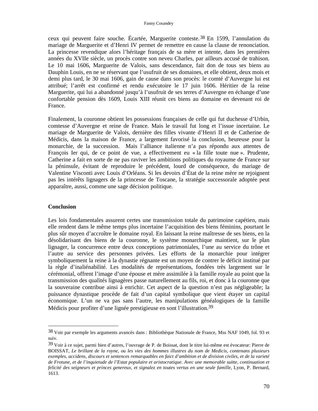ceux qui peuvent faire souche. Écartée, Marguerite conteste.38 En 1599, l'annulation du mariage de Marguerite et d'Henri IV permet de remettre en cause la clause de renonciation. La princesse revendique alors l'héritage français de sa mère et intente, dans les premières années du XVIIe siècle, un procès contre son neveu Charles, par ailleurs accusé de trahison. Le 10 mai 1606, Marguerite de Valois, sans descendance, fait don de tous ses biens au Dauphin Louis, en ne se réservant que l'usufruit de ses domaines, et elle obtient, deux mois et demi plus tard, le 30 mai 1606, gain de cause dans son procès: le comté d'Auvergne lui est attribué; l'arrêt est confirmé et rendu exécutoire le 17 juin 1606. Héritier de la reine Marguerite, qui lui a abandonné jusqu'à l'usufruit de ses terres d'Auvergne en échange d'une confortable pension dès 1609, Louis XIII réunit ces biens au domaine en devenant roi de France.

Finalement, la couronne obtient les possessions françaises de celle qui fut duchesse d'Urbin, comtesse d'Auvergne et reine de France. Mais le travail fut long et l'issue incertaine. Le mariage de Marguerite de Valois, dernière des filles vivante d'Henri II et de Catherine de Médicis, dans la maison de France, a largement favorisé la conclusion, heureuse pour la monarchie, de la succession. Mais l'alliance italienne n'a pas répondu aux attentes de François Ier qui, de ce point de vue, a effectivement eu « la fille toute nue ». Prudente, Catherine a fait en sorte de ne pas raviver les ambitions politiques du royaume de France sur la péninsule, évitant de reproduire le précédent, lourd de conséquence, du mariage de Valentine Visconti avec Louis d'Orléans. Si les devoirs d'État de la reine mère ne rejoignent pas les intérêts lignagers de la princesse de Toscane, la stratégie successorale adoptée peut apparaître, aussi, comme une sage décision politique.

#### **Conclusion**

 $\overline{a}$ 

Les lois fondamentales assurent certes une transmission totale du patrimoine capétien, mais elle rendent dans le même temps plus incertaine l'acquisition des biens féminins, pourtant le plus sûr moyen d'accroître le domaine royal. En laissant la reine maîtresse de ses biens, en la désolidarisant des biens de la couronne, le système monarchique maintient, sur le plan lignager, la concurrence entre deux conceptions patrimoniales, l'une au service du trône et l'autre au service des personnes privées. Les efforts de la monarchie pour intégrer symboliquement la reine à la dynastie régnante est un moyen de contrer le déficit institué par la règle d'inaliénabilité. Les modalités de représentations, fondées très largement sur le cérémonial, offrent l'image d'une épouse et mère assimilée à la famille royale au point que la transmission des qualités lignagères passe naturellement au fils, roi, et donc à la couronne que la souveraine contribue ainsi à enrichir. Cet aspect de la question n'est pas négligeable; la puissance dynastique procède de fait d'un capital symbolique que vient étayer un capital économique. L'un ne va pas sans l'autre, les manipulations généalogiques de la famille Médicis pour profiter d'une lignée prestigieuse en sont l'illustration.39

<sup>38</sup> Voir par exemple les arguments avancés dans : Bibliothèque Nationale de France, Mss NAF 1049, fol. 93 et suiv.

<sup>39</sup> Voir à ce sujet, parmi bien d'autres, l'ouvrage de P. de Boissat, dont le titre lui-même est évocateur: Pierre de BOISSAT, *Le brillant de la royne, ou les vies des hommes illustres du nom de Medicis, contenans plusieurs exemples, accidens, discours et sentences remarquables en faict d'ambition et de division civiles, et de la varieté de Frotune, et de l'inquietude de l'Estat populaire et aristocratique. Avec une memorable suitte, continuation et felicité des seigneurs et princes genereux, et signalez en toutes vertus en une seule famille*, Lyon, P. Bernard, 1613.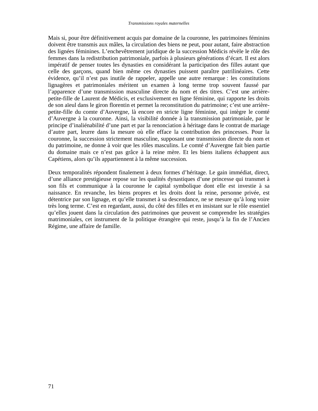Mais si, pour être définitivement acquis par domaine de la couronne, les patrimoines féminins doivent être transmis aux mâles, la circulation des biens ne peut, pour autant, faire abstraction des lignées féminines. L'enchevêtrement juridique de la succession Médicis révèle le rôle des femmes dans la redistribution patrimoniale, parfois à plusieurs générations d'écart. Il est alors impératif de penser toutes les dynasties en considérant la participation des filles autant que celle des garçons, quand bien même ces dynasties puissent paraître patrilinéaires. Cette évidence, qu'il n'est pas inutile de rappeler, appelle une autre remarque : les constitutions lignagères et patrimoniales méritent un examen à long terme trop souvent faussé par l'apparence d'une transmission masculine directe du nom et des titres. C'est une arrièrepetite-fille de Laurent de Médicis, et exclusivement en ligne féminine, qui rapporte les droits de son aïeul dans le giron florentin et permet la reconstitution du patrimoine; c'est une arrièrepetite-fille du comte d'Auvergne, là encore en stricte ligne féminine, qui intègre le comté d'Auvergne à la couronne. Ainsi, la visibilité donnée à la transmission patrimoniale, par le principe d'inaliénabilité d'une part et par la renonciation à héritage dans le contrat de mariage d'autre part, leurre dans la mesure où elle efface la contribution des princesses. Pour la couronne, la succession strictement masculine, supposant une transmission directe du nom et du patrimoine, ne donne à voir que les rôles masculins. Le comté d'Auvergne fait bien partie du domaine mais ce n'est pas grâce à la reine mère. Et les biens italiens échappent aux Capétiens, alors qu'ils appartiennent à la même succession.

Deux temporalités répondent finalement à deux formes d'héritage. Le gain immédiat, direct, d'une alliance prestigieuse repose sur les qualités dynastiques d'une princesse qui transmet à son fils et communique à la couronne le capital symbolique dont elle est investie à sa naissance. En revanche, les biens propres et les droits dont la reine, personne privée, est détentrice par son lignage, et qu'elle transmet à sa descendance, ne se mesure qu'à long voire très long terme. C'est en regardant, aussi, du côté des filles et en insistant sur le rôle essentiel qu'elles jouent dans la circulation des patrimoines que peuvent se comprendre les stratégies matrimoniales, cet instrument de la politique étrangère qui reste, jusqu'à la fin de l'Ancien Régime, une affaire de famille.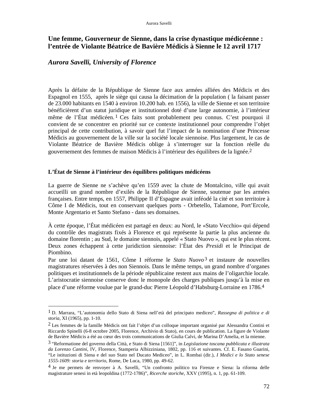# **Une femme, Gouverneur de Sienne, dans la crise dynastique médicéenne : l'entrée de Violante Béatrice de Bavière Médicis à Sienne le 12 avril 1717**

# *Aurora Savelli, University of Florence*

 $\overline{a}$ 

Après la défaite de la République de Sienne face aux armées alliées des Médicis et des Espagnol en 1555, après le siège qui causa la décimation de la population ( la faisant passer de 23.000 habitants en 1540 à environ 10.200 hab. en 1556), la ville de Sienne et son territoire bénéficièrent d'un statut juridique et institutionnel doté d'une large autonomie, à l'intérieur même de l'État médicéen. 1 Ces faits sont probablement peu connus. C'est pourquoi il convient de se concentrer en priorité sur ce contexte institutionnel pour comprendre l'objet principal de cette contribution, à savoir quel fut l'impact de la nomination d'une Princesse Médicis au gouvernement de la ville sur la société locale siennoise. Plus largement, le cas de Violante Béatrice de Bavière Médicis oblige à s'interroger sur la fonction réelle du gouvernement des femmes de maison Médicis à l'intérieur des équilibres de la lignée.2

## **L'État de Sienne à l'intérieur des équilibres politiques médicéens**

La guerre de Sienne ne s'achève qu'en 1559 avec la chute de Montalcino, ville qui avait accueilli un grand nombre d'exilés de la République de Sienne, soutenue par les armées françaises. Entre temps, en 1557, Philippe II d'Espagne avait inféodé la cité et son territoire à Côme I de Médicis, tout en conservant quelques ports - Orbetello, Talamone, Port'Ercole, Monte Argentario et Santo Stefano - dans ses domaines.

À cette époque, l'État médicéen est partagé en deux: au Nord, le «Stato Vecchio» qui dépend du contrôle des magistrats fixés à Florence et qui représente la partie la plus ancienne du domaine florentin ; au Sud, le domaine siennois, appelé « Stato Nuovo », qui est le plus récent. Deux zones échappent à cette juridiction siennoise: l'État des *Presidi* et le Principat de Piombino.

Par une loi datant de 1561, Côme I réforme le *Stato Nuovo*3 et instaure de nouvelles magistratures réservées à des non Siennois. Dans le même temps, un grand nombre d'organes politiques et institutionnels de la période républicaine restent aux mains de l'oligarchie locale. L'aristocratie siennoise conserve donc le monopole des charges publiques jusqu'à la mise en place d'une réforme voulue par le grand-duc Pierre Léopold d'Habsburg-Lorraine en 1786.4

<sup>1</sup> D. Marrara, "L'autonomia dello Stato di Siena nell'età del principato mediceo", *Rassegna di politica e di storia*, XI (1965), pp. 1-10.

<sup>&</sup>lt;sup>2</sup> Les femmes de la famille Médicis ont fait l'objet d'un colloque important organisé par Alessandra Contini et Riccardo Spinelli (6-8 octobre 2005, Florence, Archivio di Stato), en cours de publication. La figure de Violante de Bavière Médicis a été au cœur des trois communications de Giulia Calvi, de Marina D'Amelia, et la mienne.

<sup>3 &</sup>quot;Reformatione del governo della Città, e Stato di Siena [1561]", in *Legislazione toscana pubblicata e illustrata da Lorenzo Cantini*, IV, Florence, Stamperia Albizziniana, 1802, pp. 116 et suivantes. Cf. E. Fasano Guarini, "Le istituzioni di Siena e del suo Stato nel Ducato Mediceo", in L. Rombai (dir.), *I Medici e lo Stato senese 1555-1609: storia e territorio*, Rome, De Luca, 1980, pp. 49-62.

<sup>4</sup> Je me permets de renvoyer à A. Savelli, "Un confronto politico tra Firenze e Siena: la riforma delle magistrature senesi in età leopoldina (1772-1786)", *Ricerche storiche*, XXV (1995), n. 1, pp. 61-109.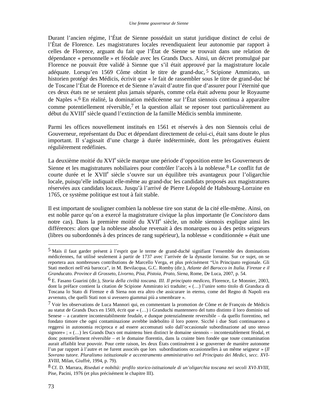Durant l'ancien régime, l'État de Sienne possédait un statut juridique distinct de celui de l'État de Florence. Les magistratures locales revendiquaient leur autonomie par rapport à celles de Florence, arguant du fait que l'État de Sienne se trouvait dans une relation de dépendance « personnelle » et féodale avec les Grands Ducs. Ainsi, un décret promulgué par Florence ne pouvait être validé à Sienne que s'il était approuvé par la magistrature locale adéquate. Lorsqu'en 1569 Côme obtint le titre de grand-duc, 5 Scipione Ammirato, un historien protégé des Médicis, écrivit que « le fait de rassembler sous le titre de grand-duc hé de Toscane l'État de Florence et de Sienne n'avait d'autre fin que d'assurer pour l'éternité que ces deux états ne se seraient plus jamais séparés, comme cela était advenu pour le Royaume de Naples ».6 En réalité, la domination médicéenne sur l'État siennois continua à apparaître comme potentiellement réversible,7 et la question allait se reposer tout particulièrement au début du XVIII<sup>e</sup> siècle quand l'extinction de la famille Médicis sembla imminente.

Parmi les offices nouvellement institués en 1561 et réservés à des non Siennois celui de Gouverneur, représentant du Duc et dépendant directement de celui-ci, était sans doute le plus important. Il s'agissait d'une charge à durée indéterminée, dont les prérogatives étaient régulièrement redéfinies.

La deuxième moitié du XVI<sup>e</sup> siècle marque une période d'opposition entre les Gouverneurs de Sienne et les magistratures nobiliaires pour contrôler l'accès à la noblesse.<sup>8</sup> Le conflit fut de courte durée et le XVII<sup>e</sup> siècle s'ouvre sur un équilibre très avantageux pour l'oligarchie locale, puisqu'elle indiquait elle-même au grand-duc les candidats proposés aux magistratures réservées aux candidats locaux. Jusqu'à l'arrivé de Pierre Léopold de Habsbourg-Lorraine en 1765, ce système politique est tout à fait stable.

Il est important de souligner combien la noblesse tire son statut de la cité elle-même. Ainsi, on est noble parce qu'on a exercé la magistrature civique la plus importante (le *Concistoro* dans notre cas). Dans la première moitié du XVII<sup>e</sup> siècle, un noble siennois explique ainsi les différences: alors que la noblesse absolue revenait à des monarques ou à des petits seigneurs (libres ou subordonnés à des princes de rang supérieur), la noblesse « conditionnée » était une

<sup>5</sup> Mais il faut garder présent à l'esprit que le terme de grand-duché signifiant l'ensemble des dominations médicéennes, fut utilisé seulement à partir de 1737 avec l'arrivée de la dynastie lorraine. Sur ce sujet, on se reportera aux nombreuses contributions de Marcello Verga, et plus précisément "Un Principato regionale. Gli Stati medicei nell'età barocca", in M. Bevilacqua, G.C. Romby (dir.), *Atlante del Barocco in Italia. Firenze e il Granducato. Province di Grosseto, Livorno, Pisa, Pistoia, Prato, Siena*, Rome, De Luca, 2007, p. 54.

<sup>6</sup> E. Fasano Guarini (dir.), *Storia della civiltà toscana. III. Il principato mediceo*, Florence, Le Monnier, 2003, dont la préface contient la citation de Scipione Ammirato ici traduite; « (…) l'unire sotto titolo di Granduca di Toscana lo Stato di Firenze e di Siena non era altro che assicurare in eterno, come del Regno di Napoli era avvenuto, che quelli Stati non si avessero giammai più a smembrare ».

<sup>7</sup> Voir les observations de Luca Mannori qui, en commentant la promotion de Côme et de François de Médicis au statut de Grands Ducs en 1569, écrit que « (…) i Granduchi mantennero del tutto distinto il loro dominio sul Senese – a carattere incontestabilmente feudale, e dunque potenzialmente reversibile – da quello fiorentino, nel fondato timore che ogni contaminazione avrebbe indebolito il loro potere. Sicché i due Stati continuarono a reggersi in autonomia reciproca e ad essere accomunati solo dall'occasionale subordinazione ad uno stesso signore» ; « (…) les Grands Ducs ont maintenu bien distinct le domaine siennois – incontestablement féodal, et donc potentiellement réversible – et le domaine florentin, dans la crainte bien fondée que toute contamination aurait affaiblit leur pouvoir. Pour cette raison, les deux États continuèrent à se gouverner de manière autonome l'un par rapport à l'autre et ne furent associés que lors subordinations occasionnelles à un même seigneur » (*Il Sovrano tutore. Pluralismo istituzionale e accentramento amministrativo nel Principato dei Medici, secc. XVI-XVIII*, Milan, Giuffrè, 1994, p. 79).

<sup>8</sup> Cf. D. Marrara, *Riseduti e nobiltà: profilo storico-istituzionale di un'oligarchia toscana nei secoli XVI-XVIII*, Pise, Pacini, 1976 (et plus précisément le chapitre III).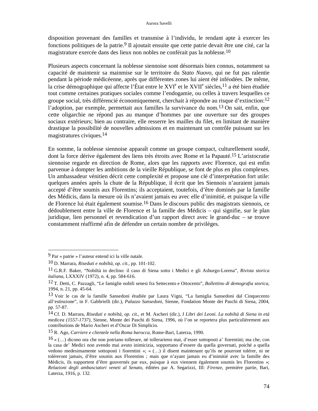disposition provenant des familles et transmise à l'individu, le rendant apte à exercer les fonctions politiques de la patrie.9 Il ajoutait ensuite que cette patrie devait être une cité, car la magistrature exercée dans des lieux non nobles ne conférait pas la noblesse.10

Plusieurs aspects concernant la noblesse siennoise sont désormais bien connus, notamment sa capacité de maintenir sa mainmise sur le territoire du *Stato Nuovo*, qui ne fut pas ralentie pendant la période médicéenne, après que différentes zones lui aient été inféodées. De même, la crise démographique qui affecte l'État entre le  $XVI^e$  et le  $XVII^e$  siècles, <sup>11</sup> a été bien étudiée tout comme certaines pratiques sociales comme l'endogamie, ou celles à travers lesquelles ce groupe social, très différencié économiquement, cherchait à répondre au risque d'extinction:12 l'adoption, par exemple, permettait aux familles la survivance du nom.13 On sait, enfin, que cette oligarchie ne répond pas au manque d'hommes par une ouverture sur des groupes sociaux extérieurs; bien au contraire, elle resserre les mailles du filet, en limitant de manière drastique la possibilité de nouvelles admissions et en maintenant un contrôle puissant sur les magistratures civiques.14

En somme, la noblesse siennoise apparaît comme un groupe compact, culturellement soudé, dont la force dérive également des liens très étroits avec Rome et la Papauté.15 L'aristocratie siennoise regarde en direction de Rome, alors que les rapports avec Florence, qui est enfin parvenue à dompter les ambitions de la vieille République, se font de plus en plus complexes. Un ambassadeur vénitien décrit cette complexité et propose une clé d'interprétation fort utile: quelques années après la chute de la République, il écrit que les Siennois n'auraient jamais accepté d'être soumis aux Florentins; ils acceptaient, toutefois, d'être dominés par la famille des Médicis, dans la mesure où ils n'avaient jamais eu avec elle d'inimitié, et puisque la ville de Florence lui était également soumise.16 Dans le discours public des magistrats siennois, ce dédoublement entre la ville de Florence et la famille des Médicis – qui signifie, sur le plan juridique, lien personnel et revendication d'un rapport direct avec le grand-duc – se trouve constamment réaffirmé afin de défendre un certain nombre de privilèges.

<sup>9</sup> Par « patrie » l'auteur entend ici la ville natale.

<sup>10</sup> D. Marrara, *Riseduti e nobiltà*, *op. cit.*, pp. 101-102.

<sup>11</sup> G.R.F. Baker, "Nobiltà in declino: il caso di Siena sotto i Medici e gli Asburgo-Lorena", *Rivista storica italiana*, LXXXIV (1972), n. 4, pp. 584-616.

<sup>12</sup> T. Detti, C. Pazzagli, "Le famiglie nobili senesi fra Settecento e Ottocento", *Bollettino di demografia storica*, 1994, n. 21, pp. 45-64.

<sup>13</sup> Voir le cas de la famille Sansedoni étudiée par Laura Vigni, "La famiglia Sansedoni dal Cinquecento all'estinzione", in F. Gabbrielli (dir.), *Palazzo Sansedoni*, Sienne, Fondation Monte dei Paschi di Siena, 2004, pp. 57-87.

<sup>14</sup> Cf. D. Marrara, *Riseduti e nobiltà*, *op. cit.*, et M. Ascheri (dir.), *I Libri dei Leoni. La nobiltà di Siena in età medicea (1557-1737)*, Sienne, Monte dei Paschi di Siena, 1996, où l'on se reportera plus particulièrement aux contributions de Mario Ascheri et d'Oscar Di Simplicio.

<sup>15</sup> R. Ago, *Carriere e clientele nella Roma barocca*, Rome-Bari, Laterza, 1990.

 $16 \times (\dots)$  dicono ora che non potriano tollerare, né tollerarieno mai, d'esser sottoposti a' fiorentini; ma che, con la casa de' Medici non avendo mai avuto inimicizia, sopportano d'essere da quella governati, poiché a quella vedono medesimamente sottoposti i fiorentini »; « (…) il disent maintenant qu'ils ne pourront tolérer, ni ne toléreront jamais, d'être soumis aux Florentins ; mais que n'ayant jamais eu d'inimitié avec la famille des Médicis, ils supportent d'être gouvernés par eux, puisque à eux viennent également soumis les Florentins »; *Relazioni degli ambasciatori veneti al Senato*, éditées par A. Segarizzi, III: *Firenze*, première partie, Bari, Laterza, 1916, p. 132.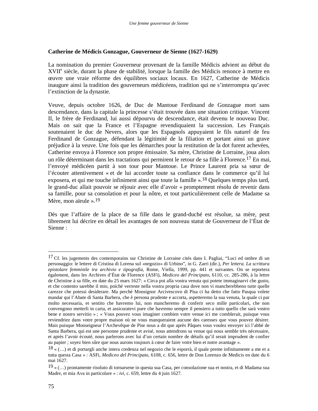### **Catherine de Médicis Gonzague, Gouverneur de Sienne (1627-1629)**

La nomination du premier Gouverneur provenant de la famille Médicis advient au début du XVII<sup>e</sup> siècle, durant la phase de stabilité, lorsque la famille des Médicis renonce à mettre en œuvre une vraie réforme des équilibres sociaux locaux. En 1627, Catherine de Médicis inaugure ainsi la tradition des gouverneurs médicéens, tradition qui ne s'interrompra qu'avec l'extinction de la dynastie.

Veuve, depuis octobre 1626, de Duc de Mantoue Ferdinand de Gonzague mort sans descendance, dans la capitale la princesse s'était trouvée dans une situation critique. Vincent II, le frère de Ferdinand, lui aussi dépourvu de descendance, était devenu le nouveau Duc. Mais on sait que la France et l'Espagne revendiquaient la succession. Les Français soutenaient le duc de Nevers, alors que les Espagnols appuyaient le fils naturel de feu Ferdinand de Gonzague, défendant la légitimité de la filiation et portant ainsi un grave préjudice à la veuve. Une fois que les démarches pour la restitution de la dot furent achevées, Catherine envoya à Florence son propre émissaire. Sa mère, Christine de Lorraine, joua alors un rôle déterminant dans les tractations qui permirent le retour de sa fille à Florence.<sup>17</sup> En mai, l'envoyé médicéen partit à son tour pour Mantoue. Le Prince Laurent pria sa sœur de l'écouter attentivement « et de lui accorder toute sa confiance dans le commerce qu'il lui exposera, et qui me touche infiniment ainsi que toute la famille ».18 Quelques temps plus tard, le grand-duc allait pouvoir se réjouir avec elle d'avoir « promptement résolu de revenir dans sa famille, pour sa consolation et pour la nôtre, et tout particulièrement celle de Madame sa Mère, mon aïeule ».19

Dès que l'affaire de la place de sa fille dans le grand-duché est résolue, sa mère, peut librement lui décrire en détail les avantages de son nouveau statut de Gouverneur de l'État de Sienne :

<sup>&</sup>lt;sup>17</sup> Cf. les jugements des contemporains sur Christine de Lorraine cités dans I. Pagliai, "Luci ed ombre di un personaggio: le lettere di Cristina di Lorena sul «negozio» di Urbino", in G. Zarri (dir.), *Per lettera. La scrittura epistolare femminile tra archivio e tipografia*, Rome, Viella, 1999, pp. 441 et suivantes. On se reportera également, dans les Archives d'État de Florence (ASFi), *Mediceo del Principato*, 6110, cc. 285-286, à la lettre de Christine à sa fille, en date du 25 mars 1627: « Circa poi alla vostra venuta qui potete immaginarvi che gusto, et che contento sarebbe il mio, poiché verreste nella vostra propria casa dove non vi mancherebbeno tutte quelle carezze che potessi desiderare. Ma perché Monsignor Arcivescovo di Pisa ci ha detto che fatto Pasqua volete mandar qui l'Abate di Santa Barbera, che è persona prudente e accorta, aspetteremo la sua venuta, la quale ci par molto necessaria, et sentito che havremo lui, non mancheremo di conferir seco mille particolari, che non convengono metterli in carta, et assicuratevi pure che havremo sempre il pensiero a tutto quello che sarà vostro bene e nostro servitio » ; « Vous pouvez vous imaginer combien votre venue ici me comblerait, puisque vous reviendriez dans votre propre maison où ne vous manqueraient aucune des caresses que vous pouvez désirer. Mais puisque Monseigneur l'Archevêque de Pise nous a dit que après Pâques vous voulez envoyer ici l'abbé de Santa Barbera, qui est une personne prudente et avisé, nous attendrons sa venue qui nous semble très nécessaire, et après l'avoir écouté, nous parlerons avec lui d'un certain nombre de détails qu'il serait imprudent de confier au papier ; soyez bien sûre que nous aurons toujours à cœur de faire votre bien et notre avantage ».

 $18 \times (\dots)$  et di portargli anche intera credenza nel negozio che le esporrà, il quale preme infinitamente a me et a tutta questa Casa » : ASFi, *Mediceo del Principato*, 6108, c. 656, lettre de Don Lorenzo de Medicis en date du 6 mai 1627.

 $19 \times (\dots)$  prontamente risoluto di tornarsene in questa sua Casa, per consolazione sua et nostra, et di Madama sua Madre, et mia Ava in particolare » : *ivi*, c. 659, lettre du 4 juin 1627.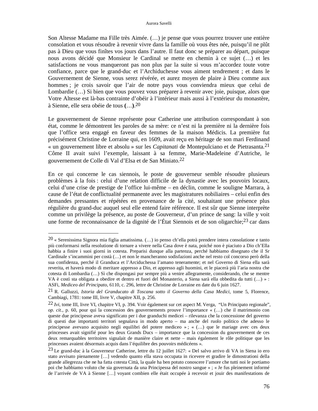#### Aurora Savelli

Son Altesse Madame ma Fille très Aimée. (…) je pense que vous pourrez trouver une entière consolation et vous résoudre à revenir vivre dans la famille où vous êtes née, puisqu'il ne plût pas à Dieu que vous finîtes vos jours dans l'autre. Il faut donc se préparer au départ, puisque nous avons décidé que Monsieur le Cardinal se mette en chemin à ce sujet (…) et les satisfactions ne vous manqueront pas non plus par la suite si vous m'accordez toute votre confiance, parce que le grand-duc et l'Archiduchesse vous aiment tendrement ; et dans le Gouvernement de Sienne, vous serez révérée, et aurez moyen de plaire à Dieu comme aux hommes ; je crois savoir que l'air de notre pays vous conviendra mieux que celui de Lombardie (…) Si bien que vous pouvez vous préparer à revenir avec joie, puisque, alors que Votre Altesse est là-bas contrainte d'obéir à l'intérieur mais aussi à l'extérieur du monastère, à Sienne, elle sera obéie de tous **(**…**)**. 20

Le gouvernement de Sienne représente pour Catherine une attribution correspondant à son état, comme le démontrent les paroles de sa mère: ce n'est ni la première ni la dernière fois que l'office sera engagé en faveur des femmes de la maison Médicis. La première fut précisément Christine de Lorraine qui, en 1609, avait reçu en héritage de son mari Ferdinand « un gouvernement libre et absolu » sur les *Capitanati* de Montepulciano et de Pietrasanta.21 Côme II avait suivi l'exemple, laissant à sa femme, Marie-Madeleine d'Autriche, le gouvernement de Colle di Val d'Elsa et de San Miniato.22

En ce qui concerne le cas siennois, le poste de gouverneur semble résoudre plusieurs problèmes à la fois : celui d'une relation difficile de la dynastie avec les pouvoirs locaux, celui d'une crise de prestige de l'office lui-même – en déclin, comme le souligne Marrara, à cause de l'état de conflictualité permanente avec les magistratures nobiliaires – celui enfin des demandes pressantes et répétées en provenance de la cité, souhaitant une présence plus régulière du grand-duc auquel seul elle entend faire référence. Il est sûr que Sienne interprète comme un privilège la présence, au poste de Gouverneur, d'un prince de sang: la ville y voit une forme de reconnaissance de la dignité de l'État Siennois et de son oligarchie;23 car dans

<sup>20 «</sup> Serenissima Signora mia figlia amatissima. (…) io penso ch'ella potrà prendere intera consolatione e tanto più conformarsi nella resolutione di tornare a vivere nella Casa dove è nata, poiché non è piaciuto a Dio ch'Ella habbia a finire i suoi giorni in cotesta. Preparisi dunque alla partenza, perché habbiamo disegnato che il Sr Cardinale s'incammini per costà (…) et non le mancheranno sodisfazioni anche nel resto col concorso però della sua confidenza, perché il Granduca et l'Arciduchessa l'amano teneramente; et nel Governo di Siena ella sarà reverita, et haverà modo di meritare appresso a Dio, et appresso agli huomini, et le piacerà più l'aria nostra che cotesta di Lombardia (…) Sì che dispongasi pur sempre più a venire allegramente, considerando, che se mentre VA è costì sta obligata a obedire et dentro et fuori del Monasterio, a Siena sarà ella obbedita da tutti (…) » : ASFi, *Mediceo del Principato*, 6110, c. 296, lettre de Christine de Lorraine en date du 6 juin 1627.

<sup>21</sup> R. Galluzzi, *Istoria del Granducato di Toscana sotto il Governo della Casa Medici*, tome 5, Florence, Cambiagi, 1781: tome III, livre V, chapitre XII, p. 256.

<sup>22</sup> *Ivi*, tome III, livre VI, chapitre VI, p. 394. Voir également sur cet aspect M. Verga, "Un Principato regionale", *op. cit.*, p. 60, pour qui la concession des gouvernements prouve l'importance « (…) che il matrimonio con queste due principesse aveva significato per i due granduchi medicei – rilevanza che la concessione del governo di questi due importanti territori segnalava in modo aperto – ma anche del ruolo politico che adesso le principesse avevano acquisito negli equilibri del potere mediceo » ; « (…) que le mariage avec ces deux princesses avait signifié pour les deux Grands Ducs – importance que la concession du gouvernement de ces deux remarquables territoires signalait de manière claire et nette – mais également le rôle politique que les princesses avaient désormais acquis dans l'équilibre des pouvoirs médicéens ».

<sup>23</sup> Le grand-duc à la Gouverneur Catherine, lettre du 12 juillet 1627: « Del salvo arrivo di VA in Siena io ero stato avvisato pienamente […] vedendo quanto ella stava occupata in ricevere et gradire le dimostrationi della grande allegrezza che ne ha fatta cotesta Città, la quale ha ben potuto conoscere l'amore che tutti noi le portiamo poi che habbiamo voluto che sia governata da una Principessa del nostro sangue » ; « Je fus pleinement informé de l'arrivée de VA à Sienne […] voyant combien elle était occupée à recevoir et jouir des manifestations de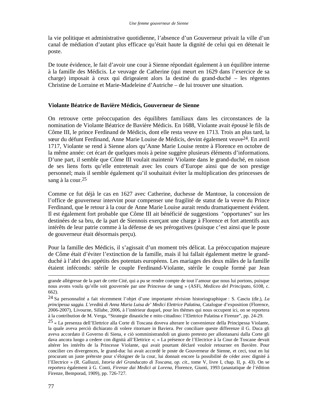la vie politique et administrative quotidienne, l'absence d'un Gouverneur privait la ville d'un canal de médiation d'autant plus efficace qu'était haute la dignité de celui qui en détenait le poste.

De toute évidence, le fait d'avoir une cour à Sienne répondait également à un équilibre interne à la famille des Médicis. Le veuvage de Catherine (qui meurt en 1629 dans l'exercice de sa charge) imposait à ceux qui dirigeaient alors la destiné du grand-duché – les régentes Christine de Lorraine et Marie-Madeleine d'Autriche – de lui trouver une situation.

# **Violante Béatrice de Bavière Médicis, Gouverneur de Sienne**

On retrouve cette préoccupation des équilibres familiaux dans les circonstances de la nomination de Violante Béatrice de Bavière Médicis. En 1688, Violante avait épousé le fils de Côme III, le prince Ferdinand de Médicis, dont elle resta veuve en 1713. Trois an plus tard, la sœur du défunt Ferdinand, Anne Marie Louise de Médicis, devint également veuve24. En avril 1717, Violante se rend à Sienne alors qu'Anne Marie Louise rentre à Florence en octobre de la même année: cet écart de quelques mois à peine suggère plusieurs éléments d'informations. D'une part, il semble que Côme III voulait maintenir Violante dans le grand-duché, en raison de ses liens forts qu'elle entretenait avec les cours d'Europe ainsi que de son prestige personnel; mais il semble également qu'il souhaitait éviter la multiplication des princesses de sang à la cour.25

Comme ce fut déjà le cas en 1627 avec Catherine, duchesse de Mantoue, la concession de l'office de gouverneur intervint pour compenser une fragilité de statut de la veuve du Prince Ferdinand, que le retour à la cour de Anne Marie Louise aurait rendu dramatiquement évident. Il est également fort probable que Côme III ait bénéficié de suggestions "opportunes" sur les destinées de sa bru, de la part de Siennois exerçant une charge à Florence et fort attentifs aux intérêts de leur patrie comme à la défense de ses prérogatives (puisque c'est ainsi que le poste de gouverneur était désormais perçu).

Pour la famille des Médicis, il s'agissait d'un moment très délicat. La préoccupation majeure de Côme était d'éviter l'extinction de la famille, mais il lui fallait également mettre le grandduché à l'abri des appétits des potentats européens. Les mariages des deux mâles de la famille étaient inféconds: stérile le couple Ferdinand-Violante, stérile le couple formé par Jean

grande allégresse de la part de cette Cité, qui a pu se rendre compte de tout l'amour que nous lui portons, puisque nous avons voulu qu'elle soit gouvernée par une Princesse de sang » (ASFi, *Mediceo del Principato*, 6108, c. 662).

<sup>24</sup> Sa personnalité a fait récemment l'objet d'une importante révision historiographique : S. Casciu (dir.), *La principessa saggia. L'eredità di Anna Maria Luisa de' Medici Elettrice Palatina*, Catalogue d'exposition (Florence, 2006-2007), Livourne, Sillabe, 2006, à l'intérieur duquel, pour les thèmes qui nous occupent ici, on se reportera à la contribution de M. Verga, "Strategie dinastiche e mito cittadino: l'Elettrice Palatina e Firenze", pp. 24-29.

<sup>25 «</sup> La presenza dell'Elettrice alla Corte di Toscana doveva alterare le convenienze della Principessa Violante, la quale aveva perciò dichiarato di volere ritornare in Baviera. Per conciliare queste differenze il G. Duca gli aveva accordato il Governo di Siena, e ciò somministrandoli un giusto pretesto per allontanarsi dalla Corte gli dava ancora luogo a cedere con dignità all'Elettrice »; « La présence de l'Electrice à la Cour de Toscane devait altérer les intérêts de la Princesse Violante, qui avait pourtant déclaré vouloir retourner en Bavière. Pour concilier ces divergences, le grand-duc lui avait accordé le poste de Gouverneur de Sienne, et ceci, tout en lui procurant un juste prétexte pour s'éloigner de la cour, lui donnait encore la possibilité de céder avec dignité à l'Electrice » (R. Galluzzi, *Istoria del Granducato di Toscana*, *op. cit.*, tome V, livre I, chap. II, p. 43). On se reportera également à G. Conti, *Firenze dai Medici ai Lorena*, Florence, Giunti, 1993 (anastatique de l'édition Firenze, Bemporad, 1909), pp. 726-727.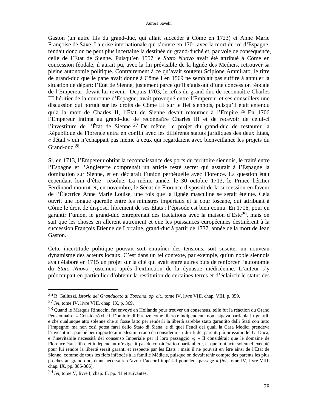Gaston (un autre fils du grand-duc, qui allait succéder à Côme en 1723) et Anne Marie Françoise de Saxe. La crise internationale qui s'ouvre en 1701 avec la mort du roi d'Espagne, rendait donc on ne peut plus incertaine la destinée du grand-duché et, par voie de conséquence, celle de l'État de Sienne. Puisqu'en 1557 le *Stato Nuovo* avait été attribué à Côme en concession féodale, il aurait pu, avec la fin prévisible de la lignée des Médicis, retrouver sa pleine autonomie politique. Contrairement à ce qu'avait soutenu Scipione Ammirato, le titre de grand-duc que le pape avait donné à Côme I en 1569 ne semblait pas suffire à annuler la situation de départ: l'État de Sienne, justement parce qu'il s'agissait d'une concession féodale de l'Empereur, devait lui revenir. Depuis 1703, le refus du grand-duc de reconnaître Charles III héritier de la couronne d'Espagne, avait provoqué entre l'Empereur et ses conseillers une discussion qui portait sur les droits de Côme III sur le fief siennois, puisqu'il était entendu qu'à la mort de Charles II, l'État de Sienne devait retourner à l'Empire. 26 En 1706 l'Empereur intima au grand-duc de reconnaître Charles III et de recevoir de celui-ci l'investiture de l'État de Sienne. 27 De même, le projet du grand-duc de restaurer la République de Florence entra en conflit avec les différents statuts juridiques des deux États, « détail » qui n'échappait pas même à ceux qui regardaient avec bienveillance les projets du Grand-duc.28

Si, en 1713, l'Empereur obtint la reconnaissance des ports du territoire siennois, le traité entre l'Espagne et l'Angleterre comprenait un article resté secret qui assurait à l'Espagne la domination sur Sienne, et en déclarait l'union perpétuelle avec Florence. La question était cependant loin d'être résolue. La même année, le 30 octobre 1713, le Prince héritier Ferdinand mourut et, en novembre, le Sénat de Florence disposait de la succession en faveur de l'Électrice Anne Marie Louise, une fois que la lignée masculine se serait éteinte. Cela ouvrit une longue querelle entre les ministres impériaux et la cour toscane, qui attribuait à Côme le droit de disposer librement de ses États ; l'épisode est bien connu. En 1716, pour en garantir l'union, le grand-duc entreprenait des tractations avec la maison d'Este29, mais on sait que les choses en allèrent autrement et que les puissances européennes destinèrent à la succession François Etienne de Lorraine, grand-duc à partir de 1737, année de la mort de Jean Gaston.

Cette incertitude politique pouvait soit entraîner des tensions, soit susciter un nouveau dynamisme des acteurs locaux. C'est dans un tel contexte, par exemple, qu'un noble siennois avait élaboré en 1715 un projet sur la cité qui avait entre autres buts de renforcer l'autonomie du *Stato Nuovo*, justement après l'extinction de la dynastie médicéenne. L'auteur s'y préoccupait en particulier d'obtenir la restitution de certaines terres et d'éclaircir le statut des

<sup>26</sup> R. Galluzzi, *Istoria del Granducato di Toscana*, *op. cit.*, tome IV, livre VIII, chap. VIII, p. 359.

<sup>27</sup> *Ivi*, tome IV, livre VIII, chap. IX, p. 369.

<sup>28</sup> Quand le Marquis Rinuccini fut envoyé en Hollande pour trouver un consensus, telle fut la réaction du Grand Pensionnaire: « Considerò che il Dominio di Firenze come libero e indipendente non esigeva particolari riguardi, e che qualunque atto solenne che si fosse fatto per renderli la libertà sarebbe stato garantito dalli Stati con tutto l'impegno; ma non così potea farsi dello Stato di Siena, e di quei Feudi dei quali la Casa Medici prendeva l'investitura, poiché per rapporto ai medesimi erano da considerarsi i diritti dei parenti più prossimi del G. Duca, e l'inevitabile necessità del consenso Imperiale per il loro passaggio »; « Il considérait que le domaine de Florence étant libre et indépendant n'exigeait pas de considération particulière, et que tout acte solennel exécuté pour lui rendre la liberté serait garanti et respecté par les Etats ; mais il ne pouvait en être ainsi de l'Etat de Sienne, comme de tous les fiefs inféodés à la famille Médicis, puisque on devait tenir compte des parents les plus proches au grand-duc, étant nécessaire d'avoir l'accord impérial pour leur passage » (*ivi*, tome IV, livre VIII, chap. IX, pp. 385-386).

<sup>29</sup> *Ivi*, tome V, livre I, chap. II, pp. 41 et suivantes.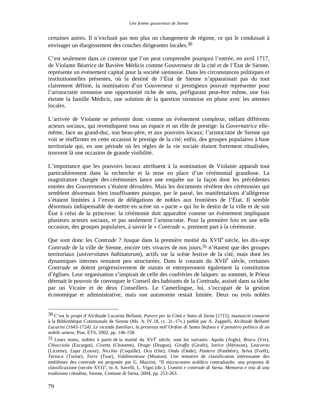certaines autres. Il n'excluait pas non plus un changement de régime, ce qui le conduisait à envisager un élargissement des couches dirigeantes locales.30

C'est seulement dans ce contexte que l'on peut comprendre pourquoi l'entrée, en avril 1717, de Violante Béatrice de Bavière Médicis comme Gouverneur de la cité et de l'État de Sienne, représente un événement capital pour la société siennoise. Dans les circonstances politiques et institutionnelles présentes, où la destiné de l'État de Sienne n'apparaissait pas du tout clairement définie, la nomination d'un Gouverneur si prestigieux pouvait représenter pour l'aristocratie siennoise une opportunité riche de sens, préfigurant peut-être même, une fois éteinte la famille Médicis, une solution de la question siennoise en phase avec les attentes locales.

L'arrivée de Violante se présente donc comme un événement complexe, mêlant différents acteurs sociaux, qui revendiquent tous un espace et un rôle de prestige: la *Governatrice* ellemême, face au grand-duc, son beau-père, et aux pouvoirs locaux; l'aristocratie de Sienne qui voit se réaffirmer en cette occasion le prestige de la cité; enfin, des groupes populaires à base territoriale qui, en une période où les règles de la vie sociale étaient fortement ritualisées, trouvent là une occasion de grande visibilité.

L'importance que les pouvoirs locaux attribuent à la nomination de Violante apparaît tout particulièrement dans la recherche et la mise en place d'un cérémonial grandiose. La magistrature chargée des cérémonies lance une enquête sur la façon dont les précédentes entrées des Gouverneurs s'étaient déroulées. Mais les documents révèlent des cérémonies qui semblent désormais bien insuffisantes puisque, par le passé, les manifestations d'allégresse s'étaient limitées à l'envoi de délégations de nobles aux frontières de l'État. Il semble désormais indispensable de mettre en scène un « pacte » qui lie le destin de la ville et de son État à celui de la princesse: la cérémonie doit apparaître comme un événement impliquant plusieurs acteurs sociaux, et pas seulement l'aristocratie. Pour la première fois en une telle occasion, des groupes populaires, à savoir le « *Contrade* », prennent part à la cérémonie.

Que sont donc les *Contrade* ? Jusque dans la première moitié du XVII<sup>e</sup> siècle, les dix-sept *Contrade* de la ville de Sienne, encore très vivaces de nos jours, <sup>31</sup> n'étaient que des groupes territoriaux (*universitates habitatorum*), actifs sur la scène festive de la cité, mais dont les dynamiques internes restaient peu structurées. Dans le courant du XVII<sup>e</sup> siècle, certaines *Contrade* se dotent progressivement de statuts et entreprennent également la constitution d'églises. Leur organisation s'inspirait de celle des confréries de laïques: au sommet, le Prieur détenait le pouvoir de convoquer le Conseil des habitants de la *Contrada*, assisté dans sa tâche par un Vicaire et de deux Conseillers. Le Camerlingue, lui, s'occupait de la gestion économique et administrative, mais son autonomie restait limitée. Deux ou trois nobles

<sup>30</sup> C'est le projet d'Alcibiade Lucarini Bellanti, *Parere per la Città e Stato di Siena* [1715], manuscrit conservé à la Bibliothèque Communale de Sienne (Ms. A. IV.18, cc. 2r.-17v.) publié par A. Zappelli, *Alcibiade Bellanti Lucarini (1645-1724). Le vicende familiari, la presenza nell'Ordine di Santo Stefano e il pensiero politico di un nobile senese*, Pise, ETS, 2002, pp. 146-158.

<sup>31</sup> Leurs noms, stables à partir de la moitié du XVI<sup>e</sup> siècle, sont les suivants: *Aquila* (Aigle), *Bruco* (Ver), *Chiocciola* (Escargot), *Civetta* (Chouette), *Drago* (Dragon), *Giraffa* (Girafe), *Istrice* (Hérisson), *Leocorno* (Licorne), *Lupa* (Louve), *Nicchio* (Coquille), *Oca* (Oie), *Onda* (Onde), *Pantera* (Panthère), *Selva* (Forêt), *Tartuca* (Tortue), *Torre* (Tour), *Valdimontone* (Mouton). Une tentative de classification intéressante des emblèmes des *contrade* est proposée par G. Mazzini, "Il microcosmo araldico contradaiolo: una proposta di classificazione (secolo XVI)", in A. Savelli, L. Vigni (dir.), *Uomini e contrade di Siena. Memoria e vita di una tradizione cittadina*, Sienne, Comune di Siena, 2004, pp. 253-263.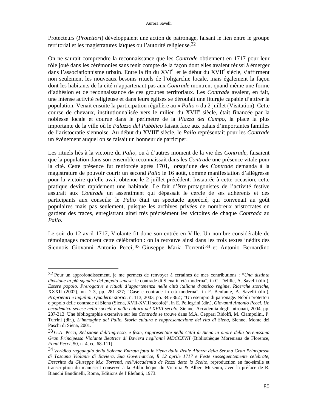Protecteurs (*Protettori*) développaient une action de patronage, faisant le lien entre le groupe territorial et les magistratures laïques ou l'autorité religieuse.32

On ne saurait comprendre la reconnaissance que les *Contrade* obtiennent en 1717 pour leur rôle joué dans les cérémonies sans tenir compte de la façon dont elles avaient réussi à émerger dans l'associationnisme urbain. Entre la fin du XVI<sup>e</sup> et le début du XVII<sup>e</sup> siècle, s'affirment non seulement les nouveaux besoins rituels de l'oligarchie locale, mais également la façon dont les habitants de la cité n'appartenant pas aux *Contrade* montrent quand même une forme d'adhésion et de reconnaissance de ces groupes territoriaux. Les *Contrade* avaient, en fait, une intense activité religieuse et dans leurs églises se déroulait une liturgie capable d'attirer la population. Venait ensuite la participation régulière au « *Palio* » du 2 juillet (Visitation). Cette course de chevaux, institutionnalisée vers le milieu du XVII<sup>e</sup> siècle, était financée par la noblesse locale et courue dans le périmètre de la *Piazza del Campo*, la place la plus importante de la ville où le *Palazzo del Pubblico* faisait face aux palais d'importantes familles de l'aristocratie siennoise. Au début du XVIII<sup>e</sup> siècle, le *Palio* représentait pour les *Contrade* un événement auquel on se faisait un honneur de participer.

Les rituels liés à la victoire du *Palio*, ou à d'autres moment de la vie des *Contrade*, faisaient que la population dans son ensemble reconnaissait dans les *Contrade* une présence vitale pour la cité. Cette présence fut renforcée après 1701, lorsqu'une des *Contrade* demanda à la magistrature de pouvoir courir un second *Palio* le 16 août, comme manifestation d'allégresse pour la victoire qu'elle avait obtenue le 2 juillet précédent. Instaurée à cette occasion, cette pratique devint rapidement une habitude. Le fait d'être protagonistes de l'activité festive assurait aux *Contrade* un assentiment qui dépassait le cercle de ses adhérents et des participants aux conseils: le *Palio* était un spectacle apprécié, qui convenait au goût populaires mais pas seulement, puisque les archives privées de nombreux aristocrates en gardent des traces, enregistrant ainsi très précisément les victoires de chaque *Contrada* au *Palio*.

Le soir du 12 avril 1717, Violante fit donc son entrée en Ville. Un nombre considérable de témoignages racontent cette célébration : on la retrouve ainsi dans les trois textes inédits des Siennois Giovanni Antonio Pecci, 33 Giuseppe Maria Torrenti 34 et Antonio Bernardino

<sup>32</sup> Pour un approfondissement, je me permets de renvoyer à certaines de mes contributions : "*Una distinta divisione in più squadre del popolo sanese*: le contrade di Siena in età moderna", in G. Delille, A. Savelli (dir.), *Essere popolo. Prerogative e rituali d'appartenenza nelle città italiane d'antico regime*, *Ricerche storiche*, XXXII (2002), nn. 2-3, pp. 281-327; "Case e contrade in età moderna", in F. Benfante, A. Savelli (dir.), *Proprietari e inquilini*, *Quaderni storici*, n. 113, 2003, pp. 345-362 ; "Un esempio di patronage. Nobili protettori e popolo delle contrade di Siena (Siena, XVII-XVIII secolo)", in E. Pellegrini (dir.), *Giovanni Antonio Pecci. Un accademico senese nella società e nella cultura del XVIII secolo*, Sienne, Accademia degli Intronati, 2004, pp. 287-313. Une bibliographie extensive sur les *Contrade* se trouve dans M.A. Ceppari Ridolfi, M. Ciampolini, P. Turrini (dir.), *L'immagine del Palio. Storia cultura e rappresentazione del rito di Siena*, Sienne, Monte dei Paschi di Siena, 2001.

<sup>33</sup> G.A. Pecci, *Relazione dell'ingresso, e feste, rappresentate nella Città di Siena in onore della Serenissima Gran Principessa Violante Beatrice di Baviera negl'anni MDCCXVII* (Bibliothèque Moreniana de Florence, *Fond Pecci*, 50, n. 4, cc. 68-111).

<sup>34</sup> *Veridico ragguaglio della Solenne Entrata fatta in Siena dalla Reale Altezza della Ser.ma Gran Principessa di Toscana Violante di Baviera, Sua Governatrice, lì 12 aprile 1717 e Feste susseguentemente celebrate, Descritto da Giuseppe M.a Torrenti, nell'Accademia de Rozzi detto lo Scelto*, reproduction en fac-simile et transcription du manuscrit conservé à la Bibliothèque du Victoria & Albert Museum, avec la préface de R. Bianchi Bandinelli, Roma, Editions de l'Elefanti, 1973.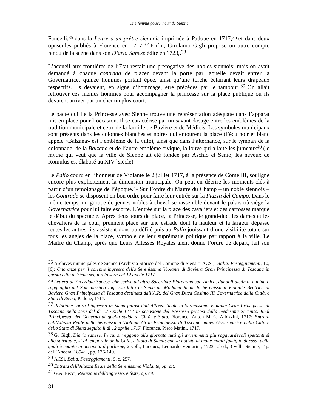Fancelli,35 dans la *Lettre d'un prêtre siennois* imprimée à Padoue en 1717,36 et dans deux opuscules publiés à Florence en 1717.37 Enfin, Girolamo Gigli propose un autre compte rendu de la scène dans son *Diario Sanese* édité en 1723,.38

L'accueil aux frontières de l'État restait une prérogative des nobles siennois; mais on avait demandé à chaque *contrada* de placer devant la porte par laquelle devait entrer la Governatrice, quinze hommes portant épée, ainsi qu'une torche éclairant leurs drapeaux respectifs. Ils devaient, en signe d'hommage, être précédés par le tambour. 39 On allait retrouver ces mêmes hommes pour accompagner la princesse sur la place publique où ils devaient arriver par un chemin plus court.

Le pacte qui lie la Princesse avec Sienne trouve une représentation adéquate dans l'apparat mis en place pour l'occasion. Il se caractérise par un savant dosage entre les emblèmes de la tradition municipale et ceux de la famille de Bavière et de Médicis. Les symboles municipaux sont présents dans les colonnes blanches et noires qui entourent la place (l'écu noir et blanc appelé «Balzana» est l'emblème de la ville), ainsi que dans l'alternance, sur le tympan de la colonnade, de la *Balzana* et de l'autre emblème civique, la louve qui allaite les jumeaux<sup>40</sup> (le mythe qui veut que la ville de Sienne ait été fondée par Aschio et Senio, les neveux de Romulus est élaboré au XIV<sup>e</sup> siècle).

Le *Palio* couru en l'honneur de Violante le 2 juillet 1717, à la présence de Côme III, souligne encore plus explicitement la dimension municipale. On peut en décrire les moments-clés à partir d'un témoignage de l'époque.41 Sur l'ordre du Maître du Champ – un noble siennois – les *Contrade* se disposent en bon ordre pour faire leur entrée sur la *Piazza del Campo*. Dans le même temps, un groupe de jeunes nobles à cheval se rassemble devant le palais où siège la *Governatrice* pour lui faire escorte. L'entrée sur la place des cavaliers et des carrosses marque le début du spectacle. Après deux tours de place, la Princesse, le grand-duc, les dames et les chevaliers de la cour, prennent place sur une estrade dont la hauteur et la largeur dépasse toutes les autres: ils assistent donc au défilé puis au *Palio* jouissant d'une visibilité totale sur tous les angles de la place, symbole de leur suprématie politique par rapport à la ville. Le Maître du Champ, après que Leurs Altesses Royales aient donné l'ordre de départ, fait son

<sup>35</sup> Archives municipales de Sienne (Archivio Storico del Comune di Siena = ACSi), *Balia. Festeggiamenti*, 10, [6]: *Onoranze per il solenne ingresso della Serenissima Violante di Baviera Gran Principessa di Toscana in questa città di Siena seguito la sera del 12 aprile 1717*.

<sup>36</sup> *Lettera di Sacerdote Sanese, che scrive ad altro Sacerdote Fiorentino suo Amico, dandoli distinto, e minuto ragguaglio del Solennissimo Ingresso fatto in Siena da Madama Reale la Serenissima Violante Beatrice di Baviera Gran Principessa di Toscana destinata dall'A.R. del Gran Duca Cosimo III Governatrice della Città, e Stato di Siena*, Padoue, 1717.

<sup>37</sup> *Relatione sopra l'ingresso in Siena fattosi dall'Altezza Reale la Serenissima Violante Gran Principessa di Toscana nella sera del dì 12 Aprile 1717 in occasione del Possesso presosi dalla medesima Sereniss. Real Principessa, del Governo di quella suddetta Città, e Stato*, Florence, Anton Maria Albizzini, 1717; *Entrata dell'Altezza Reale della Serenissima Violante Gran Principessa di Toscana nuova Governatrice della Città e dello Stato di Siena seguita il dì 12 aprile 1717*, Florence, Piero Matini, 1717.

<sup>38</sup> G. Gigli, *Diario sanese. In cui si veggono alla giornata tutti gli avvenimenti più ragguardevoli spettanti sì allo spirituale, sì al temporale della Città, e Stato di Siena; con la notizia di molte nobili famiglie di essa, delle quali è caduto in acconcio il parlarne*, 2 voll., Lucques, Leonardo Venturini, 1723; 2<sup>a</sup> ed., 3 voll., Sienne, Tip. dell'Ancora, 1854: I, pp. 136-140.

<sup>39</sup> ACSi, *Balia. Festeggiamenti*, 9, c. 257.

<sup>40</sup> *Entrata dell'Altezza Reale della Serenissima Violante*, *op. cit.*

<sup>41</sup> G.A. Pecci, *Relazione dell'ingresso, e feste*, *op. cit.*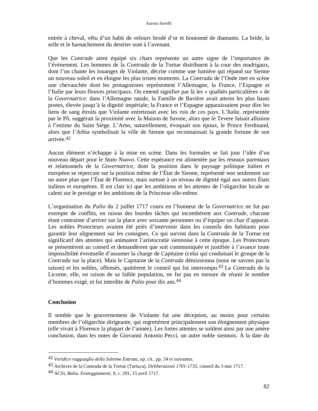entrée à cheval, vêtu d'un habit de velours brodé d'or et boutonné de diamants. La bride, la selle et le harnachement du destrier sont à l'avenant.

Que les *Contrade* aient équipé six chars représente un autre signe de l'importance de l'événement. Les hommes de la *Contrada* de la Tortue distribuent à la cour des madrigaux, dont l'un chante les louanges de Violante, décrite comme une lumière qui répand sur Sienne un nouveau soleil et en éloigne les plus tristes moments. La *Contrada* de l'Onde met en scène une chevauchée dont les protagonistes représentent l'Allemagne, la France, l'Espagne et l'Italie par leurs fleuves principaux. On entend signifier par là les « qualités particulières » de la *Governatrice*: dans l'Allemagne natale, la Famille de Bavière avait atteint les plus hauts postes, élevée jusqu'à la dignité impériale; la France et l'Espagne apparaissaient pour dire les liens de sang étroits que Violante entretenait avec les rois de ces pays. L'Italie, représentée par le Pô, suggérait la proximité avec la Maison de Savoie, alors que le Tevere faisait allusion à l'estime du Saint Siège. L'Arno, naturellement, évoquait son époux, le Prince Ferdinand, alors que l'Arbia symbolisait la ville de Sienne qui reconnaissait la grande fortune de son arrivée.42

Aucun élément n'échappe à la mise en scène. Dans les formules se fait jour l'idée d'un nouveau départ pour le *Stato Nuovo*. Cette espérance est alimentée par les réseaux parentaux et relationnels de la *Governatrice*, dont la position dans le paysage politique italien et européen se répercute sur la position même de l'État de Sienne, représenté non seulement sur un autre plan que l'État de Florence, mais surtout à un niveau de dignité égal aux autres États italiens et européens. Il est clair ici que les ambitions et les attentes de l'oligarchie locale se calent sur le prestige et les ambitions de la Princesse elle-même.

L'organisation du *Palio* du 2 juillet 1717 couru en l'honneur de la *Governatrice* ne fut pas exempte de conflits, en raison des lourdes tâches qui incombèrent aux *Contrade*, chacune étant contrainte d'arriver sur la place avec soixante personnes ou d'équiper un char d'apparat. Les nobles Protecteurs avaient été priés d'intervenir dans les conseils des habitants pour garantir leur alignement sur les consignes. Ce qui survint dans la *Contrada* de la Tortue est significatif des attentes qui animaient l'aristocratie siennoise à cette époque. Les Protecteurs se présentèrent au conseil et demandèrent que soit communiquée et justifiée à l'avance toute impossibilité éventuelle d'assumer la charge de Capitaine (celui qui conduisait le groupe de la *Contrada* sur la place). Mais le Capitaine de la *Contrada* démissionna (nous ne savons pas la raison) et les nobles, offensés, quittèrent le conseil qui fut interrompu.43 La *Contrada* de la Licorne, elle, en raison de sa faible population, ne fut pas en mesure de réunir le nombre d'hommes exigé, et fut interdite de *Palio* pour dix ans.44

## **Conclusion**

 $\overline{\phantom{a}}$ 

Il semble que le gouvernement de Violante fut une déception, au moins pour certains membres de l'oligarchie dirigeante, qui regrettèrent principalement son éloignement physique (elle vivait à Florence la plupart de l'année). Les fortes attentes se soldent ainsi par une amère conclusion, dans les notes de Giovanni Antonio Pecci, un autre noble siennois. À la date du

<sup>42</sup> *Veridico ragguaglio della Solenne Entrata*, *op. cit.*, pp. 34 et suivantes.

<sup>43</sup> Archives de la Contrada de la Tortue (Tartuca), *Deliberazioni 1701-1735*, conseil du 3 mai 1717.

<sup>44</sup> ACSi, *Balia. Festeggiamenti*, 9, c. 291, 15 avril 1717.